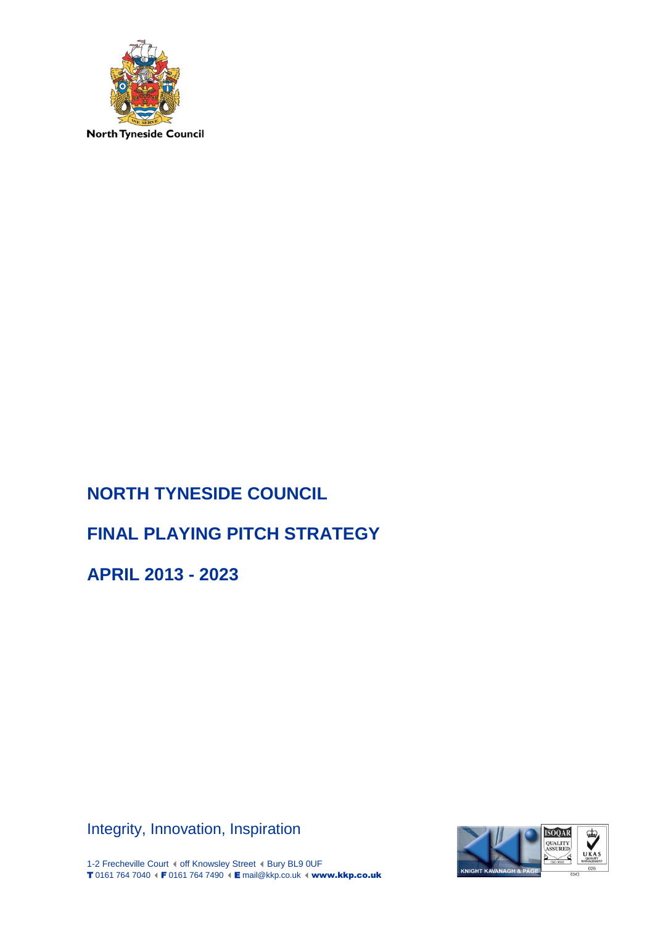

# **NORTH TYNESIDE COUNCIL**

# **FINAL PLAYING PITCH STRATEGY**

**APRIL 2013 - 2023**

Integrity, Innovation, Inspiration



1-2 Frecheville Court ( off Knowsley Street ( Bury BL9 0UF T 0161 764 7040 (F 0161 764 7490 (E mail@kkp.co.uk (www.kkp.co.uk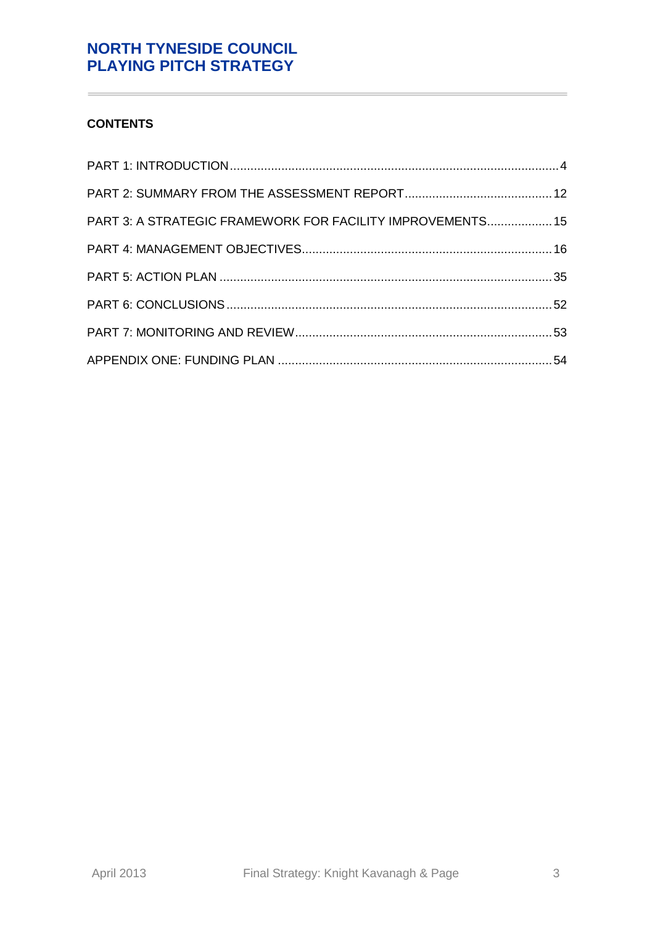# **CONTENTS**

Î.

| PART 3: A STRATEGIC FRAMEWORK FOR FACILITY IMPROVEMENTS 15 |  |
|------------------------------------------------------------|--|
|                                                            |  |
|                                                            |  |
|                                                            |  |
|                                                            |  |
|                                                            |  |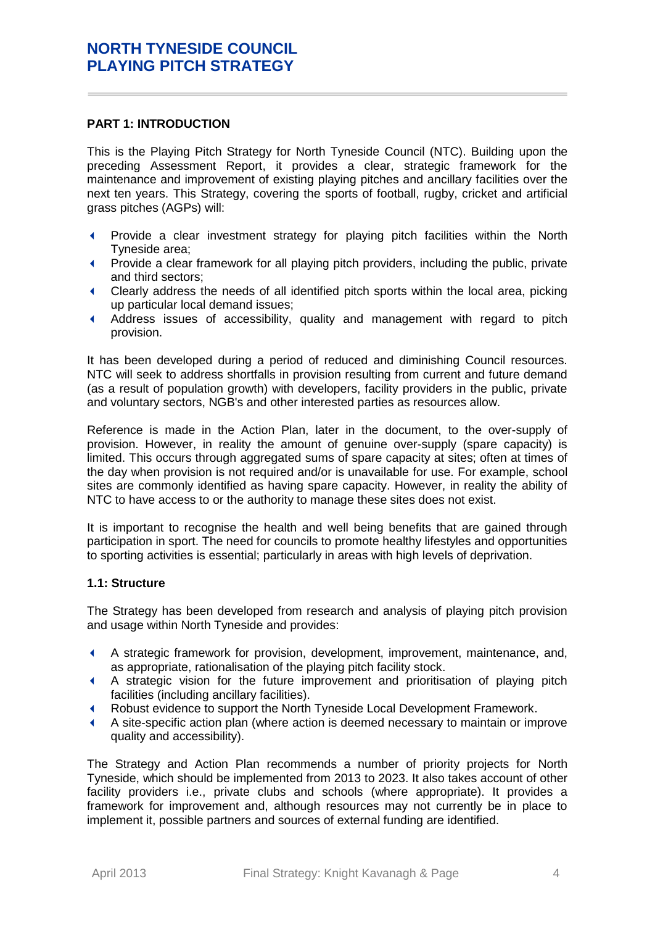#### <span id="page-3-0"></span>**PART 1: INTRODUCTION**

This is the Playing Pitch Strategy for North Tyneside Council (NTC). Building upon the preceding Assessment Report, it provides a clear, strategic framework for the maintenance and improvement of existing playing pitches and ancillary facilities over the next ten years. This Strategy, covering the sports of football, rugby, cricket and artificial grass pitches (AGPs) will:

- Provide a clear investment strategy for playing pitch facilities within the North Tyneside area;
- Provide a clear framework for all playing pitch providers, including the public, private and third sectors;
- Clearly address the needs of all identified pitch sports within the local area, picking up particular local demand issues;
- Address issues of accessibility, quality and management with regard to pitch provision.

It has been developed during a period of reduced and diminishing Council resources. NTC will seek to address shortfalls in provision resulting from current and future demand (as a result of population growth) with developers, facility providers in the public, private and voluntary sectors, NGB's and other interested parties as resources allow.

Reference is made in the Action Plan, later in the document, to the over-supply of provision. However, in reality the amount of genuine over-supply (spare capacity) is limited. This occurs through aggregated sums of spare capacity at sites; often at times of the day when provision is not required and/or is unavailable for use. For example, school sites are commonly identified as having spare capacity. However, in reality the ability of NTC to have access to or the authority to manage these sites does not exist.

It is important to recognise the health and well being benefits that are gained through participation in sport. The need for councils to promote healthy lifestyles and opportunities to sporting activities is essential; particularly in areas with high levels of deprivation.

#### **1.1: Structure**

The Strategy has been developed from research and analysis of playing pitch provision and usage within North Tyneside and provides:

- A strategic framework for provision, development, improvement, maintenance, and, as appropriate, rationalisation of the playing pitch facility stock.
- A strategic vision for the future improvement and prioritisation of playing pitch facilities (including ancillary facilities).
- Robust evidence to support the North Tyneside Local Development Framework.
- A site-specific action plan (where action is deemed necessary to maintain or improve quality and accessibility).

The Strategy and Action Plan recommends a number of priority projects for North Tyneside, which should be implemented from 2013 to 2023. It also takes account of other facility providers i.e., private clubs and schools (where appropriate). It provides a framework for improvement and, although resources may not currently be in place to implement it, possible partners and sources of external funding are identified.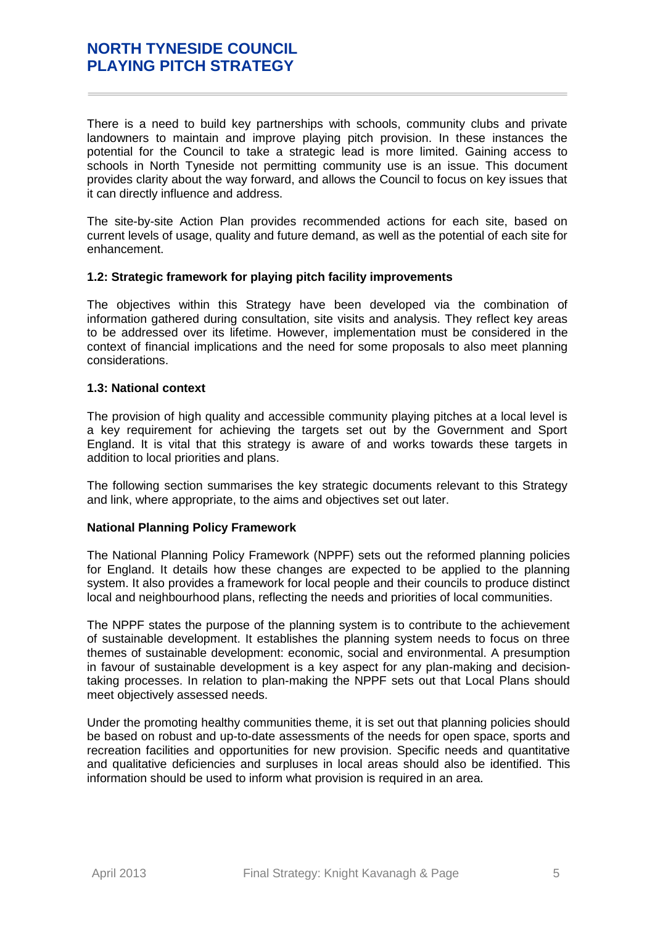There is a need to build key partnerships with schools, community clubs and private landowners to maintain and improve playing pitch provision. In these instances the potential for the Council to take a strategic lead is more limited. Gaining access to schools in North Tyneside not permitting community use is an issue. This document provides clarity about the way forward, and allows the Council to focus on key issues that it can directly influence and address.

The site-by-site Action Plan provides recommended actions for each site, based on current levels of usage, quality and future demand, as well as the potential of each site for enhancement.

#### **1.2: Strategic framework for playing pitch facility improvements**

The objectives within this Strategy have been developed via the combination of information gathered during consultation, site visits and analysis. They reflect key areas to be addressed over its lifetime. However, implementation must be considered in the context of financial implications and the need for some proposals to also meet planning considerations.

### **1.3: National context**

The provision of high quality and accessible community playing pitches at a local level is a key requirement for achieving the targets set out by the Government and Sport England. It is vital that this strategy is aware of and works towards these targets in addition to local priorities and plans.

The following section summarises the key strategic documents relevant to this Strategy and link, where appropriate, to the aims and objectives set out later.

#### **National Planning Policy Framework**

The National Planning Policy Framework (NPPF) sets out the reformed planning policies for England. It details how these changes are expected to be applied to the planning system. It also provides a framework for local people and their councils to produce distinct local and neighbourhood plans, reflecting the needs and priorities of local communities.

The NPPF states the purpose of the planning system is to contribute to the achievement of sustainable development. It establishes the planning system needs to focus on three themes of sustainable development: economic, social and environmental. A presumption in favour of sustainable development is a key aspect for any plan-making and decisiontaking processes. In relation to plan-making the NPPF sets out that Local Plans should meet objectively assessed needs.

Under the promoting healthy communities theme, it is set out that planning policies should be based on robust and up-to-date assessments of the needs for open space, sports and recreation facilities and opportunities for new provision. Specific needs and quantitative and qualitative deficiencies and surpluses in local areas should also be identified. This information should be used to inform what provision is required in an area.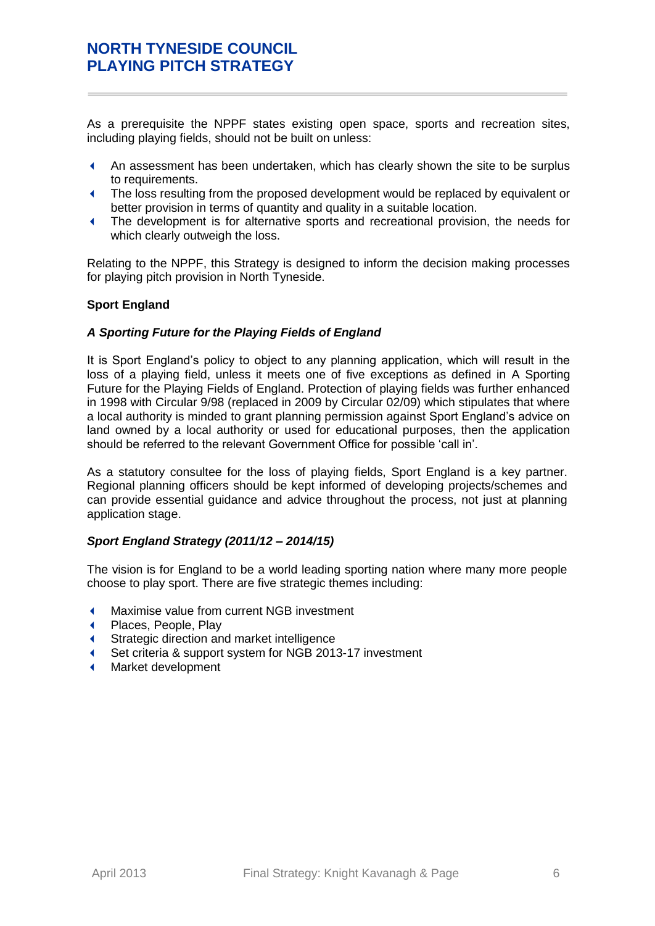As a prerequisite the NPPF states existing open space, sports and recreation sites, including playing fields, should not be built on unless:

- An assessment has been undertaken, which has clearly shown the site to be surplus to requirements.
- The loss resulting from the proposed development would be replaced by equivalent or better provision in terms of quantity and quality in a suitable location.
- The development is for alternative sports and recreational provision, the needs for which clearly outweigh the loss.

Relating to the NPPF, this Strategy is designed to inform the decision making processes for playing pitch provision in North Tyneside.

### **Sport England**

### *A Sporting Future for the Playing Fields of England*

It is Sport England's policy to object to any planning application, which will result in the loss of a playing field, unless it meets one of five exceptions as defined in A Sporting Future for the Playing Fields of England. Protection of playing fields was further enhanced in 1998 with Circular 9/98 (replaced in 2009 by Circular 02/09) which stipulates that where a local authority is minded to grant planning permission against Sport England's advice on land owned by a local authority or used for educational purposes, then the application should be referred to the relevant Government Office for possible 'call in'.

As a statutory consultee for the loss of playing fields, Sport England is a key partner. Regional planning officers should be kept informed of developing projects/schemes and can provide essential guidance and advice throughout the process, not just at planning application stage.

### *Sport England Strategy (2011/12 – 2014/15)*

The vision is for England to be a world leading sporting nation where many more people choose to play sport. There are five strategic themes including:

- Maximise value from current NGB investment
- Places, People, Play
- Strategic direction and market intelligence
- Set criteria & support system for NGB 2013-17 investment
- Market development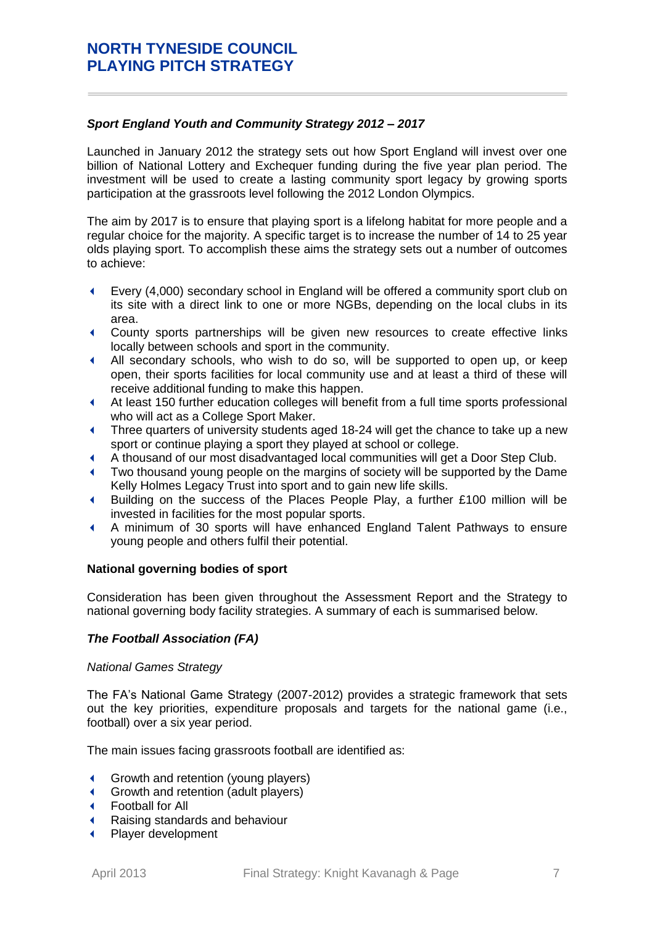# *Sport England Youth and Community Strategy 2012 – 2017*

Launched in January 2012 the strategy sets out how Sport England will invest over one billion of National Lottery and Exchequer funding during the five year plan period. The investment will be used to create a lasting community sport legacy by growing sports participation at the grassroots level following the 2012 London Olympics.

The aim by 2017 is to ensure that playing sport is a lifelong habitat for more people and a regular choice for the majority. A specific target is to increase the number of 14 to 25 year olds playing sport. To accomplish these aims the strategy sets out a number of outcomes to achieve:

- Every (4,000) secondary school in England will be offered a community sport club on its site with a direct link to one or more NGBs, depending on the local clubs in its area.
- County sports partnerships will be given new resources to create effective links locally between schools and sport in the community.
- All secondary schools, who wish to do so, will be supported to open up, or keep open, their sports facilities for local community use and at least a third of these will receive additional funding to make this happen.
- At least 150 further education colleges will benefit from a full time sports professional who will act as a College Sport Maker.
- Three quarters of university students aged 18-24 will get the chance to take up a new sport or continue playing a sport they played at school or college.
- A thousand of our most disadvantaged local communities will get a Door Step Club.
- Two thousand young people on the margins of society will be supported by the Dame Kelly Holmes Legacy Trust into sport and to gain new life skills.
- Building on the success of the Places People Play, a further £100 million will be invested in facilities for the most popular sports.
- A minimum of 30 sports will have enhanced England Talent Pathways to ensure young people and others fulfil their potential.

### **National governing bodies of sport**

Consideration has been given throughout the Assessment Report and the Strategy to national governing body facility strategies. A summary of each is summarised below.

### *The Football Association (FA)*

#### *National Games Strategy*

The FA's National Game Strategy (2007-2012) provides a strategic framework that sets out the key priorities, expenditure proposals and targets for the national game (i.e., football) over a six year period.

The main issues facing grassroots football are identified as:

- **Growth and retention (young players)**
- **Growth and retention (adult players)**
- Football for All
- Raising standards and behaviour
- Player development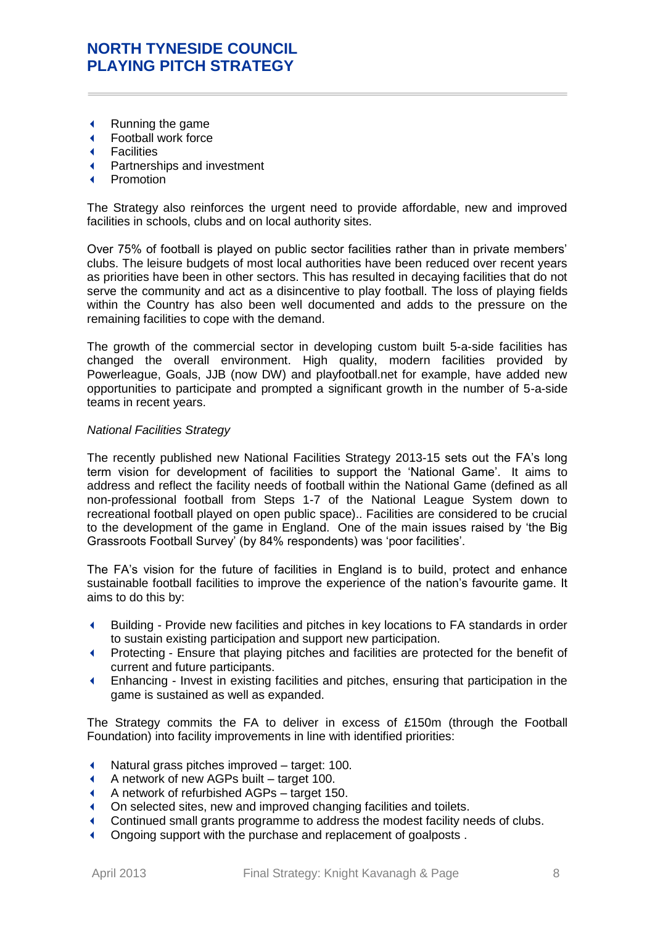- Running the game
- Football work force
- **Facilities**
- Partnerships and investment
- Promotion

The Strategy also reinforces the urgent need to provide affordable, new and improved facilities in schools, clubs and on local authority sites.

Over 75% of football is played on public sector facilities rather than in private members' clubs. The leisure budgets of most local authorities have been reduced over recent years as priorities have been in other sectors. This has resulted in decaying facilities that do not serve the community and act as a disincentive to play football. The loss of playing fields within the Country has also been well documented and adds to the pressure on the remaining facilities to cope with the demand.

The growth of the commercial sector in developing custom built 5-a-side facilities has changed the overall environment. High quality, modern facilities provided by Powerleague, Goals, JJB (now DW) and playfootball.net for example, have added new opportunities to participate and prompted a significant growth in the number of 5-a-side teams in recent years.

### *National Facilities Strategy*

The recently published new National Facilities Strategy 2013-15 sets out the FA's long term vision for development of facilities to support the 'National Game'. It aims to address and reflect the facility needs of football within the National Game (defined as all non-professional football from Steps 1-7 of the National League System down to recreational football played on open public space).. Facilities are considered to be crucial to the development of the game in England. One of the main issues raised by 'the Big Grassroots Football Survey' (by 84% respondents) was 'poor facilities'.

The FA's vision for the future of facilities in England is to build, protect and enhance sustainable football facilities to improve the experience of the nation's favourite game. It aims to do this by:

- Building Provide new facilities and pitches in key locations to FA standards in order to sustain existing participation and support new participation.
- Protecting Ensure that playing pitches and facilities are protected for the benefit of current and future participants.
- Enhancing Invest in existing facilities and pitches, ensuring that participation in the game is sustained as well as expanded.

The Strategy commits the FA to deliver in excess of £150m (through the Football Foundation) into facility improvements in line with identified priorities:

- Natural grass pitches improved target: 100.
- A network of new AGPs built target 100.
- A network of refurbished AGPs target 150.
- On selected sites, new and improved changing facilities and toilets.
- Continued small grants programme to address the modest facility needs of clubs.
- Ongoing support with the purchase and replacement of goalposts .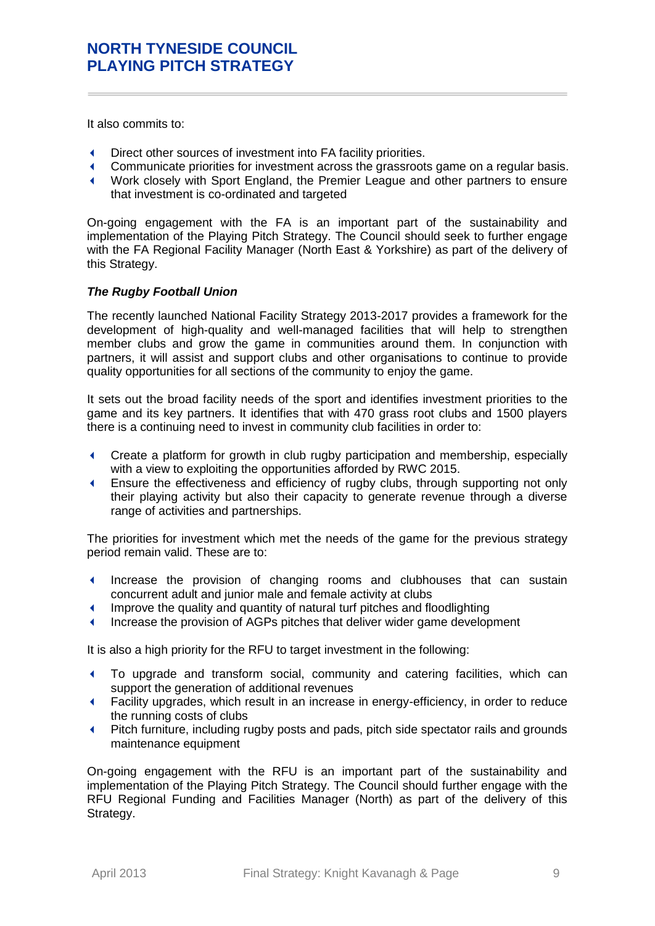It also commits to:

- Direct other sources of investment into FA facility priorities.
- Communicate priorities for investment across the grassroots game on a regular basis.
- Work closely with Sport England, the Premier League and other partners to ensure that investment is co-ordinated and targeted

On-going engagement with the FA is an important part of the sustainability and implementation of the Playing Pitch Strategy. The Council should seek to further engage with the FA Regional Facility Manager (North East & Yorkshire) as part of the delivery of this Strategy.

### *The Rugby Football Union*

The recently launched National Facility Strategy 2013-2017 provides a framework for the development of high-quality and well-managed facilities that will help to strengthen member clubs and grow the game in communities around them. In conjunction with partners, it will assist and support clubs and other organisations to continue to provide quality opportunities for all sections of the community to enjoy the game.

It sets out the broad facility needs of the sport and identifies investment priorities to the game and its key partners. It identifies that with 470 grass root clubs and 1500 players there is a continuing need to invest in community club facilities in order to:

- Create a platform for growth in club rugby participation and membership, especially with a view to exploiting the opportunities afforded by RWC 2015.
- Ensure the effectiveness and efficiency of rugby clubs, through supporting not only their playing activity but also their capacity to generate revenue through a diverse range of activities and partnerships.

The priorities for investment which met the needs of the game for the previous strategy period remain valid. These are to:

- Increase the provision of changing rooms and clubhouses that can sustain concurrent adult and junior male and female activity at clubs
- Improve the quality and quantity of natural turf pitches and floodlighting
- Increase the provision of AGPs pitches that deliver wider game development

It is also a high priority for the RFU to target investment in the following:

- To upgrade and transform social, community and catering facilities, which can support the generation of additional revenues
- Facility upgrades, which result in an increase in energy-efficiency, in order to reduce the running costs of clubs
- Pitch furniture, including rugby posts and pads, pitch side spectator rails and grounds maintenance equipment

On-going engagement with the RFU is an important part of the sustainability and implementation of the Playing Pitch Strategy. The Council should further engage with the RFU Regional Funding and Facilities Manager (North) as part of the delivery of this Strategy.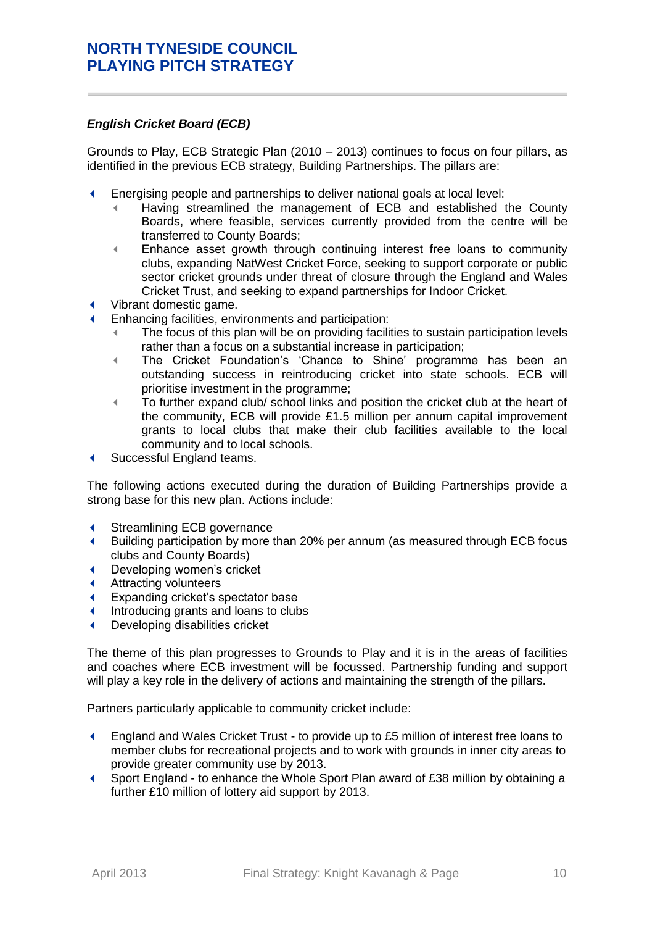### *English Cricket Board (ECB)*

Grounds to Play, ECB Strategic Plan (2010 – 2013) continues to focus on four pillars, as identified in the previous ECB strategy, Building Partnerships. The pillars are:

- Energising people and partnerships to deliver national goals at local level:
	- Having streamlined the management of ECB and established the County Boards, where feasible, services currently provided from the centre will be transferred to County Boards;
	- Enhance asset growth through continuing interest free loans to community clubs, expanding NatWest Cricket Force, seeking to support corporate or public sector cricket grounds under threat of closure through the England and Wales Cricket Trust, and seeking to expand partnerships for Indoor Cricket.
- Vibrant domestic game.
- Enhancing facilities, environments and participation:
	- The focus of this plan will be on providing facilities to sustain participation levels rather than a focus on a substantial increase in participation;
	- The Cricket Foundation's 'Chance to Shine' programme has been an outstanding success in reintroducing cricket into state schools. ECB will prioritise investment in the programme;
	- To further expand club/ school links and position the cricket club at the heart of the community, ECB will provide £1.5 million per annum capital improvement grants to local clubs that make their club facilities available to the local community and to local schools.
- ◆ Successful England teams.

The following actions executed during the duration of Building Partnerships provide a strong base for this new plan. Actions include:

- Streamlining ECB governance
- Building participation by more than 20% per annum (as measured through ECB focus clubs and County Boards)
- Developing women's cricket
- Attracting volunteers
- Expanding cricket's spectator base
- Introducing grants and loans to clubs
- Developing disabilities cricket

The theme of this plan progresses to Grounds to Play and it is in the areas of facilities and coaches where ECB investment will be focussed. Partnership funding and support will play a key role in the delivery of actions and maintaining the strength of the pillars.

Partners particularly applicable to community cricket include:

- England and Wales Cricket Trust to provide up to £5 million of interest free loans to member clubs for recreational projects and to work with grounds in inner city areas to provide greater community use by 2013.
- Sport England to enhance the Whole Sport Plan award of £38 million by obtaining a further £10 million of lottery aid support by 2013.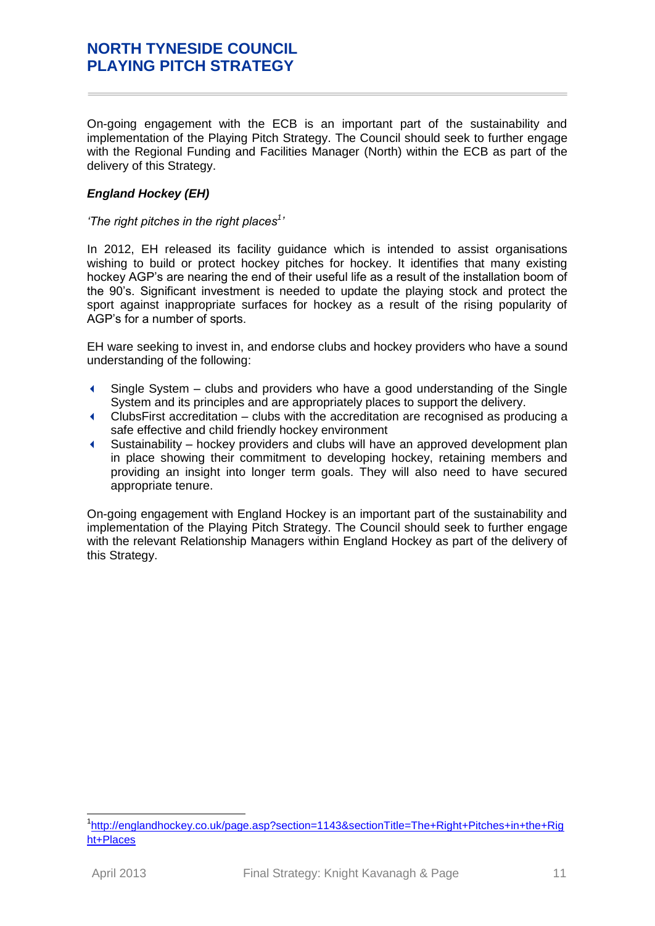On-going engagement with the ECB is an important part of the sustainability and implementation of the Playing Pitch Strategy. The Council should seek to further engage with the Regional Funding and Facilities Manager (North) within the ECB as part of the delivery of this Strategy.

### *England Hockey (EH)*

### *'The right pitches in the right places<sup>1</sup> '*

In 2012, EH released its facility guidance which is intended to assist organisations wishing to build or protect hockey pitches for hockey. It identifies that many existing hockey AGP's are nearing the end of their useful life as a result of the installation boom of the 90's. Significant investment is needed to update the playing stock and protect the sport against inappropriate surfaces for hockey as a result of the rising popularity of AGP's for a number of sports.

EH ware seeking to invest in, and endorse clubs and hockey providers who have a sound understanding of the following:

- Single System clubs and providers who have a good understanding of the Single System and its principles and are appropriately places to support the delivery.
- ClubsFirst accreditation clubs with the accreditation are recognised as producing a safe effective and child friendly hockey environment
- Sustainability hockey providers and clubs will have an approved development plan in place showing their commitment to developing hockey, retaining members and providing an insight into longer term goals. They will also need to have secured appropriate tenure.

On-going engagement with England Hockey is an important part of the sustainability and implementation of the Playing Pitch Strategy. The Council should seek to further engage with the relevant Relationship Managers within England Hockey as part of the delivery of this Strategy.

 <sup>1</sup>[http://englandhockey.co.uk/page.asp?section=1143&sectionTitle=The+Right+Pitches+in+the+Rig](http://englandhockey.co.uk/page.asp?section=1143§ionTitle=The+Right+Pitches+in+the+Right+Places) [ht+Places](http://englandhockey.co.uk/page.asp?section=1143§ionTitle=The+Right+Pitches+in+the+Right+Places)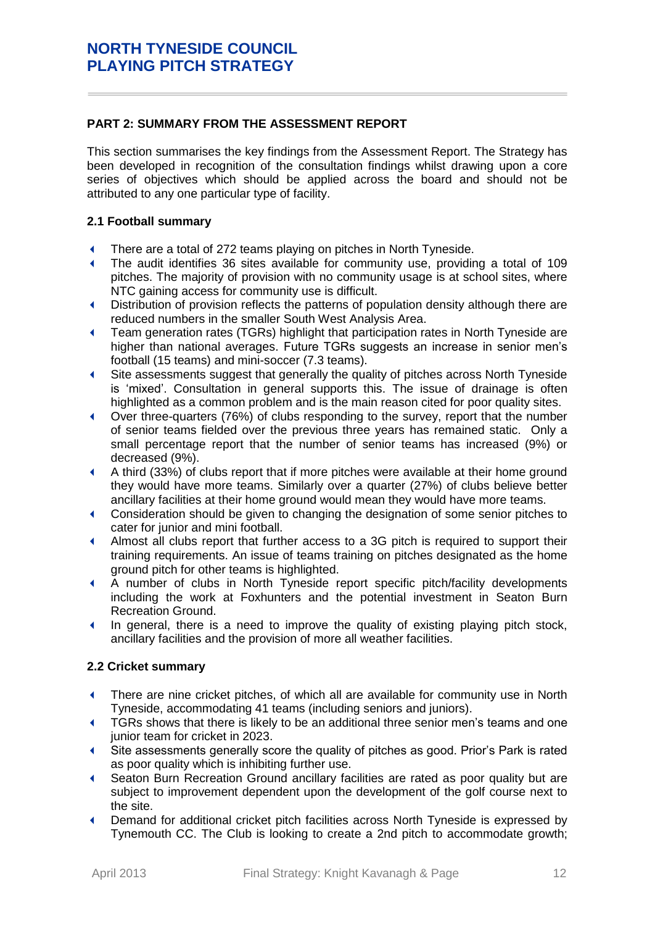# <span id="page-11-0"></span>**PART 2: SUMMARY FROM THE ASSESSMENT REPORT**

This section summarises the key findings from the Assessment Report. The Strategy has been developed in recognition of the consultation findings whilst drawing upon a core series of objectives which should be applied across the board and should not be attributed to any one particular type of facility.

# **2.1 Football summary**

- There are a total of 272 teams playing on pitches in North Tyneside.
- The audit identifies 36 sites available for community use, providing a total of 109 pitches. The majority of provision with no community usage is at school sites, where NTC gaining access for community use is difficult.
- Distribution of provision reflects the patterns of population density although there are reduced numbers in the smaller South West Analysis Area.
- Team generation rates (TGRs) highlight that participation rates in North Tyneside are higher than national averages. Future TGRs suggests an increase in senior men's football (15 teams) and mini-soccer (7.3 teams).
- Site assessments suggest that generally the quality of pitches across North Tyneside is 'mixed'. Consultation in general supports this. The issue of drainage is often highlighted as a common problem and is the main reason cited for poor quality sites.
- Over three-quarters (76%) of clubs responding to the survey, report that the number of senior teams fielded over the previous three years has remained static. Only a small percentage report that the number of senior teams has increased (9%) or decreased (9%).
- A third (33%) of clubs report that if more pitches were available at their home ground they would have more teams. Similarly over a quarter (27%) of clubs believe better ancillary facilities at their home ground would mean they would have more teams.
- Consideration should be given to changing the designation of some senior pitches to cater for junior and mini football.
- Almost all clubs report that further access to a 3G pitch is required to support their training requirements. An issue of teams training on pitches designated as the home ground pitch for other teams is highlighted.
- A number of clubs in North Tyneside report specific pitch/facility developments including the work at Foxhunters and the potential investment in Seaton Burn Recreation Ground.
- In general, there is a need to improve the quality of existing playing pitch stock, ancillary facilities and the provision of more all weather facilities.

### **2.2 Cricket summary**

- There are nine cricket pitches, of which all are available for community use in North Tyneside, accommodating 41 teams (including seniors and juniors).
- **TGRs shows that there is likely to be an additional three senior men's teams and one** junior team for cricket in 2023.
- Site assessments generally score the quality of pitches as good. Prior's Park is rated as poor quality which is inhibiting further use.
- Seaton Burn Recreation Ground ancillary facilities are rated as poor quality but are subject to improvement dependent upon the development of the golf course next to the site.
- Demand for additional cricket pitch facilities across North Tyneside is expressed by Tynemouth CC. The Club is looking to create a 2nd pitch to accommodate growth;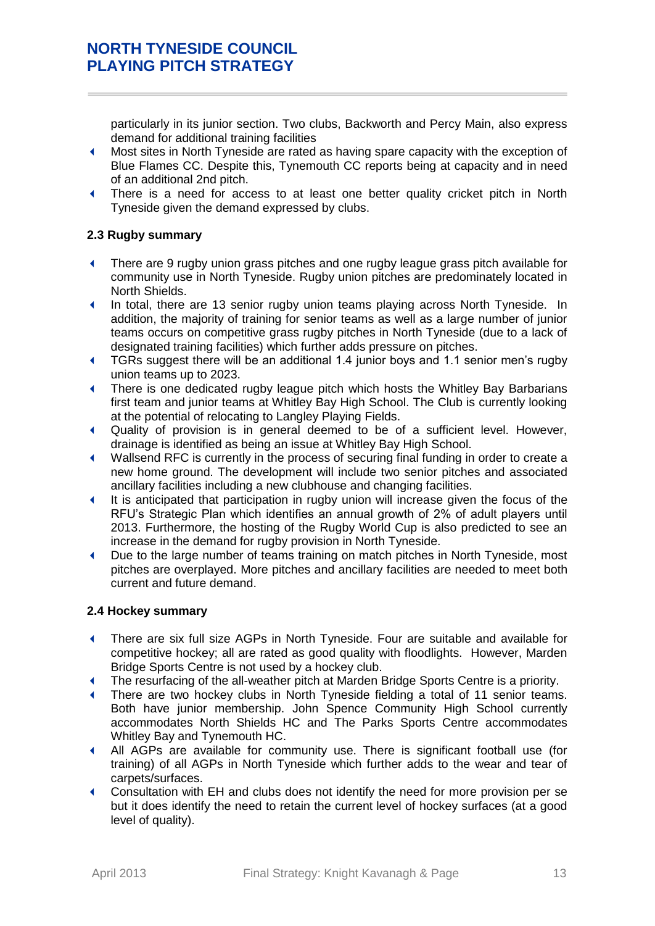particularly in its junior section. Two clubs, Backworth and Percy Main, also express demand for additional training facilities

- Most sites in North Tyneside are rated as having spare capacity with the exception of Blue Flames CC. Despite this, Tynemouth CC reports being at capacity and in need of an additional 2nd pitch.
- There is a need for access to at least one better quality cricket pitch in North Tyneside given the demand expressed by clubs.

### **2.3 Rugby summary**

- There are 9 rugby union grass pitches and one rugby league grass pitch available for community use in North Tyneside. Rugby union pitches are predominately located in North Shields.
- In total, there are 13 senior rugby union teams playing across North Tyneside. In addition, the majority of training for senior teams as well as a large number of junior teams occurs on competitive grass rugby pitches in North Tyneside (due to a lack of designated training facilities) which further adds pressure on pitches.
- TGRs suggest there will be an additional 1.4 junior boys and 1.1 senior men's rugby union teams up to 2023.
- There is one dedicated rugby league pitch which hosts the Whitley Bay Barbarians first team and junior teams at Whitley Bay High School. The Club is currently looking at the potential of relocating to Langley Playing Fields.
- Quality of provision is in general deemed to be of a sufficient level. However, drainage is identified as being an issue at Whitley Bay High School.
- Wallsend RFC is currently in the process of securing final funding in order to create a new home ground. The development will include two senior pitches and associated ancillary facilities including a new clubhouse and changing facilities.
- It is anticipated that participation in rugby union will increase given the focus of the RFU's Strategic Plan which identifies an annual growth of 2% of adult players until 2013. Furthermore, the hosting of the Rugby World Cup is also predicted to see an increase in the demand for rugby provision in North Tyneside.
- Due to the large number of teams training on match pitches in North Tyneside, most pitches are overplayed. More pitches and ancillary facilities are needed to meet both current and future demand.

### **2.4 Hockey summary**

- There are six full size AGPs in North Tyneside. Four are suitable and available for competitive hockey; all are rated as good quality with floodlights. However, Marden Bridge Sports Centre is not used by a hockey club.
- The resurfacing of the all-weather pitch at Marden Bridge Sports Centre is a priority.
- There are two hockey clubs in North Tyneside fielding a total of 11 senior teams. Both have junior membership. John Spence Community High School currently accommodates North Shields HC and The Parks Sports Centre accommodates Whitley Bay and Tynemouth HC.
- All AGPs are available for community use. There is significant football use (for training) of all AGPs in North Tyneside which further adds to the wear and tear of carpets/surfaces.
- Consultation with EH and clubs does not identify the need for more provision per se but it does identify the need to retain the current level of hockey surfaces (at a good level of quality).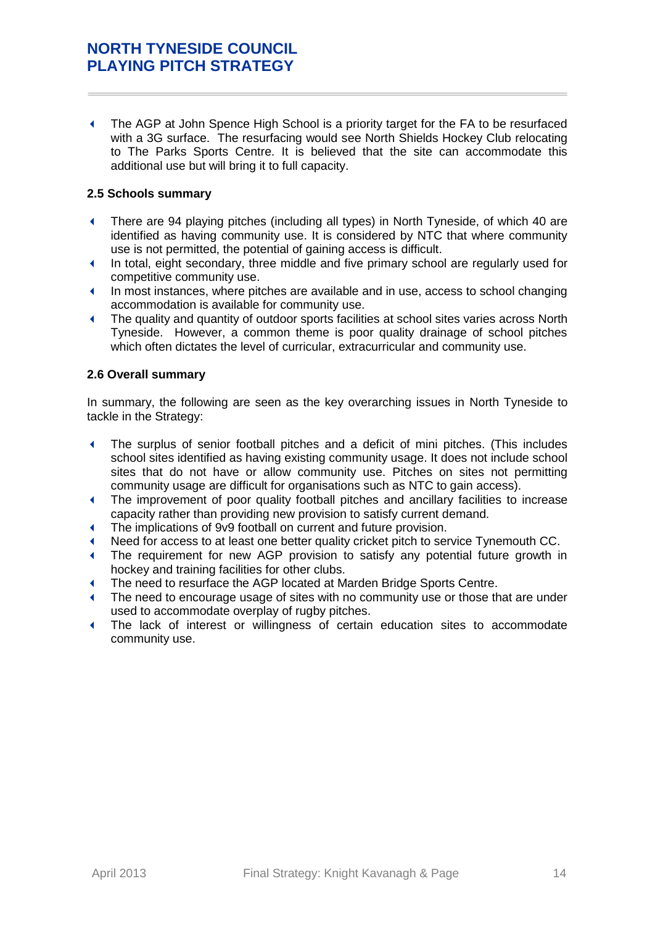The AGP at John Spence High School is a priority target for the FA to be resurfaced with a 3G surface. The resurfacing would see North Shields Hockey Club relocating to The Parks Sports Centre. It is believed that the site can accommodate this additional use but will bring it to full capacity.

### **2.5 Schools summary**

- There are 94 playing pitches (including all types) in North Tyneside, of which 40 are identified as having community use. It is considered by NTC that where community use is not permitted, the potential of gaining access is difficult.
- In total, eight secondary, three middle and five primary school are regularly used for competitive community use.
- In most instances, where pitches are available and in use, access to school changing accommodation is available for community use.
- The quality and quantity of outdoor sports facilities at school sites varies across North Tyneside. However, a common theme is poor quality drainage of school pitches which often dictates the level of curricular, extracurricular and community use.

### **2.6 Overall summary**

In summary, the following are seen as the key overarching issues in North Tyneside to tackle in the Strategy:

- The surplus of senior football pitches and a deficit of mini pitches. (This includes school sites identified as having existing community usage. It does not include school sites that do not have or allow community use. Pitches on sites not permitting community usage are difficult for organisations such as NTC to gain access).
- The improvement of poor quality football pitches and ancillary facilities to increase capacity rather than providing new provision to satisfy current demand.
- The implications of 9v9 football on current and future provision.
- Need for access to at least one better quality cricket pitch to service Tynemouth CC.
- The requirement for new AGP provision to satisfy any potential future growth in hockey and training facilities for other clubs.
- The need to resurface the AGP located at Marden Bridge Sports Centre.
- The need to encourage usage of sites with no community use or those that are under used to accommodate overplay of rugby pitches.
- The lack of interest or willingness of certain education sites to accommodate community use.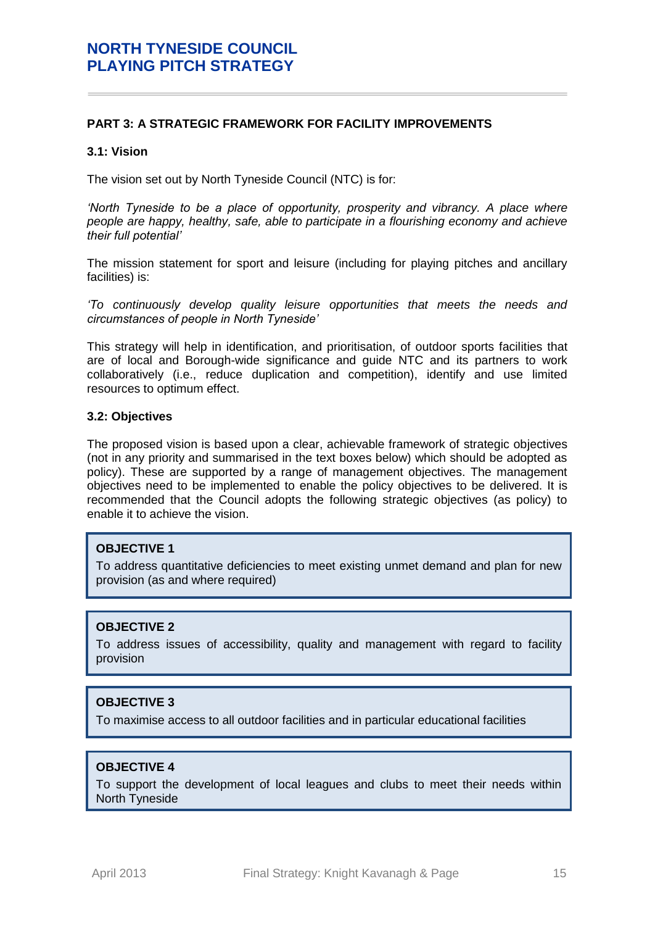### <span id="page-14-0"></span>**PART 3: A STRATEGIC FRAMEWORK FOR FACILITY IMPROVEMENTS**

#### **3.1: Vision**

The vision set out by North Tyneside Council (NTC) is for:

'North Tyneside to be a place of opportunity, prosperity and vibrancy. A place where *people are happy, healthy, safe, able to participate in a flourishing economy and achieve their full potential'*

The mission statement for sport and leisure (including for playing pitches and ancillary facilities) is:

*'To continuously develop quality leisure opportunities that meets the needs and circumstances of people in North Tyneside'*

This strategy will help in identification, and prioritisation, of outdoor sports facilities that are of local and Borough-wide significance and guide NTC and its partners to work collaboratively (i.e., reduce duplication and competition), identify and use limited resources to optimum effect.

#### **3.2: Objectives**

The proposed vision is based upon a clear, achievable framework of strategic objectives (not in any priority and summarised in the text boxes below) which should be adopted as policy). These are supported by a range of management objectives. The management objectives need to be implemented to enable the policy objectives to be delivered. It is recommended that the Council adopts the following strategic objectives (as policy) to enable it to achieve the vision.

#### **OBJECTIVE 1**

To address quantitative deficiencies to meet existing unmet demand and plan for new provision (as and where required)

# **OBJECTIVE 2**

To address issues of accessibility, quality and management with regard to facility provision

### **OBJECTIVE 3**

To maximise access to all outdoor facilities and in particular educational facilities

# **OBJECTIVE 4**

To support the development of local leagues and clubs to meet their needs within North Tyneside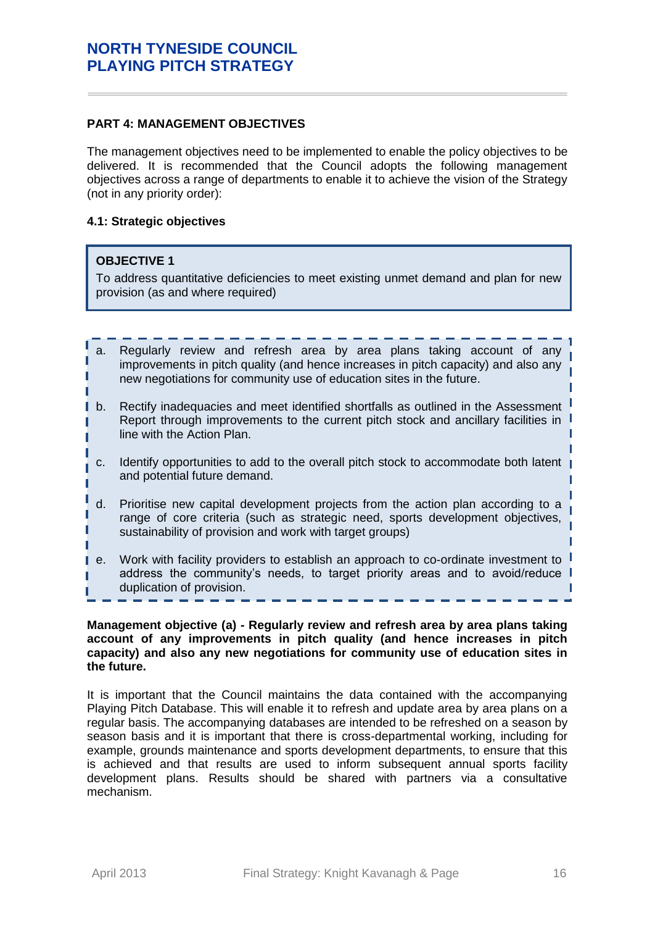### <span id="page-15-0"></span>**PART 4: MANAGEMENT OBJECTIVES**

The management objectives need to be implemented to enable the policy objectives to be delivered. It is recommended that the Council adopts the following management objectives across a range of departments to enable it to achieve the vision of the Strategy (not in any priority order):

### **4.1: Strategic objectives**

### **OBJECTIVE 1**

I

To address quantitative deficiencies to meet existing unmet demand and plan for new provision (as and where required)

- a. Regularly review and refresh area by area plans taking account of any improvements in pitch quality (and hence increases in pitch capacity) and also any new negotiations for community use of education sites in the future.
- b. Rectify inadequacies and meet identified shortfalls as outlined in the Assessment Report through improvements to the current pitch stock and ancillary facilities in line with the Action Plan.
- c. Identify opportunities to add to the overall pitch stock to accommodate both latent and potential future demand.
- d. Prioritise new capital development projects from the action plan according to a range of core criteria (such as strategic need, sports development objectives, sustainability of provision and work with target groups)
- e. Work with facility providers to establish an approach to co-ordinate investment to address the community's needs, to target priority areas and to avoid/reduce duplication of provision.

#### **Management objective (a) - Regularly review and refresh area by area plans taking account of any improvements in pitch quality (and hence increases in pitch capacity) and also any new negotiations for community use of education sites in the future.**

It is important that the Council maintains the data contained with the accompanying Playing Pitch Database. This will enable it to refresh and update area by area plans on a regular basis. The accompanying databases are intended to be refreshed on a season by season basis and it is important that there is cross-departmental working, including for example, grounds maintenance and sports development departments, to ensure that this is achieved and that results are used to inform subsequent annual sports facility development plans. Results should be shared with partners via a consultative mechanism.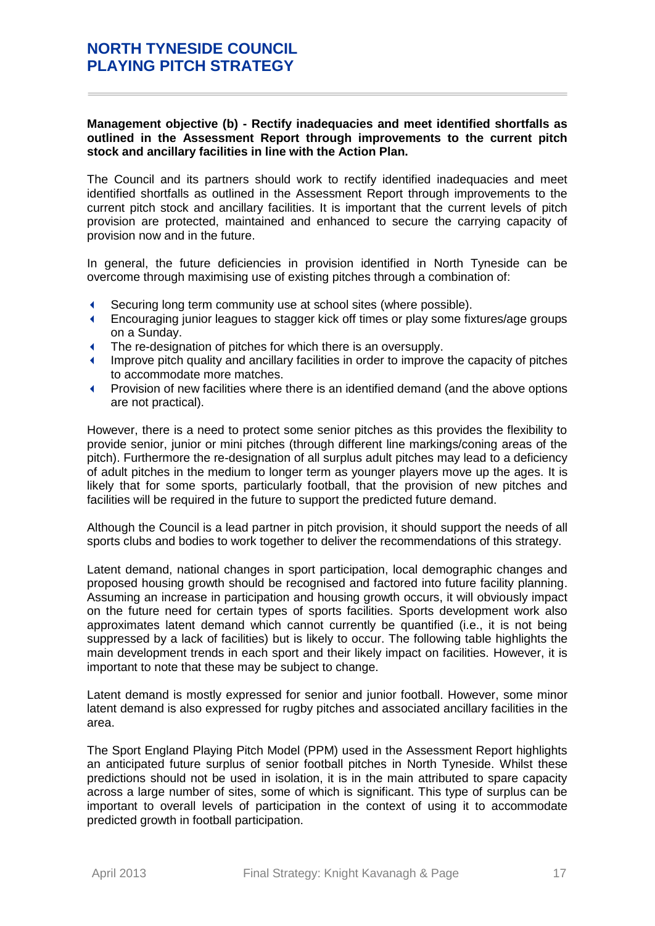### **Management objective (b) - Rectify inadequacies and meet identified shortfalls as outlined in the Assessment Report through improvements to the current pitch stock and ancillary facilities in line with the Action Plan.**

The Council and its partners should work to rectify identified inadequacies and meet identified shortfalls as outlined in the Assessment Report through improvements to the current pitch stock and ancillary facilities. It is important that the current levels of pitch provision are protected, maintained and enhanced to secure the carrying capacity of provision now and in the future.

In general, the future deficiencies in provision identified in North Tyneside can be overcome through maximising use of existing pitches through a combination of:

- Securing long term community use at school sites (where possible).
- Encouraging junior leagues to stagger kick off times or play some fixtures/age groups on a Sunday.
- The re-designation of pitches for which there is an oversupply.
- Improve pitch quality and ancillary facilities in order to improve the capacity of pitches to accommodate more matches.
- Provision of new facilities where there is an identified demand (and the above options are not practical).

However, there is a need to protect some senior pitches as this provides the flexibility to provide senior, junior or mini pitches (through different line markings/coning areas of the pitch). Furthermore the re-designation of all surplus adult pitches may lead to a deficiency of adult pitches in the medium to longer term as younger players move up the ages. It is likely that for some sports, particularly football, that the provision of new pitches and facilities will be required in the future to support the predicted future demand.

Although the Council is a lead partner in pitch provision, it should support the needs of all sports clubs and bodies to work together to deliver the recommendations of this strategy.

Latent demand, national changes in sport participation, local demographic changes and proposed housing growth should be recognised and factored into future facility planning. Assuming an increase in participation and housing growth occurs, it will obviously impact on the future need for certain types of sports facilities. Sports development work also approximates latent demand which cannot currently be quantified (i.e., it is not being suppressed by a lack of facilities) but is likely to occur. The following table highlights the main development trends in each sport and their likely impact on facilities. However, it is important to note that these may be subject to change.

Latent demand is mostly expressed for senior and junior football. However, some minor latent demand is also expressed for rugby pitches and associated ancillary facilities in the area.

The Sport England Playing Pitch Model (PPM) used in the Assessment Report highlights an anticipated future surplus of senior football pitches in North Tyneside. Whilst these predictions should not be used in isolation, it is in the main attributed to spare capacity across a large number of sites, some of which is significant. This type of surplus can be important to overall levels of participation in the context of using it to accommodate predicted growth in football participation.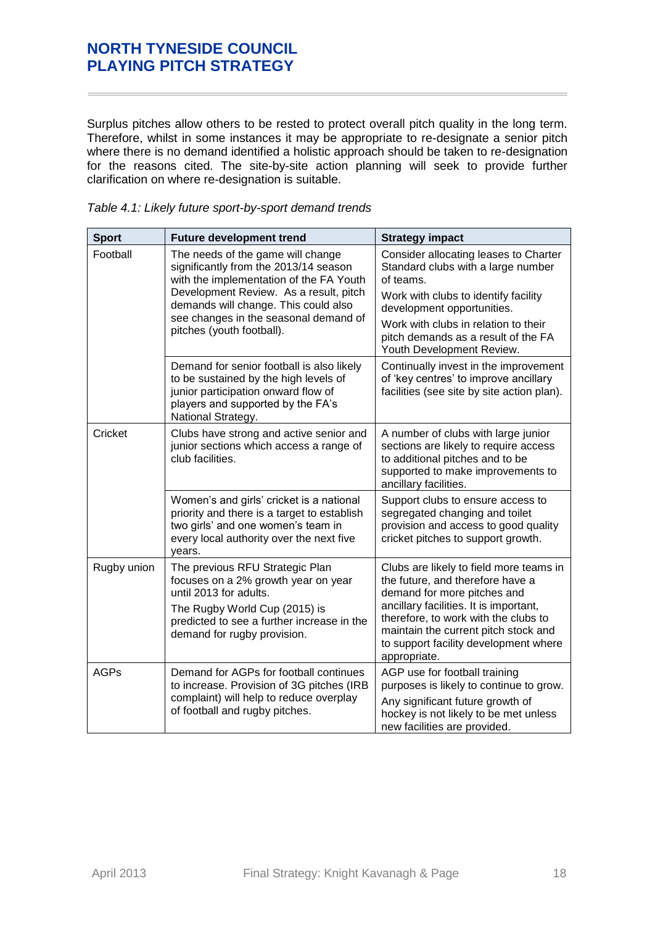Surplus pitches allow others to be rested to protect overall pitch quality in the long term. Therefore, whilst in some instances it may be appropriate to re-designate a senior pitch where there is no demand identified a holistic approach should be taken to re-designation for the reasons cited. The site-by-site action planning will seek to provide further clarification on where re-designation is suitable.

| <b>Sport</b> | <b>Future development trend</b>                                                                                                                                                                                | <b>Strategy impact</b>                                                                                                                                                                                                                                                                        |
|--------------|----------------------------------------------------------------------------------------------------------------------------------------------------------------------------------------------------------------|-----------------------------------------------------------------------------------------------------------------------------------------------------------------------------------------------------------------------------------------------------------------------------------------------|
| Football     | The needs of the game will change<br>significantly from the 2013/14 season<br>with the implementation of the FA Youth                                                                                          | Consider allocating leases to Charter<br>Standard clubs with a large number<br>of teams.                                                                                                                                                                                                      |
|              | Development Review. As a result, pitch<br>demands will change. This could also                                                                                                                                 | Work with clubs to identify facility<br>development opportunities.                                                                                                                                                                                                                            |
|              | see changes in the seasonal demand of<br>pitches (youth football).                                                                                                                                             | Work with clubs in relation to their<br>pitch demands as a result of the FA<br>Youth Development Review.                                                                                                                                                                                      |
|              | Demand for senior football is also likely<br>to be sustained by the high levels of<br>junior participation onward flow of<br>players and supported by the FA's<br>National Strategy.                           | Continually invest in the improvement<br>of 'key centres' to improve ancillary<br>facilities (see site by site action plan).                                                                                                                                                                  |
| Cricket      | Clubs have strong and active senior and<br>junior sections which access a range of<br>club facilities.                                                                                                         | A number of clubs with large junior<br>sections are likely to require access<br>to additional pitches and to be<br>supported to make improvements to<br>ancillary facilities.                                                                                                                 |
|              | Women's and girls' cricket is a national<br>priority and there is a target to establish<br>two girls' and one women's team in<br>every local authority over the next five<br>years.                            | Support clubs to ensure access to<br>segregated changing and toilet<br>provision and access to good quality<br>cricket pitches to support growth.                                                                                                                                             |
| Rugby union  | The previous RFU Strategic Plan<br>focuses on a 2% growth year on year<br>until 2013 for adults.<br>The Rugby World Cup (2015) is<br>predicted to see a further increase in the<br>demand for rugby provision. | Clubs are likely to field more teams in<br>the future, and therefore have a<br>demand for more pitches and<br>ancillary facilities. It is important,<br>therefore, to work with the clubs to<br>maintain the current pitch stock and<br>to support facility development where<br>appropriate. |
| <b>AGPs</b>  | Demand for AGPs for football continues<br>to increase. Provision of 3G pitches (IRB<br>complaint) will help to reduce overplay<br>of football and rugby pitches.                                               | AGP use for football training<br>purposes is likely to continue to grow.<br>Any significant future growth of<br>hockey is not likely to be met unless<br>new facilities are provided.                                                                                                         |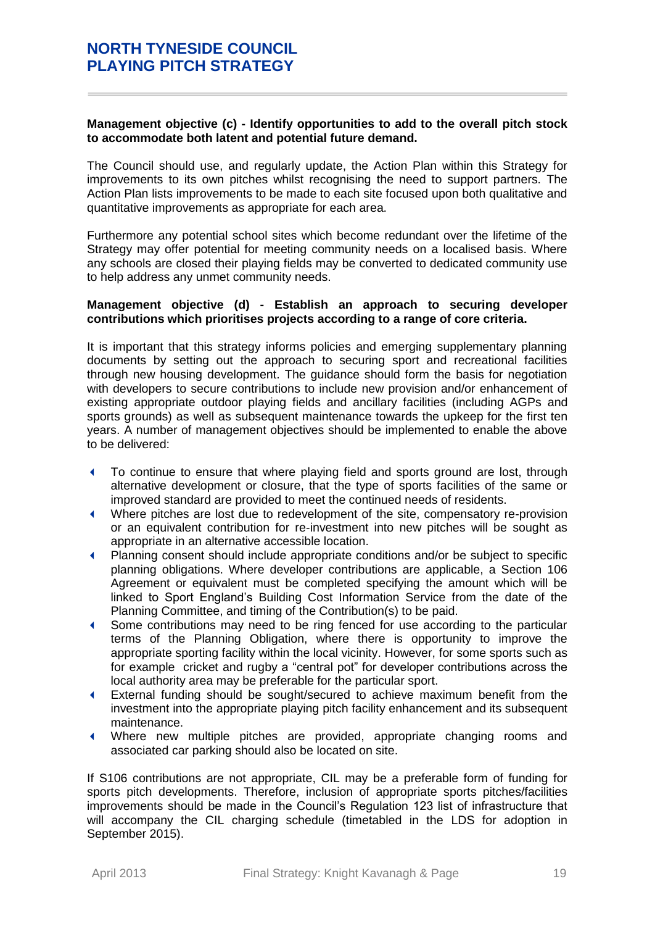### **Management objective (c) - Identify opportunities to add to the overall pitch stock to accommodate both latent and potential future demand.**

The Council should use, and regularly update, the Action Plan within this Strategy for improvements to its own pitches whilst recognising the need to support partners. The Action Plan lists improvements to be made to each site focused upon both qualitative and quantitative improvements as appropriate for each area.

Furthermore any potential school sites which become redundant over the lifetime of the Strategy may offer potential for meeting community needs on a localised basis. Where any schools are closed their playing fields may be converted to dedicated community use to help address any unmet community needs.

#### **Management objective (d) - Establish an approach to securing developer contributions which prioritises projects according to a range of core criteria.**

It is important that this strategy informs policies and emerging supplementary planning documents by setting out the approach to securing sport and recreational facilities through new housing development. The guidance should form the basis for negotiation with developers to secure contributions to include new provision and/or enhancement of existing appropriate outdoor playing fields and ancillary facilities (including AGPs and sports grounds) as well as subsequent maintenance towards the upkeep for the first ten years. A number of management objectives should be implemented to enable the above to be delivered:

- To continue to ensure that where playing field and sports ground are lost, through alternative development or closure, that the type of sports facilities of the same or improved standard are provided to meet the continued needs of residents.
- Where pitches are lost due to redevelopment of the site, compensatory re-provision or an equivalent contribution for re-investment into new pitches will be sought as appropriate in an alternative accessible location.
- Planning consent should include appropriate conditions and/or be subject to specific planning obligations. Where developer contributions are applicable, a Section 106 Agreement or equivalent must be completed specifying the amount which will be linked to Sport England's Building Cost Information Service from the date of the Planning Committee, and timing of the Contribution(s) to be paid.
- Some contributions may need to be ring fenced for use according to the particular terms of the Planning Obligation, where there is opportunity to improve the appropriate sporting facility within the local vicinity. However, for some sports such as for example cricket and rugby a "central pot" for developer contributions across the local authority area may be preferable for the particular sport.
- External funding should be sought/secured to achieve maximum benefit from the investment into the appropriate playing pitch facility enhancement and its subsequent maintenance.
- Where new multiple pitches are provided, appropriate changing rooms and associated car parking should also be located on site.

If S106 contributions are not appropriate, CIL may be a preferable form of funding for sports pitch developments. Therefore, inclusion of appropriate sports pitches/facilities improvements should be made in the Council's Regulation 123 list of infrastructure that will accompany the CIL charging schedule (timetabled in the LDS for adoption in September 2015).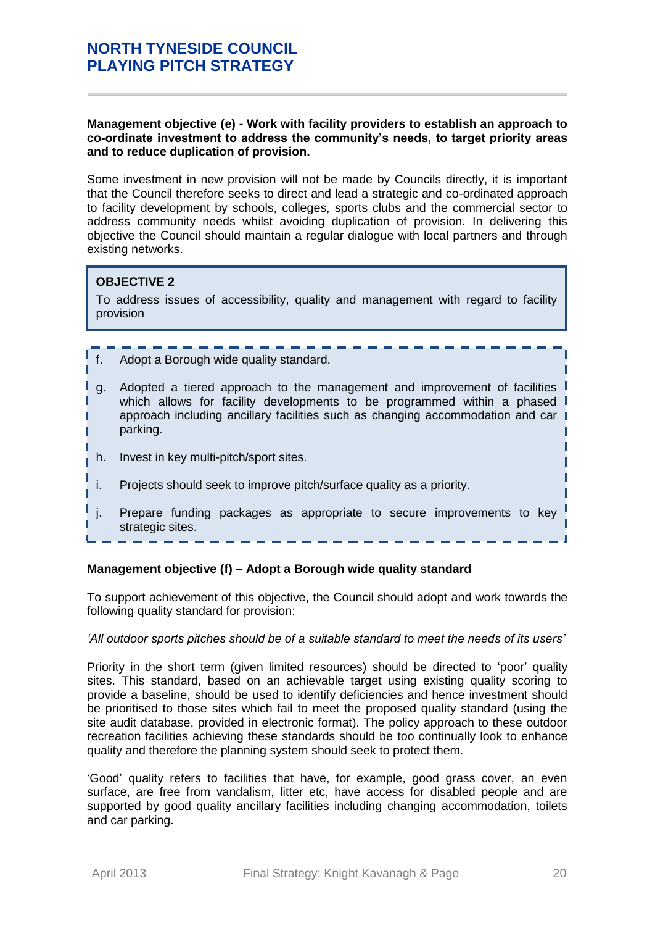#### **Management objective (e) - Work with facility providers to establish an approach to co-ordinate investment to address the community's needs, to target priority areas and to reduce duplication of provision.**

Some investment in new provision will not be made by Councils directly, it is important that the Council therefore seeks to direct and lead a strategic and co-ordinated approach to facility development by schools, colleges, sports clubs and the commercial sector to address community needs whilst avoiding duplication of provision. In delivering this objective the Council should maintain a regular dialogue with local partners and through existing networks.

# **OBJECTIVE 2**

To address issues of accessibility, quality and management with regard to facility provision

### f. Adopt a Borough wide quality standard.

- g. Adopted a tiered approach to the management and improvement of facilities which allows for facility developments to be programmed within a phased approach including ancillary facilities such as changing accommodation and car parking.
- h. Invest in key multi-pitch/sport sites.
- i. Projects should seek to improve pitch/surface quality as a priority.
- j. Prepare funding packages as appropriate to secure improvements to key strategic sites.

#### **Management objective (f) – Adopt a Borough wide quality standard**

To support achievement of this objective, the Council should adopt and work towards the following quality standard for provision:

#### *'All outdoor sports pitches should be of a suitable standard to meet the needs of its users'*

Priority in the short term (given limited resources) should be directed to 'poor' quality sites. This standard, based on an achievable target using existing quality scoring to provide a baseline, should be used to identify deficiencies and hence investment should be prioritised to those sites which fail to meet the proposed quality standard (using the site audit database, provided in electronic format). The policy approach to these outdoor recreation facilities achieving these standards should be too continually look to enhance quality and therefore the planning system should seek to protect them.

'Good' quality refers to facilities that have, for example, good grass cover, an even surface, are free from vandalism, litter etc, have access for disabled people and are supported by good quality ancillary facilities including changing accommodation, toilets and car parking.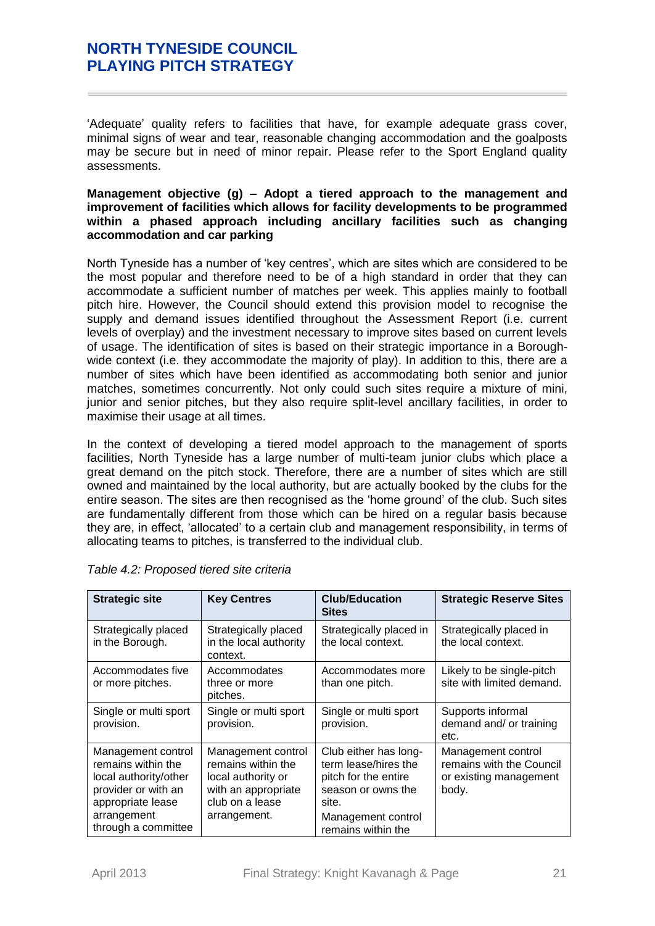'Adequate' quality refers to facilities that have, for example adequate grass cover, minimal signs of wear and tear, reasonable changing accommodation and the goalposts may be secure but in need of minor repair. Please refer to the Sport England quality assessments.

#### **Management objective (g) – Adopt a tiered approach to the management and improvement of facilities which allows for facility developments to be programmed within a phased approach including ancillary facilities such as changing accommodation and car parking**

North Tyneside has a number of 'key centres', which are sites which are considered to be the most popular and therefore need to be of a high standard in order that they can accommodate a sufficient number of matches per week. This applies mainly to football pitch hire. However, the Council should extend this provision model to recognise the supply and demand issues identified throughout the Assessment Report (i.e. current levels of overplay) and the investment necessary to improve sites based on current levels of usage. The identification of sites is based on their strategic importance in a Boroughwide context (i.e. they accommodate the majority of play). In addition to this, there are a number of sites which have been identified as accommodating both senior and junior matches, sometimes concurrently. Not only could such sites require a mixture of mini, junior and senior pitches, but they also require split-level ancillary facilities, in order to maximise their usage at all times.

In the context of developing a tiered model approach to the management of sports facilities, North Tyneside has a large number of multi-team junior clubs which place a great demand on the pitch stock. Therefore, there are a number of sites which are still owned and maintained by the local authority, but are actually booked by the clubs for the entire season. The sites are then recognised as the 'home ground' of the club. Such sites are fundamentally different from those which can be hired on a regular basis because they are, in effect, 'allocated' to a certain club and management responsibility, in terms of allocating teams to pitches, is transferred to the individual club.

| <b>Strategic site</b>                                                                                                                               | <b>Key Centres</b>                                                                                                       | <b>Club/Education</b><br><b>Sites</b>                                                                                                            | <b>Strategic Reserve Sites</b>                                                    |
|-----------------------------------------------------------------------------------------------------------------------------------------------------|--------------------------------------------------------------------------------------------------------------------------|--------------------------------------------------------------------------------------------------------------------------------------------------|-----------------------------------------------------------------------------------|
| Strategically placed<br>in the Borough.                                                                                                             | Strategically placed<br>in the local authority<br>context.                                                               | Strategically placed in<br>the local context.                                                                                                    | Strategically placed in<br>the local context.                                     |
| Accommodates five<br>or more pitches.                                                                                                               | Accommodates<br>three or more<br>pitches.                                                                                | Accommodates more<br>than one pitch.                                                                                                             | Likely to be single-pitch<br>site with limited demand.                            |
| Single or multi sport<br>provision.                                                                                                                 | Single or multi sport<br>provision.                                                                                      | Single or multi sport<br>provision.                                                                                                              | Supports informal<br>demand and/ or training<br>etc.                              |
| Management control<br>remains within the<br>local authority/other<br>provider or with an<br>appropriate lease<br>arrangement<br>through a committee | Management control<br>remains within the<br>local authority or<br>with an appropriate<br>club on a lease<br>arrangement. | Club either has long-<br>term lease/hires the<br>pitch for the entire<br>season or owns the<br>site.<br>Management control<br>remains within the | Management control<br>remains with the Council<br>or existing management<br>body. |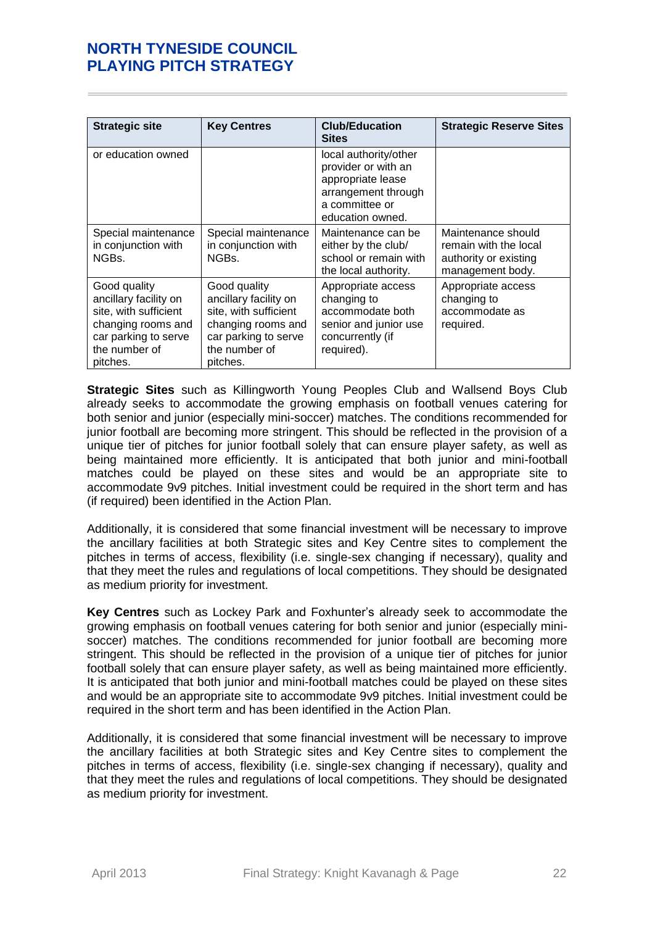| <b>Strategic site</b>                                                                                                                     | <b>Key Centres</b>                                                                                                                        | <b>Club/Education</b><br><b>Sites</b>                                                                                          | <b>Strategic Reserve Sites</b>                                                           |
|-------------------------------------------------------------------------------------------------------------------------------------------|-------------------------------------------------------------------------------------------------------------------------------------------|--------------------------------------------------------------------------------------------------------------------------------|------------------------------------------------------------------------------------------|
| or education owned                                                                                                                        |                                                                                                                                           | local authority/other<br>provider or with an<br>appropriate lease<br>arrangement through<br>a committee or<br>education owned. |                                                                                          |
| Special maintenance<br>in conjunction with<br>NGBs.                                                                                       | Special maintenance<br>in conjunction with<br>NGBs.                                                                                       | Maintenance can be<br>either by the club/<br>school or remain with<br>the local authority.                                     | Maintenance should<br>remain with the local<br>authority or existing<br>management body. |
| Good quality<br>ancillary facility on<br>site, with sufficient<br>changing rooms and<br>car parking to serve<br>the number of<br>pitches. | Good quality<br>ancillary facility on<br>site, with sufficient<br>changing rooms and<br>car parking to serve<br>the number of<br>pitches. | Appropriate access<br>changing to<br>accommodate both<br>senior and junior use<br>concurrently (if<br>required).               | Appropriate access<br>changing to<br>accommodate as<br>required.                         |

**Strategic Sites** such as Killingworth Young Peoples Club and Wallsend Boys Club already seeks to accommodate the growing emphasis on football venues catering for both senior and junior (especially mini-soccer) matches. The conditions recommended for junior football are becoming more stringent. This should be reflected in the provision of a unique tier of pitches for junior football solely that can ensure player safety, as well as being maintained more efficiently. It is anticipated that both junior and mini-football matches could be played on these sites and would be an appropriate site to accommodate 9v9 pitches. Initial investment could be required in the short term and has (if required) been identified in the Action Plan.

Additionally, it is considered that some financial investment will be necessary to improve the ancillary facilities at both Strategic sites and Key Centre sites to complement the pitches in terms of access, flexibility (i.e. single-sex changing if necessary), quality and that they meet the rules and regulations of local competitions. They should be designated as medium priority for investment.

**Key Centres** such as Lockey Park and Foxhunter's already seek to accommodate the growing emphasis on football venues catering for both senior and junior (especially minisoccer) matches. The conditions recommended for junior football are becoming more stringent. This should be reflected in the provision of a unique tier of pitches for junior football solely that can ensure player safety, as well as being maintained more efficiently. It is anticipated that both junior and mini-football matches could be played on these sites and would be an appropriate site to accommodate 9v9 pitches. Initial investment could be required in the short term and has been identified in the Action Plan.

Additionally, it is considered that some financial investment will be necessary to improve the ancillary facilities at both Strategic sites and Key Centre sites to complement the pitches in terms of access, flexibility (i.e. single-sex changing if necessary), quality and that they meet the rules and regulations of local competitions. They should be designated as medium priority for investment.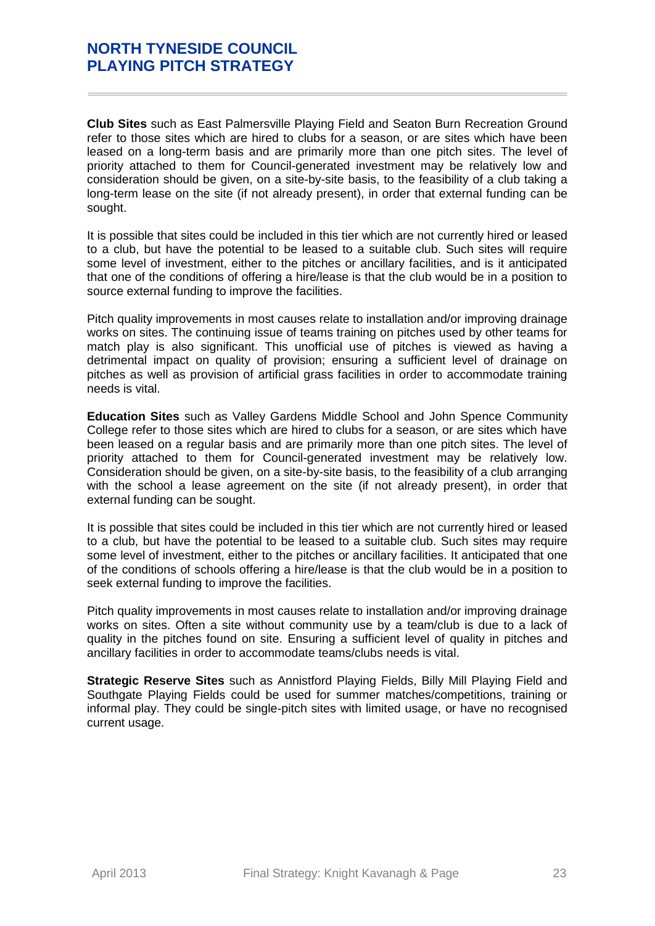**Club Sites** such as East Palmersville Playing Field and Seaton Burn Recreation Ground refer to those sites which are hired to clubs for a season, or are sites which have been leased on a long-term basis and are primarily more than one pitch sites. The level of priority attached to them for Council-generated investment may be relatively low and consideration should be given, on a site-by-site basis, to the feasibility of a club taking a long-term lease on the site (if not already present), in order that external funding can be sought.

It is possible that sites could be included in this tier which are not currently hired or leased to a club, but have the potential to be leased to a suitable club. Such sites will require some level of investment, either to the pitches or ancillary facilities, and is it anticipated that one of the conditions of offering a hire/lease is that the club would be in a position to source external funding to improve the facilities.

Pitch quality improvements in most causes relate to installation and/or improving drainage works on sites. The continuing issue of teams training on pitches used by other teams for match play is also significant. This unofficial use of pitches is viewed as having a detrimental impact on quality of provision; ensuring a sufficient level of drainage on pitches as well as provision of artificial grass facilities in order to accommodate training needs is vital.

**Education Sites** such as Valley Gardens Middle School and John Spence Community College refer to those sites which are hired to clubs for a season, or are sites which have been leased on a regular basis and are primarily more than one pitch sites. The level of priority attached to them for Council-generated investment may be relatively low. Consideration should be given, on a site-by-site basis, to the feasibility of a club arranging with the school a lease agreement on the site (if not already present), in order that external funding can be sought.

It is possible that sites could be included in this tier which are not currently hired or leased to a club, but have the potential to be leased to a suitable club. Such sites may require some level of investment, either to the pitches or ancillary facilities. It anticipated that one of the conditions of schools offering a hire/lease is that the club would be in a position to seek external funding to improve the facilities.

Pitch quality improvements in most causes relate to installation and/or improving drainage works on sites. Often a site without community use by a team/club is due to a lack of quality in the pitches found on site. Ensuring a sufficient level of quality in pitches and ancillary facilities in order to accommodate teams/clubs needs is vital.

**Strategic Reserve Sites** such as Annistford Playing Fields, Billy Mill Playing Field and Southgate Playing Fields could be used for summer matches/competitions, training or informal play. They could be single-pitch sites with limited usage, or have no recognised current usage.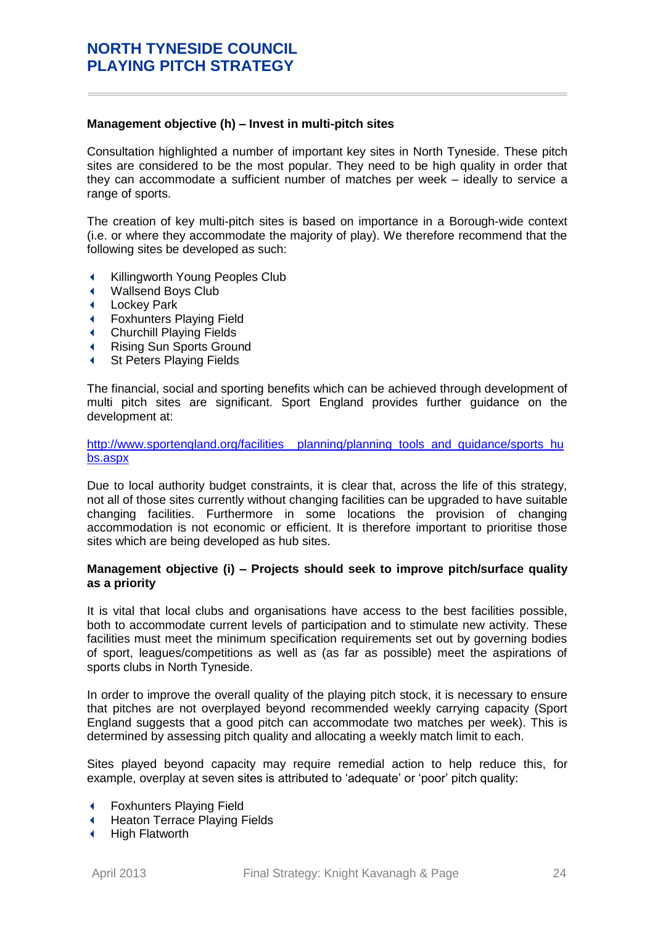#### **Management objective (h) – Invest in multi-pitch sites**

Consultation highlighted a number of important key sites in North Tyneside. These pitch sites are considered to be the most popular. They need to be high quality in order that they can accommodate a sufficient number of matches per week – ideally to service a range of sports.

The creation of key multi-pitch sites is based on importance in a Borough-wide context (i.e. or where they accommodate the majority of play). We therefore recommend that the following sites be developed as such:

- **Killingworth Young Peoples Club**
- Wallsend Boys Club
- Lockey Park
- Foxhunters Playing Field
- Churchill Playing Fields
- Rising Sun Sports Ground
- St Peters Playing Fields

The financial, social and sporting benefits which can be achieved through development of multi pitch sites are significant. Sport England provides further guidance on the development at:

[http://www.sportengland.org/facilities\\_\\_planning/planning\\_tools\\_and\\_guidance/sports\\_hu](http://www.sportengland.org/facilities__planning/planning_tools_and_guidance/sports_hubs.aspx) [bs.aspx](http://www.sportengland.org/facilities__planning/planning_tools_and_guidance/sports_hubs.aspx)

Due to local authority budget constraints, it is clear that, across the life of this strategy, not all of those sites currently without changing facilities can be upgraded to have suitable changing facilities. Furthermore in some locations the provision of changing accommodation is not economic or efficient. It is therefore important to prioritise those sites which are being developed as hub sites.

### **Management objective (i) – Projects should seek to improve pitch/surface quality as a priority**

It is vital that local clubs and organisations have access to the best facilities possible, both to accommodate current levels of participation and to stimulate new activity. These facilities must meet the minimum specification requirements set out by governing bodies of sport, leagues/competitions as well as (as far as possible) meet the aspirations of sports clubs in North Tyneside.

In order to improve the overall quality of the playing pitch stock, it is necessary to ensure that pitches are not overplayed beyond recommended weekly carrying capacity (Sport England suggests that a good pitch can accommodate two matches per week). This is determined by assessing pitch quality and allocating a weekly match limit to each.

Sites played beyond capacity may require remedial action to help reduce this, for example, overplay at seven sites is attributed to 'adequate' or 'poor' pitch quality:

- Foxhunters Playing Field
- ← Heaton Terrace Playing Fields
- ← High Flatworth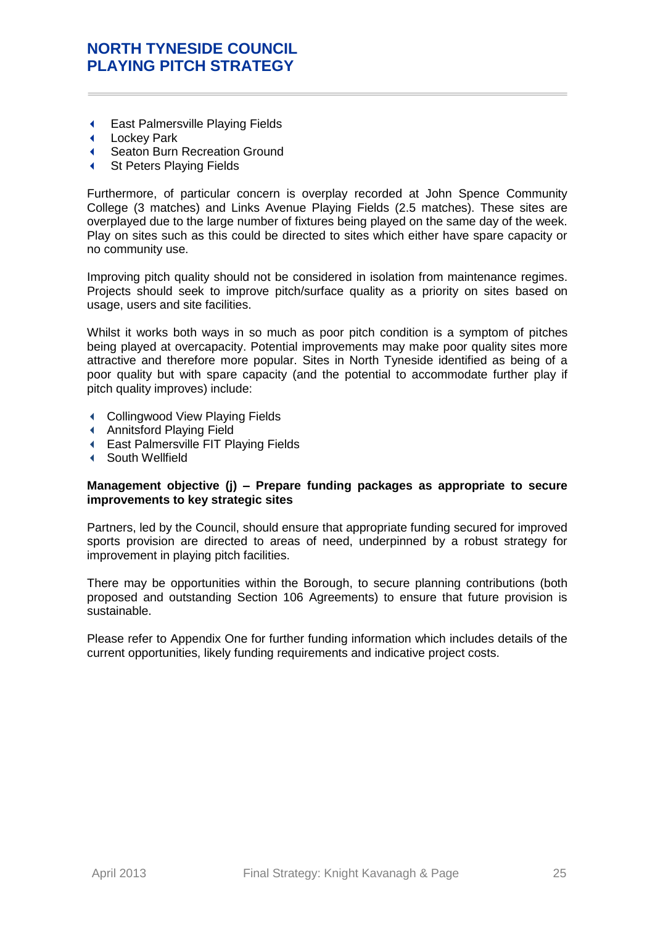- East Palmersville Playing Fields
- Lockey Park
- Seaton Burn Recreation Ground
- St Peters Playing Fields

Furthermore, of particular concern is overplay recorded at John Spence Community College (3 matches) and Links Avenue Playing Fields (2.5 matches). These sites are overplayed due to the large number of fixtures being played on the same day of the week. Play on sites such as this could be directed to sites which either have spare capacity or no community use.

Improving pitch quality should not be considered in isolation from maintenance regimes. Projects should seek to improve pitch/surface quality as a priority on sites based on usage, users and site facilities.

Whilst it works both ways in so much as poor pitch condition is a symptom of pitches being played at overcapacity. Potential improvements may make poor quality sites more attractive and therefore more popular. Sites in North Tyneside identified as being of a poor quality but with spare capacity (and the potential to accommodate further play if pitch quality improves) include:

- Collingwood View Playing Fields
- Annitsford Playing Field
- East Palmersville FIT Playing Fields
- South Wellfield

#### **Management objective (j) – Prepare funding packages as appropriate to secure improvements to key strategic sites**

Partners, led by the Council, should ensure that appropriate funding secured for improved sports provision are directed to areas of need, underpinned by a robust strategy for improvement in playing pitch facilities.

There may be opportunities within the Borough, to secure planning contributions (both proposed and outstanding Section 106 Agreements) to ensure that future provision is sustainable.

Please refer to Appendix One for further funding information which includes details of the current opportunities, likely funding requirements and indicative project costs.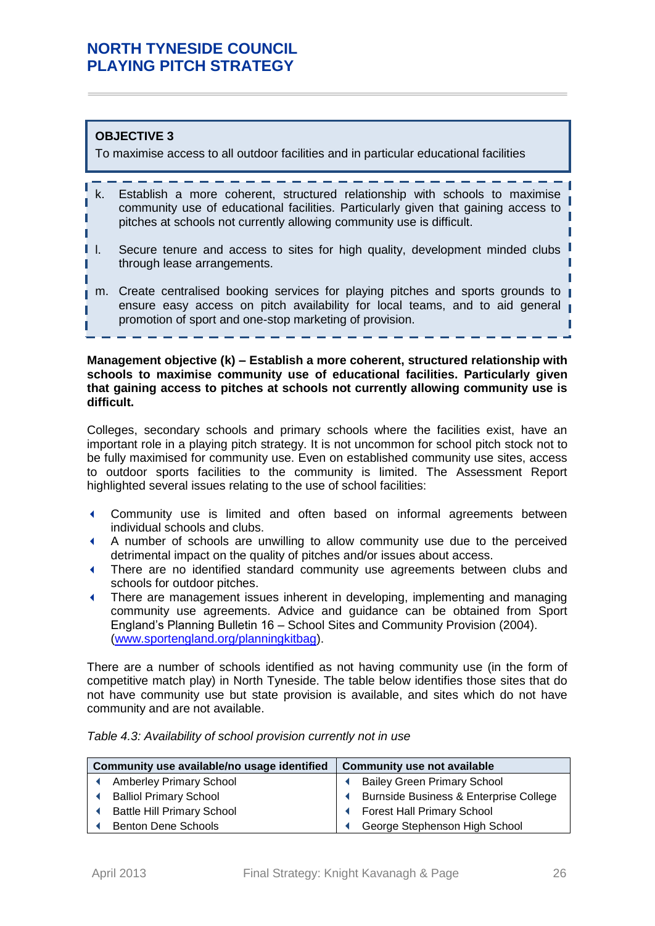# **OBJECTIVE 3**

To maximise access to all outdoor facilities and in particular educational facilities

- k. Establish a more coherent, structured relationship with schools to maximise community use of educational facilities. Particularly given that gaining access to pitches at schools not currently allowing community use is difficult.
- Π l. Secure tenure and access to sites for high quality, development minded clubs through lease arrangements.
- m. Create centralised booking services for playing pitches and sports grounds to ensure easy access on pitch availability for local teams, and to aid general promotion of sport and one-stop marketing of provision.

**Management objective (k) – Establish a more coherent, structured relationship with schools to maximise community use of educational facilities. Particularly given that gaining access to pitches at schools not currently allowing community use is difficult.**

Colleges, secondary schools and primary schools where the facilities exist, have an important role in a playing pitch strategy. It is not uncommon for school pitch stock not to be fully maximised for community use. Even on established community use sites, access to outdoor sports facilities to the community is limited. The Assessment Report highlighted several issues relating to the use of school facilities:

- Community use is limited and often based on informal agreements between individual schools and clubs.
- A number of schools are unwilling to allow community use due to the perceived detrimental impact on the quality of pitches and/or issues about access.
- There are no identified standard community use agreements between clubs and schools for outdoor pitches.
- There are management issues inherent in developing, implementing and managing community use agreements. Advice and guidance can be obtained from Sport England's Planning Bulletin 16 – School Sites and Community Provision (2004). [\(www.sportengland.org/planningkitbag\)](http://www.sportengland.org/planningkitbag).

There are a number of schools identified as not having community use (in the form of competitive match play) in North Tyneside. The table below identifies those sites that do not have community use but state provision is available, and sites which do not have community and are not available.

| Table 4.3: Availability of school provision currently not in use |  |  |  |
|------------------------------------------------------------------|--|--|--|
|------------------------------------------------------------------|--|--|--|

| Community use available/no usage identified |                                   | <b>Community use not available</b>     |  |  |
|---------------------------------------------|-----------------------------------|----------------------------------------|--|--|
|                                             | <b>Amberley Primary School</b>    | <b>Bailey Green Primary School</b>     |  |  |
|                                             | <b>Balliol Primary School</b>     | Burnside Business & Enterprise College |  |  |
|                                             | <b>Battle Hill Primary School</b> | <b>Forest Hall Primary School</b>      |  |  |
|                                             | <b>Benton Dene Schools</b>        | George Stephenson High School          |  |  |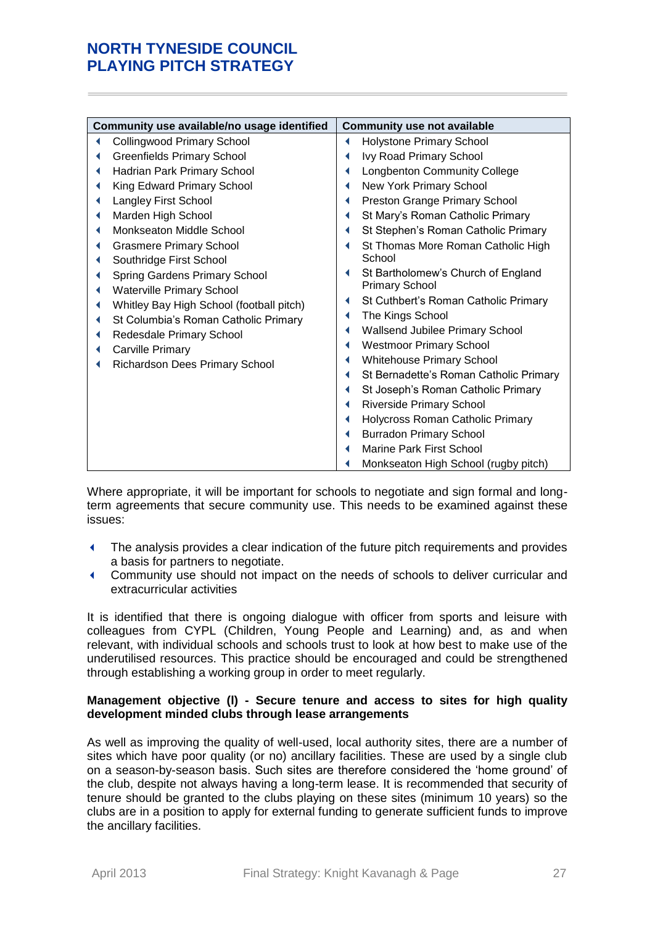| Community use available/no usage identified |                                          |   | <b>Community use not available</b>     |
|---------------------------------------------|------------------------------------------|---|----------------------------------------|
|                                             | <b>Collingwood Primary School</b>        | ◀ | <b>Holystone Primary School</b>        |
|                                             | <b>Greenfields Primary School</b>        |   | Ivy Road Primary School                |
|                                             | Hadrian Park Primary School              |   | <b>Longbenton Community College</b>    |
|                                             | King Edward Primary School               | ◀ | New York Primary School                |
|                                             | Langley First School                     | ◀ | Preston Grange Primary School          |
|                                             | Marden High School                       | ◀ | St Mary's Roman Catholic Primary       |
|                                             | Monkseaton Middle School                 | ◀ | St Stephen's Roman Catholic Primary    |
|                                             | <b>Grasmere Primary School</b>           | ◀ | St Thomas More Roman Catholic High     |
|                                             | Southridge First School                  |   | School                                 |
|                                             | <b>Spring Gardens Primary School</b>     | ◀ | St Bartholomew's Church of England     |
|                                             | <b>Waterville Primary School</b>         |   | <b>Primary School</b>                  |
|                                             | Whitley Bay High School (football pitch) |   | St Cuthbert's Roman Catholic Primary   |
|                                             | St Columbia's Roman Catholic Primary     | ◀ | The Kings School                       |
|                                             | Redesdale Primary School                 | ◀ | <b>Wallsend Jubilee Primary School</b> |
|                                             | <b>Carville Primary</b>                  | ◀ | <b>Westmoor Primary School</b>         |
|                                             | Richardson Dees Primary School           | ◀ | <b>Whitehouse Primary School</b>       |
|                                             |                                          | ∢ | St Bernadette's Roman Catholic Primary |
|                                             |                                          | ∢ | St Joseph's Roman Catholic Primary     |
|                                             |                                          | ◀ | <b>Riverside Primary School</b>        |
|                                             |                                          | ◀ | Holycross Roman Catholic Primary       |
|                                             |                                          | ◀ | <b>Burradon Primary School</b>         |
|                                             |                                          |   | Marine Park First School               |
|                                             |                                          |   | Monkseaton High School (rugby pitch)   |

Where appropriate, it will be important for schools to negotiate and sign formal and longterm agreements that secure community use. This needs to be examined against these issues:

- The analysis provides a clear indication of the future pitch requirements and provides a basis for partners to negotiate.
- Community use should not impact on the needs of schools to deliver curricular and extracurricular activities

It is identified that there is ongoing dialogue with officer from sports and leisure with colleagues from CYPL (Children, Young People and Learning) and, as and when relevant, with individual schools and schools trust to look at how best to make use of the underutilised resources. This practice should be encouraged and could be strengthened through establishing a working group in order to meet regularly.

### **Management objective (l) - Secure tenure and access to sites for high quality development minded clubs through lease arrangements**

As well as improving the quality of well-used, local authority sites, there are a number of sites which have poor quality (or no) ancillary facilities. These are used by a single club on a season-by-season basis. Such sites are therefore considered the 'home ground' of the club, despite not always having a long-term lease. It is recommended that security of tenure should be granted to the clubs playing on these sites (minimum 10 years) so the clubs are in a position to apply for external funding to generate sufficient funds to improve the ancillary facilities.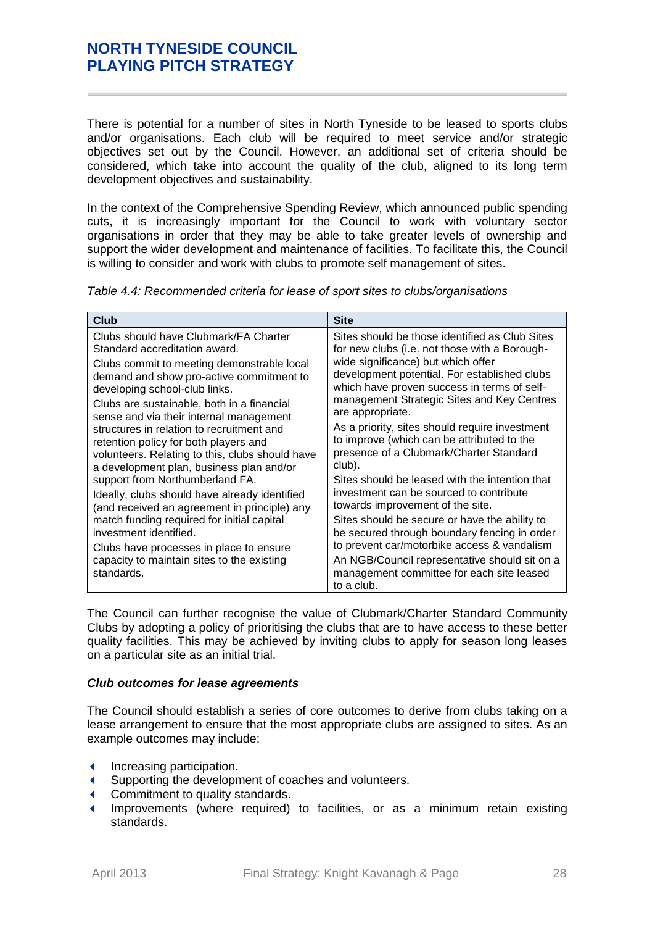There is potential for a number of sites in North Tyneside to be leased to sports clubs and/or organisations. Each club will be required to meet service and/or strategic objectives set out by the Council. However, an additional set of criteria should be considered, which take into account the quality of the club, aligned to its long term development objectives and sustainability.

In the context of the Comprehensive Spending Review, which announced public spending cuts, it is increasingly important for the Council to work with voluntary sector organisations in order that they may be able to take greater levels of ownership and support the wider development and maintenance of facilities. To facilitate this, the Council is willing to consider and work with clubs to promote self management of sites.

| Club                                                     | <b>Site</b>                                                                                              |
|----------------------------------------------------------|----------------------------------------------------------------------------------------------------------|
| Clubs should have Clubmark/FA Charter                    | Sites should be those identified as Club Sites                                                           |
| Standard accreditation award.                            | for new clubs (i.e. not those with a Borough-                                                            |
| Clubs commit to meeting demonstrable local               | wide significance) but which offer                                                                       |
| demand and show pro-active commitment to                 | development potential. For established clubs                                                             |
| developing school-club links.                            | which have proven success in terms of self-                                                              |
| Clubs are sustainable, both in a financial               | management Strategic Sites and Key Centres                                                               |
| sense and via their internal management                  | are appropriate.                                                                                         |
| structures in relation to recruitment and                | As a priority, sites should require investment                                                           |
| retention policy for both players and                    | to improve (which can be attributed to the                                                               |
| volunteers. Relating to this, clubs should have          | presence of a Clubmark/Charter Standard                                                                  |
| a development plan, business plan and/or                 | club).                                                                                                   |
| support from Northumberland FA.                          | Sites should be leased with the intention that                                                           |
| Ideally, clubs should have already identified            | investment can be sourced to contribute                                                                  |
| (and received an agreement in principle) any             | towards improvement of the site.                                                                         |
| match funding required for initial capital               | Sites should be secure or have the ability to                                                            |
| investment identified.                                   | be secured through boundary fencing in order                                                             |
| Clubs have processes in place to ensure                  | to prevent car/motorbike access & vandalism                                                              |
| capacity to maintain sites to the existing<br>standards. | An NGB/Council representative should sit on a<br>management committee for each site leased<br>to a club. |

*Table 4.4: Recommended criteria for lease of sport sites to clubs/organisations*

The Council can further recognise the value of Clubmark/Charter Standard Community Clubs by adopting a policy of prioritising the clubs that are to have access to these better quality facilities. This may be achieved by inviting clubs to apply for season long leases on a particular site as an initial trial.

### *Club outcomes for lease agreements*

The Council should establish a series of core outcomes to derive from clubs taking on a lease arrangement to ensure that the most appropriate clubs are assigned to sites. As an example outcomes may include:

- Increasing participation.
- Supporting the development of coaches and volunteers.
- Commitment to quality standards.
- Improvements (where required) to facilities, or as a minimum retain existing standards.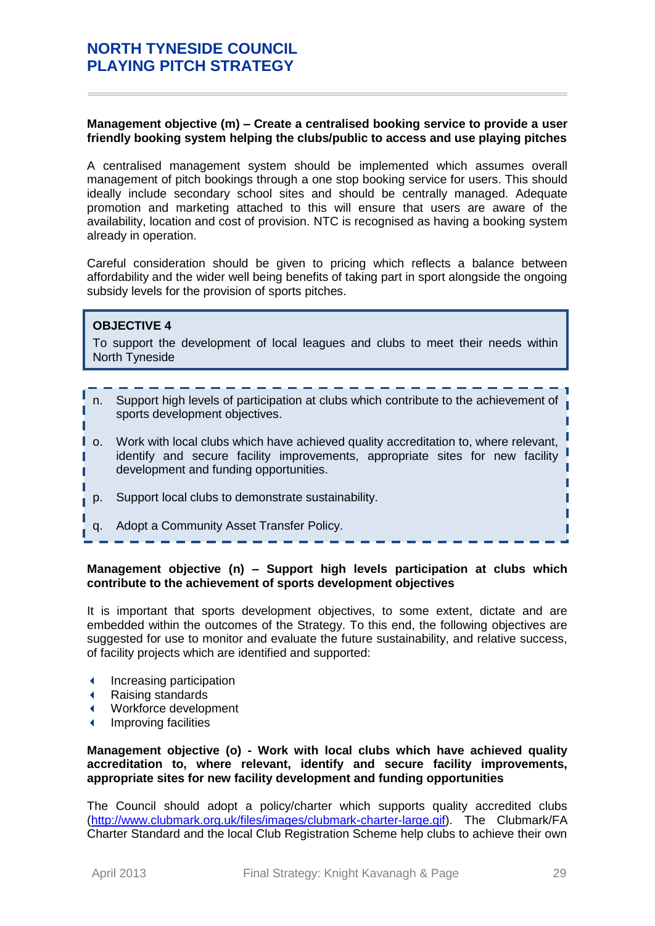### **Management objective (m) – Create a centralised booking service to provide a user friendly booking system helping the clubs/public to access and use playing pitches**

A centralised management system should be implemented which assumes overall management of pitch bookings through a one stop booking service for users. This should ideally include secondary school sites and should be centrally managed. Adequate promotion and marketing attached to this will ensure that users are aware of the availability, location and cost of provision. NTC is recognised as having a booking system already in operation.

Careful consideration should be given to pricing which reflects a balance between affordability and the wider well being benefits of taking part in sport alongside the ongoing subsidy levels for the provision of sports pitches.

### **OBJECTIVE 4**

To support the development of local leagues and clubs to meet their needs within North Tyneside

- n. Support high levels of participation at clubs which contribute to the achievement of sports development objectives.
- o. Work with local clubs which have achieved quality accreditation to, where relevant, identify and secure facility improvements, appropriate sites for new facility development and funding opportunities.
- p. Support local clubs to demonstrate sustainability.
- q. Adopt a Community Asset Transfer Policy.

### **Management objective (n) – Support high levels participation at clubs which contribute to the achievement of sports development objectives**

It is important that sports development objectives, to some extent, dictate and are embedded within the outcomes of the Strategy. To this end, the following objectives are suggested for use to monitor and evaluate the future sustainability, and relative success, of facility projects which are identified and supported:

- ◆ Increasing participation
- Raising standards
- Workforce development
- Improving facilities

**Management objective (o) - Work with local clubs which have achieved quality accreditation to, where relevant, identify and secure facility improvements, appropriate sites for new facility development and funding opportunities**

The Council should adopt a policy/charter which supports quality accredited clubs [\(http://www.clubmark.org.uk/files/images/clubmark-charter-large.gif\)](http://www.clubmark.org.uk/files/images/clubmark-charter-large.gif). The Clubmark/FA Charter Standard and the local Club Registration Scheme help clubs to achieve their own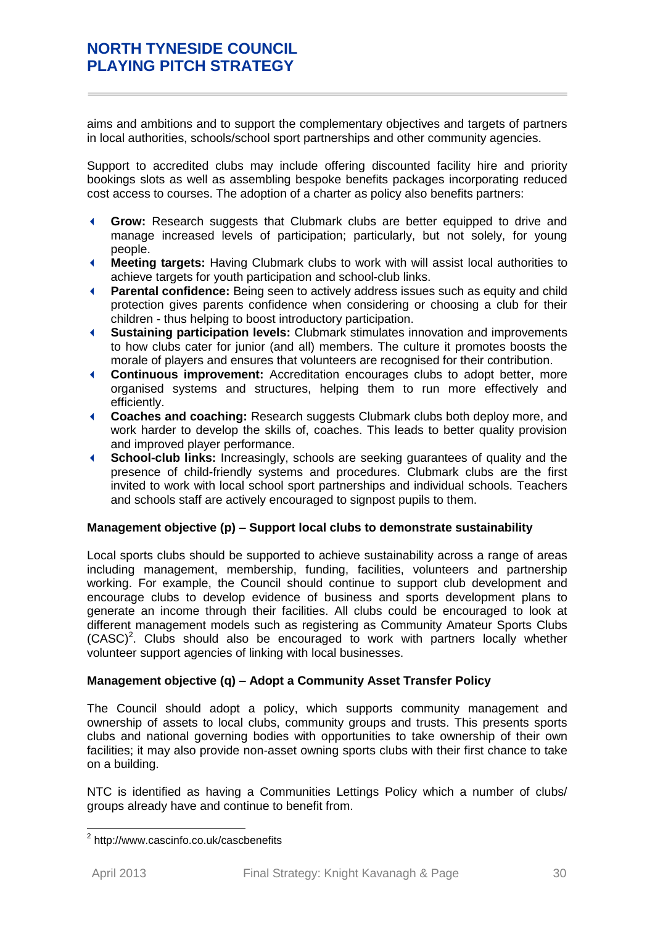aims and ambitions and to support the complementary objectives and targets of partners in local authorities, schools/school sport partnerships and other community agencies.

Support to accredited clubs may include offering discounted facility hire and priority bookings slots as well as assembling bespoke benefits packages incorporating reduced cost access to courses. The adoption of a charter as policy also benefits partners:

- **Grow:** Research suggests that Clubmark clubs are better equipped to drive and manage increased levels of participation; particularly, but not solely, for young people.
- **Meeting targets:** Having Clubmark clubs to work with will assist local authorities to achieve targets for youth participation and school-club links.
- **Parental confidence:** Being seen to actively address issues such as equity and child protection gives parents confidence when considering or choosing a club for their children - thus helping to boost introductory participation.
- **Sustaining participation levels:** Clubmark stimulates innovation and improvements to how clubs cater for junior (and all) members. The culture it promotes boosts the morale of players and ensures that volunteers are recognised for their contribution.
- **Continuous improvement:** Accreditation encourages clubs to adopt better, more organised systems and structures, helping them to run more effectively and efficiently.
- **Coaches and coaching:** Research suggests Clubmark clubs both deploy more, and work harder to develop the skills of, coaches. This leads to better quality provision and improved player performance.
- **School-club links:** Increasingly, schools are seeking guarantees of quality and the presence of child-friendly systems and procedures. Clubmark clubs are the first invited to work with local school sport partnerships and individual schools. Teachers and schools staff are actively encouraged to signpost pupils to them.

### **Management objective (p) – Support local clubs to demonstrate sustainability**

Local sports clubs should be supported to achieve sustainability across a range of areas including management, membership, funding, facilities, volunteers and partnership working. For example, the Council should continue to support club development and encourage clubs to develop evidence of business and sports development plans to generate an income through their facilities. All clubs could be encouraged to look at different management models such as registering as Community Amateur Sports Clubs  $(CASC)^2$ . Clubs should also be encouraged to work with partners locally whether volunteer support agencies of linking with local businesses.

### **Management objective (q) – Adopt a Community Asset Transfer Policy**

The Council should adopt a policy, which supports community management and ownership of assets to local clubs, community groups and trusts. This presents sports clubs and national governing bodies with opportunities to take ownership of their own facilities; it may also provide non-asset owning sports clubs with their first chance to take on a building.

NTC is identified as having a Communities Lettings Policy which a number of clubs/ groups already have and continue to benefit from.

 2 http://www.cascinfo.co.uk/cascbenefits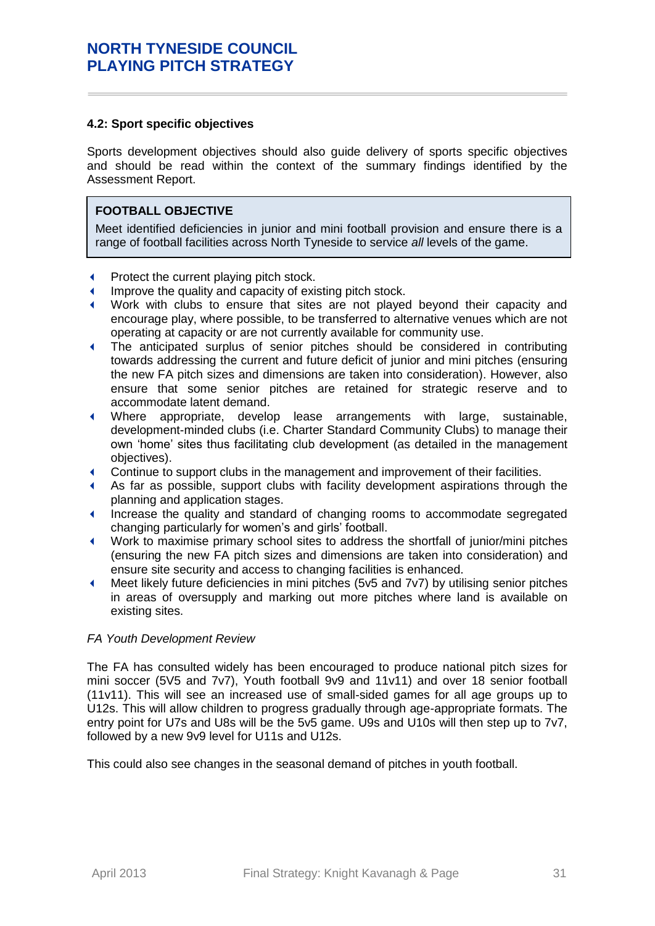### **4.2: Sport specific objectives**

Sports development objectives should also guide delivery of sports specific objectives and should be read within the context of the summary findings identified by the Assessment Report.

# **FOOTBALL OBJECTIVE**

Meet identified deficiencies in junior and mini football provision and ensure there is a range of football facilities across North Tyneside to service *all* levels of the game.

- **Protect the current playing pitch stock.**
- Improve the quality and capacity of existing pitch stock.
- Work with clubs to ensure that sites are not played beyond their capacity and encourage play, where possible, to be transferred to alternative venues which are not operating at capacity or are not currently available for community use.
- The anticipated surplus of senior pitches should be considered in contributing towards addressing the current and future deficit of junior and mini pitches (ensuring the new FA pitch sizes and dimensions are taken into consideration). However, also ensure that some senior pitches are retained for strategic reserve and to accommodate latent demand.
- Where appropriate, develop lease arrangements with large, sustainable, development-minded clubs (i.e. Charter Standard Community Clubs) to manage their own 'home' sites thus facilitating club development (as detailed in the management objectives).
- Continue to support clubs in the management and improvement of their facilities.
- As far as possible, support clubs with facility development aspirations through the planning and application stages.
- Increase the quality and standard of changing rooms to accommodate segregated changing particularly for women's and girls' football.
- Work to maximise primary school sites to address the shortfall of junior/mini pitches (ensuring the new FA pitch sizes and dimensions are taken into consideration) and ensure site security and access to changing facilities is enhanced.
- Meet likely future deficiencies in mini pitches (5v5 and 7v7) by utilising senior pitches in areas of oversupply and marking out more pitches where land is available on existing sites.

### *FA Youth Development Review*

The FA has consulted widely has been encouraged to produce national pitch sizes for mini soccer (5V5 and 7v7), Youth football 9v9 and 11v11) and over 18 senior football (11v11). This will see an increased use of small-sided games for all age groups up to U12s. This will allow children to progress gradually through age-appropriate formats. The entry point for U7s and U8s will be the 5v5 game. U9s and U10s will then step up to 7v7, followed by a new 9v9 level for U11s and U12s.

This could also see changes in the seasonal demand of pitches in youth football.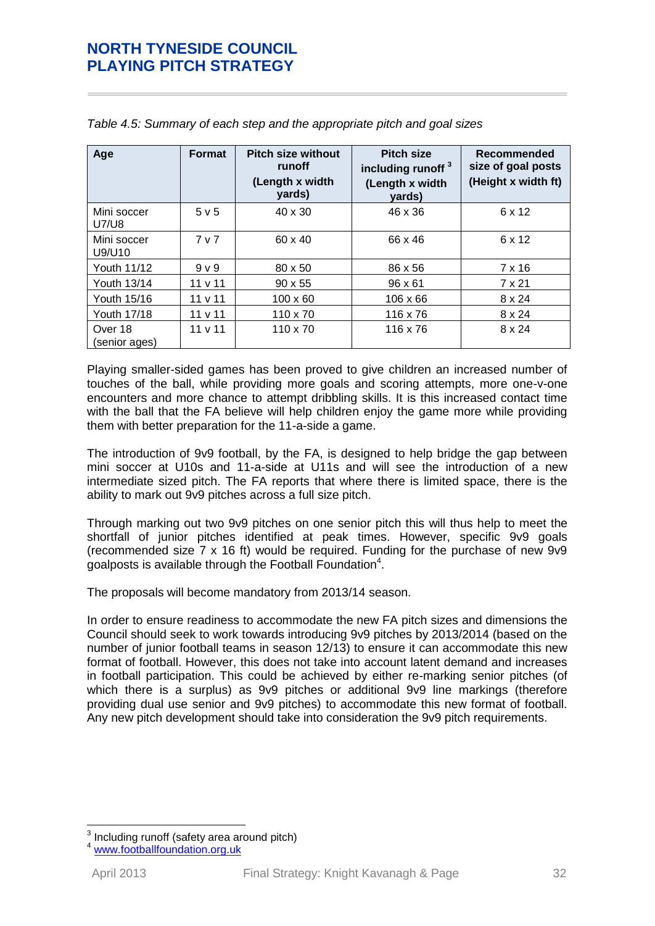| Age                         | <b>Format</b>  | <b>Pitch size without</b><br>runoff<br>(Length x width<br>yards) | <b>Pitch size</b><br>including runoff <sup>3</sup><br>(Length x width<br>yards) | Recommended<br>size of goal posts<br>(Height x width ft) |
|-----------------------------|----------------|------------------------------------------------------------------|---------------------------------------------------------------------------------|----------------------------------------------------------|
| Mini soccer<br><b>U7/U8</b> | 5 v 5          | $40 \times 30$                                                   | 46 x 36                                                                         | 6 x 12                                                   |
| Mini soccer<br>U9/U10       | 7 <sub>v</sub> | 60 x 40                                                          | 66 x 46                                                                         | 6 x 12                                                   |
| Youth 11/12                 | 9 <sub>V</sub> | 80 x 50                                                          | 86 x 56                                                                         | 7 x 16                                                   |
| Youth 13/14                 | 11 v 11        | $90 \times 55$                                                   | $96 \times 61$                                                                  | 7 x 21                                                   |
| Youth 15/16                 | 11 v 11        | $100 \times 60$                                                  | $106 \times 66$                                                                 | $8 \times 24$                                            |
| <b>Youth 17/18</b>          | 11 v 11        | $110 \times 70$                                                  | 116 x 76                                                                        | $8 \times 24$                                            |
| Over 18<br>(senior ages)    | 11 v 11        | $110 \times 70$                                                  | 116 x 76                                                                        | 8 x 24                                                   |

*Table 4.5: Summary of each step and the appropriate pitch and goal sizes*

Playing smaller-sided games has been proved to give children an increased number of touches of the ball, while providing more goals and scoring attempts, more one-v-one encounters and more chance to attempt dribbling skills. It is this increased contact time with the ball that the FA believe will help children enjoy the game more while providing them with better preparation for the 11-a-side a game.

The introduction of 9v9 football, by the FA, is designed to help bridge the gap between mini soccer at U10s and 11-a-side at U11s and will see the introduction of a new intermediate sized pitch. The FA reports that where there is limited space, there is the ability to mark out 9v9 pitches across a full size pitch.

Through marking out two 9v9 pitches on one senior pitch this will thus help to meet the shortfall of junior pitches identified at peak times. However, specific 9v9 goals (recommended size 7 x 16 ft) would be required. Funding for the purchase of new 9v9 goalposts is available through the Football Foundation<sup>4</sup>.

The proposals will become mandatory from 2013/14 season.

In order to ensure readiness to accommodate the new FA pitch sizes and dimensions the Council should seek to work towards introducing 9v9 pitches by 2013/2014 (based on the number of junior football teams in season 12/13) to ensure it can accommodate this new format of football. However, this does not take into account latent demand and increases in football participation. This could be achieved by either re-marking senior pitches (of which there is a surplus) as 9v9 pitches or additional 9v9 line markings (therefore providing dual use senior and 9v9 pitches) to accommodate this new format of football. Any new pitch development should take into consideration the 9v9 pitch requirements.

<sup>3</sup> Including runoff (safety area around pitch)

[www.footballfoundation.org.uk](http://www.footballfoundation.org.uk/)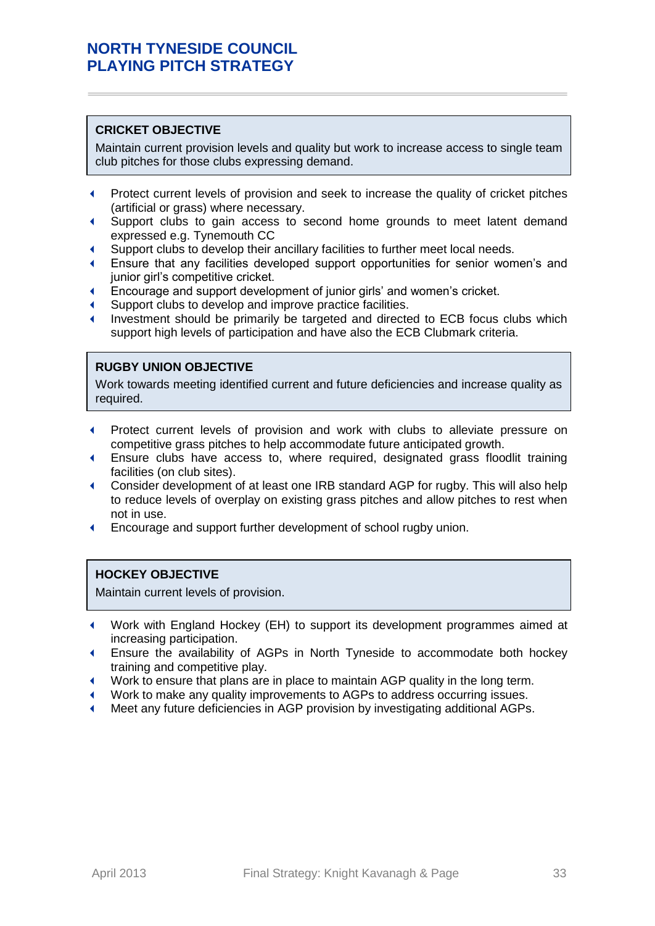### **CRICKET OBJECTIVE**

Maintain current provision levels and quality but work to increase access to single team club pitches for those clubs expressing demand.

- **Protect current levels of provision and seek to increase the quality of cricket pitches** (artificial or grass) where necessary.
- Support clubs to gain access to second home grounds to meet latent demand expressed e.g. Tynemouth CC
- Support clubs to develop their ancillary facilities to further meet local needs.
- Ensure that any facilities developed support opportunities for senior women's and junior girl's competitive cricket.
- Encourage and support development of junior girls' and women's cricket.
- Support clubs to develop and improve practice facilities.
- Investment should be primarily be targeted and directed to ECB focus clubs which support high levels of participation and have also the ECB Clubmark criteria.

# **RUGBY UNION OBJECTIVE**

Work towards meeting identified current and future deficiencies and increase quality as required.

- Protect current levels of provision and work with clubs to alleviate pressure on competitive grass pitches to help accommodate future anticipated growth.
- Ensure clubs have access to, where required, designated grass floodlit training facilities (on club sites).
- Consider development of at least one IRB standard AGP for rugby. This will also help to reduce levels of overplay on existing grass pitches and allow pitches to rest when not in use.
- Encourage and support further development of school rugby union.

#### **HOCKEY OBJECTIVE**

Maintain current levels of provision.

- Work with England Hockey (EH) to support its development programmes aimed at increasing participation.
- Ensure the availability of AGPs in North Tyneside to accommodate both hockey training and competitive play.
- Work to ensure that plans are in place to maintain AGP quality in the long term.
- Work to make any quality improvements to AGPs to address occurring issues.
- Meet any future deficiencies in AGP provision by investigating additional AGPs.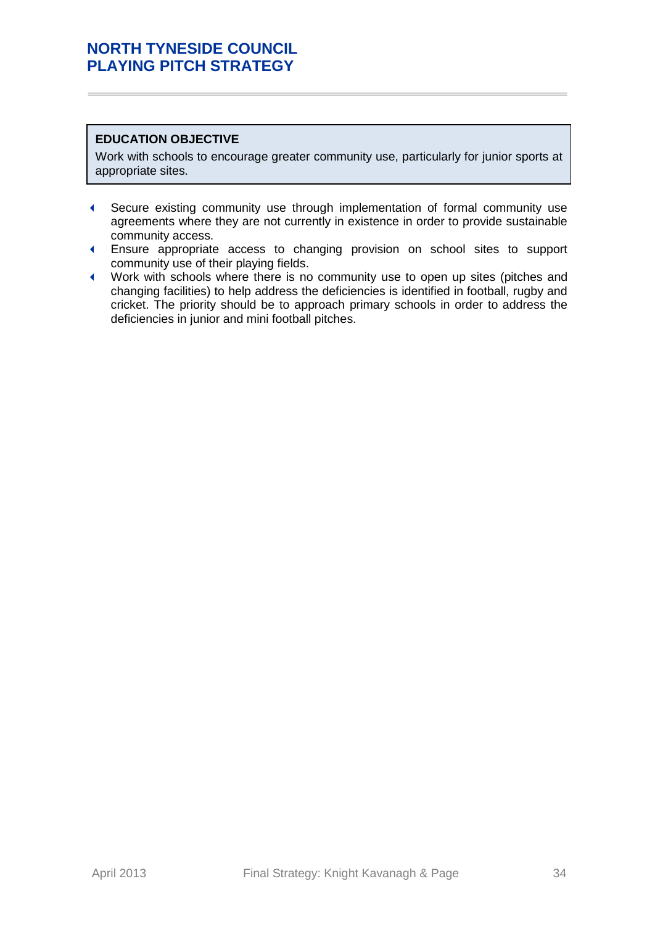# **EDUCATION OBJECTIVE**

Work with schools to encourage greater community use, particularly for junior sports at appropriate sites.

- Secure existing community use through implementation of formal community use agreements where they are not currently in existence in order to provide sustainable community access.
- Ensure appropriate access to changing provision on school sites to support community use of their playing fields.
- Work with schools where there is no community use to open up sites (pitches and changing facilities) to help address the deficiencies is identified in football, rugby and cricket. The priority should be to approach primary schools in order to address the deficiencies in junior and mini football pitches.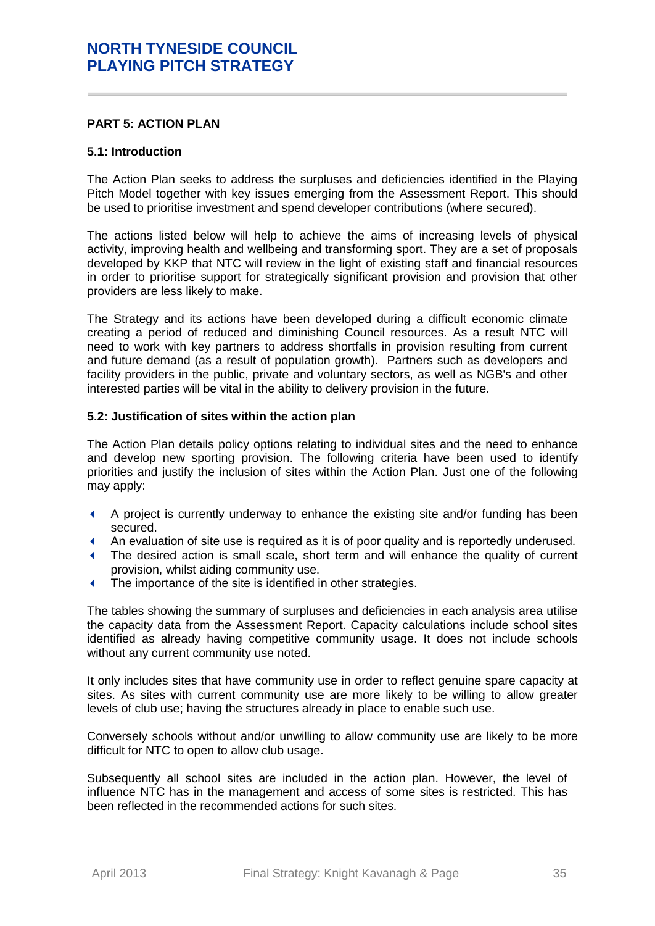### <span id="page-34-0"></span>**PART 5: ACTION PLAN**

#### **5.1: Introduction**

The Action Plan seeks to address the surpluses and deficiencies identified in the Playing Pitch Model together with key issues emerging from the Assessment Report. This should be used to prioritise investment and spend developer contributions (where secured).

The actions listed below will help to achieve the aims of increasing levels of physical activity, improving health and wellbeing and transforming sport. They are a set of proposals developed by KKP that NTC will review in the light of existing staff and financial resources in order to prioritise support for strategically significant provision and provision that other providers are less likely to make.

The Strategy and its actions have been developed during a difficult economic climate creating a period of reduced and diminishing Council resources. As a result NTC will need to work with key partners to address shortfalls in provision resulting from current and future demand (as a result of population growth). Partners such as developers and facility providers in the public, private and voluntary sectors, as well as NGB's and other interested parties will be vital in the ability to delivery provision in the future.

#### **5.2: Justification of sites within the action plan**

The Action Plan details policy options relating to individual sites and the need to enhance and develop new sporting provision. The following criteria have been used to identify priorities and justify the inclusion of sites within the Action Plan. Just one of the following may apply:

- A project is currently underway to enhance the existing site and/or funding has been secured.
- An evaluation of site use is required as it is of poor quality and is reportedly underused.
- The desired action is small scale, short term and will enhance the quality of current provision, whilst aiding community use.
- The importance of the site is identified in other strategies.

The tables showing the summary of surpluses and deficiencies in each analysis area utilise the capacity data from the Assessment Report. Capacity calculations include school sites identified as already having competitive community usage. It does not include schools without any current community use noted.

It only includes sites that have community use in order to reflect genuine spare capacity at sites. As sites with current community use are more likely to be willing to allow greater levels of club use; having the structures already in place to enable such use.

Conversely schools without and/or unwilling to allow community use are likely to be more difficult for NTC to open to allow club usage.

Subsequently all school sites are included in the action plan. However, the level of influence NTC has in the management and access of some sites is restricted. This has been reflected in the recommended actions for such sites.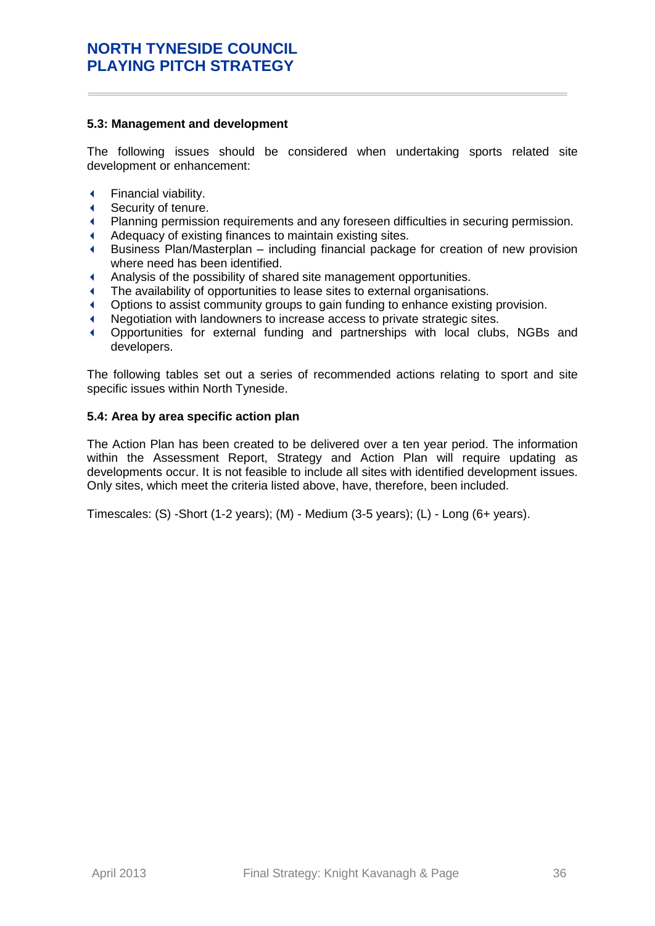### **5.3: Management and development**

The following issues should be considered when undertaking sports related site development or enhancement:

- Financial viability.
- Security of tenure.
- Planning permission requirements and any foreseen difficulties in securing permission.
- Adequacy of existing finances to maintain existing sites.
- Business Plan/Masterplan including financial package for creation of new provision where need has been identified.
- Analysis of the possibility of shared site management opportunities.
- The availability of opportunities to lease sites to external organisations.
- Options to assist community groups to gain funding to enhance existing provision.
- Negotiation with landowners to increase access to private strategic sites.
- Opportunities for external funding and partnerships with local clubs, NGBs and developers.

The following tables set out a series of recommended actions relating to sport and site specific issues within North Tyneside.

### **5.4: Area by area specific action plan**

The Action Plan has been created to be delivered over a ten year period. The information within the Assessment Report, Strategy and Action Plan will require updating as developments occur. It is not feasible to include all sites with identified development issues. Only sites, which meet the criteria listed above, have, therefore, been included.

Timescales: (S) -Short (1-2 years); (M) - Medium (3-5 years); (L) - Long (6+ years).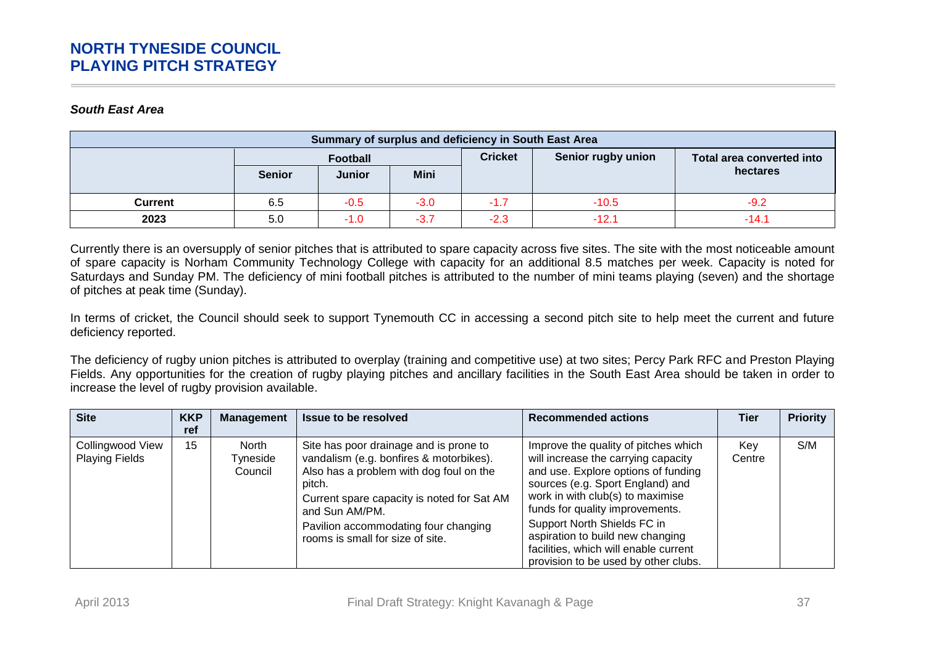### *South East Area*

| Summary of surplus and deficiency in South East Area |               |               |                |                    |                           |          |
|------------------------------------------------------|---------------|---------------|----------------|--------------------|---------------------------|----------|
|                                                      | Football      |               | <b>Cricket</b> | Senior rugby union | Total area converted into |          |
|                                                      | <b>Senior</b> | <b>Junior</b> | <b>Mini</b>    |                    |                           | hectares |
| Current                                              | 6.5           | $-0.5$        | $-3.0$         | $-1.7$             | $-10.5$                   | $-9.2$   |
| 2023                                                 | 5.0           | $-1.0$        | $-3.7$         | $-2.3$             | $-12.7$                   | $-14.1$  |

Currently there is an oversupply of senior pitches that is attributed to spare capacity across five sites. The site with the most noticeable amount of spare capacity is Norham Community Technology College with capacity for an additional 8.5 matches per week. Capacity is noted for Saturdays and Sunday PM. The deficiency of mini football pitches is attributed to the number of mini teams playing (seven) and the shortage of pitches at peak time (Sunday).

In terms of cricket, the Council should seek to support Tynemouth CC in accessing a second pitch site to help meet the current and future deficiency reported.

The deficiency of rugby union pitches is attributed to overplay (training and competitive use) at two sites; Percy Park RFC and Preston Playing Fields. Any opportunities for the creation of rugby playing pitches and ancillary facilities in the South East Area should be taken in order to increase the level of rugby provision available.

| <b>Site</b>                               | <b>KKP</b><br>ref | <b>Management</b>            | <b>Issue to be resolved</b>                                                                                                                                                                                                                                                        | <b>Recommended actions</b>                                                                                                                                                                                                                                                                                                                                                        | Tier          | <b>Priority</b> |
|-------------------------------------------|-------------------|------------------------------|------------------------------------------------------------------------------------------------------------------------------------------------------------------------------------------------------------------------------------------------------------------------------------|-----------------------------------------------------------------------------------------------------------------------------------------------------------------------------------------------------------------------------------------------------------------------------------------------------------------------------------------------------------------------------------|---------------|-----------------|
| Collingwood View<br><b>Playing Fields</b> | 15                | North<br>Tyneside<br>Council | Site has poor drainage and is prone to<br>vandalism (e.g. bonfires & motorbikes).<br>Also has a problem with dog foul on the<br>pitch.<br>Current spare capacity is noted for Sat AM<br>and Sun AM/PM.<br>Pavilion accommodating four changing<br>rooms is small for size of site. | Improve the quality of pitches which<br>will increase the carrying capacity<br>and use. Explore options of funding<br>sources (e.g. Sport England) and<br>work in with club(s) to maximise<br>funds for quality improvements.<br>Support North Shields FC in<br>aspiration to build new changing<br>facilities, which will enable current<br>provision to be used by other clubs. | Kev<br>Centre | S/M             |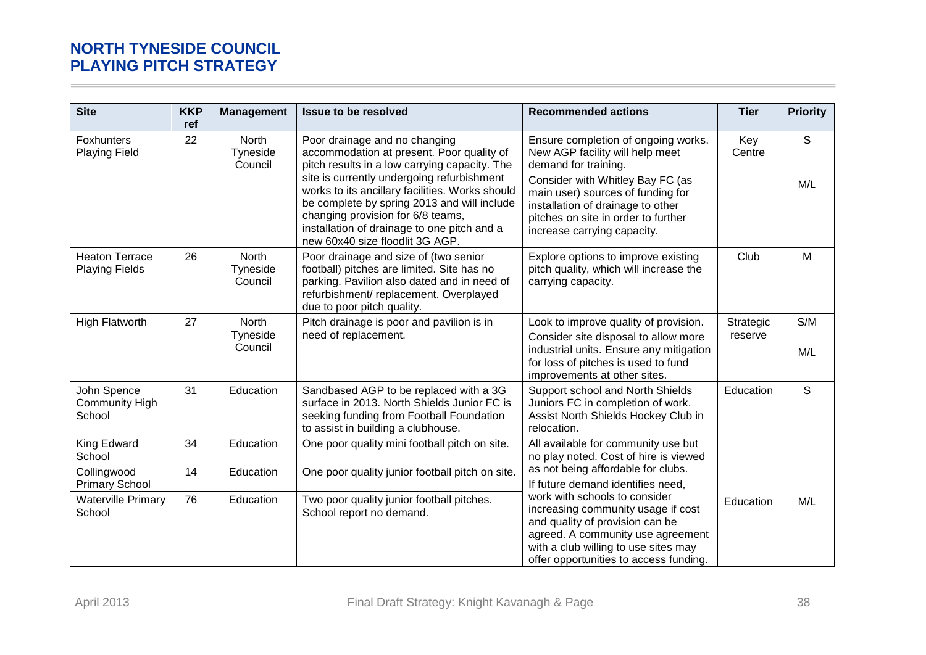| <b>Site</b>                                    | <b>KKP</b><br>ref | <b>Management</b>                   | Issue to be resolved                                                                                                                                                                                                                                                                                                                                                                               | <b>Recommended actions</b>                                                                                                                                                                                                                                                         | <b>Tier</b>          | <b>Priority</b>     |
|------------------------------------------------|-------------------|-------------------------------------|----------------------------------------------------------------------------------------------------------------------------------------------------------------------------------------------------------------------------------------------------------------------------------------------------------------------------------------------------------------------------------------------------|------------------------------------------------------------------------------------------------------------------------------------------------------------------------------------------------------------------------------------------------------------------------------------|----------------------|---------------------|
| <b>Foxhunters</b><br><b>Playing Field</b>      | 22                | <b>North</b><br>Tyneside<br>Council | Poor drainage and no changing<br>accommodation at present. Poor quality of<br>pitch results in a low carrying capacity. The<br>site is currently undergoing refurbishment<br>works to its ancillary facilities. Works should<br>be complete by spring 2013 and will include<br>changing provision for 6/8 teams,<br>installation of drainage to one pitch and a<br>new 60x40 size floodlit 3G AGP. | Ensure completion of ongoing works.<br>New AGP facility will help meet<br>demand for training.<br>Consider with Whitley Bay FC (as<br>main user) sources of funding for<br>installation of drainage to other<br>pitches on site in order to further<br>increase carrying capacity. | Key<br>Centre        | $\mathsf{S}$<br>M/L |
| <b>Heaton Terrace</b><br><b>Playing Fields</b> | 26                | North<br>Tyneside<br>Council        | Poor drainage and size of (two senior<br>football) pitches are limited. Site has no<br>parking. Pavilion also dated and in need of<br>refurbishment/ replacement. Overplayed<br>due to poor pitch quality.                                                                                                                                                                                         | Explore options to improve existing<br>pitch quality, which will increase the<br>carrying capacity.                                                                                                                                                                                | Club                 | М                   |
| <b>High Flatworth</b>                          | 27                | North<br>Tyneside<br>Council        | Pitch drainage is poor and pavilion is in<br>need of replacement.                                                                                                                                                                                                                                                                                                                                  | Look to improve quality of provision.<br>Consider site disposal to allow more<br>industrial units. Ensure any mitigation<br>for loss of pitches is used to fund<br>improvements at other sites.                                                                                    | Strategic<br>reserve | S/M<br>M/L          |
| John Spence<br><b>Community High</b><br>School | 31                | Education                           | Sandbased AGP to be replaced with a 3G<br>surface in 2013. North Shields Junior FC is<br>seeking funding from Football Foundation<br>to assist in building a clubhouse.                                                                                                                                                                                                                            | Support school and North Shields<br>Juniors FC in completion of work.<br>Assist North Shields Hockey Club in<br>relocation.                                                                                                                                                        | Education            | S                   |
| King Edward<br>School                          | 34                | Education                           | One poor quality mini football pitch on site.                                                                                                                                                                                                                                                                                                                                                      | All available for community use but<br>no play noted. Cost of hire is viewed                                                                                                                                                                                                       |                      |                     |
| Collingwood<br><b>Primary School</b>           | 14                | Education                           | One poor quality junior football pitch on site.                                                                                                                                                                                                                                                                                                                                                    | as not being affordable for clubs.<br>If future demand identifies need,                                                                                                                                                                                                            |                      |                     |
| <b>Waterville Primary</b><br>School            | 76                | Education                           | Two poor quality junior football pitches.<br>School report no demand.                                                                                                                                                                                                                                                                                                                              | work with schools to consider<br>increasing community usage if cost<br>and quality of provision can be<br>agreed. A community use agreement<br>with a club willing to use sites may<br>offer opportunities to access funding.                                                      | Education            | M/L                 |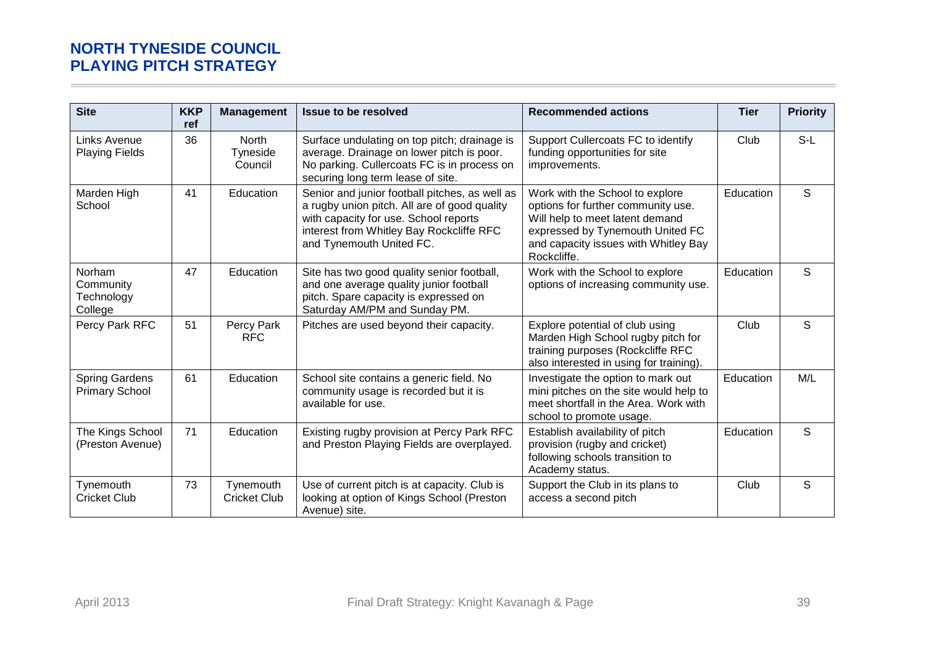| <b>Site</b>                                    | <b>KKP</b><br>ref | <b>Management</b>                   | <b>Issue to be resolved</b>                                                                                                                                                                                     | <b>Recommended actions</b>                                                                                                                                                                          | <b>Tier</b> | <b>Priority</b> |
|------------------------------------------------|-------------------|-------------------------------------|-----------------------------------------------------------------------------------------------------------------------------------------------------------------------------------------------------------------|-----------------------------------------------------------------------------------------------------------------------------------------------------------------------------------------------------|-------------|-----------------|
| <b>Links Avenue</b><br><b>Playing Fields</b>   | 36                | <b>North</b><br>Tyneside<br>Council | Surface undulating on top pitch; drainage is<br>average. Drainage on lower pitch is poor.<br>No parking. Cullercoats FC is in process on<br>securing long term lease of site.                                   | Support Cullercoats FC to identify<br>funding opportunities for site<br>improvements.                                                                                                               | Club        | $S-L$           |
| Marden High<br>School                          | 41                | Education                           | Senior and junior football pitches, as well as<br>a rugby union pitch. All are of good quality<br>with capacity for use. School reports<br>interest from Whitley Bay Rockcliffe RFC<br>and Tynemouth United FC. | Work with the School to explore<br>options for further community use.<br>Will help to meet latent demand<br>expressed by Tynemouth United FC<br>and capacity issues with Whitley Bay<br>Rockcliffe. | Education   | S               |
| Norham<br>Community<br>Technology<br>College   | 47                | Education                           | Site has two good quality senior football,<br>and one average quality junior football<br>pitch. Spare capacity is expressed on<br>Saturday AM/PM and Sunday PM.                                                 | Work with the School to explore<br>options of increasing community use.                                                                                                                             | Education   | S               |
| Percy Park RFC                                 | 51                | Percy Park<br><b>RFC</b>            | Pitches are used beyond their capacity.                                                                                                                                                                         | Explore potential of club using<br>Marden High School rugby pitch for<br>training purposes (Rockcliffe RFC<br>also interested in using for training).                                               | Club        | S               |
| <b>Spring Gardens</b><br><b>Primary School</b> | 61                | Education                           | School site contains a generic field. No<br>community usage is recorded but it is<br>available for use.                                                                                                         | Investigate the option to mark out<br>mini pitches on the site would help to<br>meet shortfall in the Area. Work with<br>school to promote usage.                                                   | Education   | M/L             |
| The Kings School<br>(Preston Avenue)           | 71                | Education                           | Existing rugby provision at Percy Park RFC<br>and Preston Playing Fields are overplayed.                                                                                                                        | Establish availability of pitch<br>provision (rugby and cricket)<br>following schools transition to<br>Academy status.                                                                              | Education   | S               |
| Tynemouth<br><b>Cricket Club</b>               | 73                | Tynemouth<br><b>Cricket Club</b>    | Use of current pitch is at capacity. Club is<br>looking at option of Kings School (Preston<br>Avenue) site.                                                                                                     | Support the Club in its plans to<br>access a second pitch                                                                                                                                           | Club        | S               |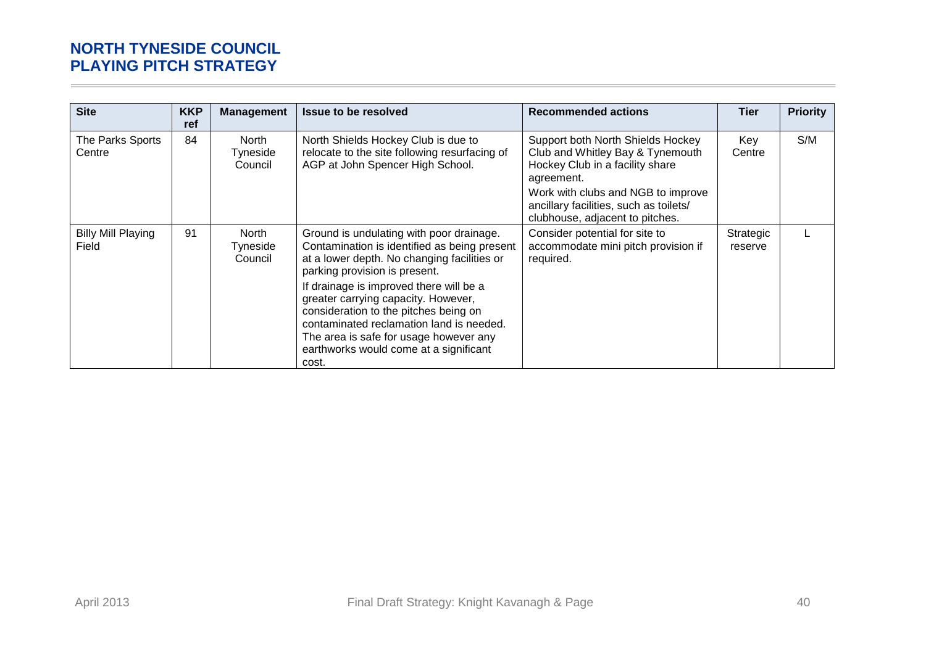| <b>Site</b>                        | <b>KKP</b><br>ref | <b>Management</b>            | <b>Issue to be resolved</b>                                                                                                                                                                                                                                                                                                                                                                                                                  | <b>Recommended actions</b>                                                                                                                                                                                                                | <b>Tier</b>          | <b>Priority</b> |
|------------------------------------|-------------------|------------------------------|----------------------------------------------------------------------------------------------------------------------------------------------------------------------------------------------------------------------------------------------------------------------------------------------------------------------------------------------------------------------------------------------------------------------------------------------|-------------------------------------------------------------------------------------------------------------------------------------------------------------------------------------------------------------------------------------------|----------------------|-----------------|
| The Parks Sports<br>Centre         | 84                | North<br>Tyneside<br>Council | North Shields Hockey Club is due to<br>relocate to the site following resurfacing of<br>AGP at John Spencer High School.                                                                                                                                                                                                                                                                                                                     | Support both North Shields Hockey<br>Club and Whitley Bay & Tynemouth<br>Hockey Club in a facility share<br>agreement.<br>Work with clubs and NGB to improve<br>ancillary facilities, such as toilets/<br>clubhouse, adjacent to pitches. | Key<br>Centre        | S/M             |
| <b>Billy Mill Playing</b><br>Field | 91                | North<br>Tyneside<br>Council | Ground is undulating with poor drainage.<br>Contamination is identified as being present<br>at a lower depth. No changing facilities or<br>parking provision is present.<br>If drainage is improved there will be a<br>greater carrying capacity. However,<br>consideration to the pitches being on<br>contaminated reclamation land is needed.<br>The area is safe for usage however any<br>earthworks would come at a significant<br>cost. | Consider potential for site to<br>accommodate mini pitch provision if<br>required.                                                                                                                                                        | Strategic<br>reserve |                 |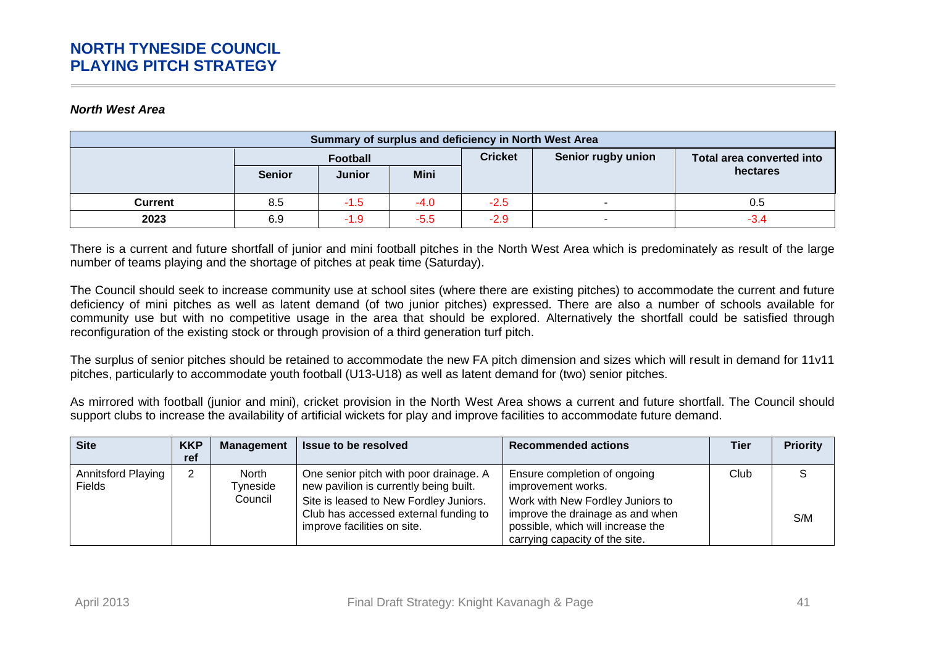#### *North West Area*

| Summary of surplus and deficiency in North West Area |               |               |             |                |                    |                           |  |  |
|------------------------------------------------------|---------------|---------------|-------------|----------------|--------------------|---------------------------|--|--|
|                                                      | Football      |               |             | <b>Cricket</b> | Senior rugby union | Total area converted into |  |  |
|                                                      | <b>Senior</b> | <b>Junior</b> | <b>Mini</b> |                |                    | hectares                  |  |  |
| Current                                              | 8.5           | $-1.5$        | $-4.0$      | $-2.5$         |                    | 0.5                       |  |  |
| 2023                                                 | 6.9           | $-1.9$        | $-5.5$      | $-2.9$         |                    | $-3.4$                    |  |  |

There is a current and future shortfall of junior and mini football pitches in the North West Area which is predominately as result of the large number of teams playing and the shortage of pitches at peak time (Saturday).

The Council should seek to increase community use at school sites (where there are existing pitches) to accommodate the current and future deficiency of mini pitches as well as latent demand (of two junior pitches) expressed. There are also a number of schools available for community use but with no competitive usage in the area that should be explored. Alternatively the shortfall could be satisfied through reconfiguration of the existing stock or through provision of a third generation turf pitch.

The surplus of senior pitches should be retained to accommodate the new FA pitch dimension and sizes which will result in demand for 11v11 pitches, particularly to accommodate youth football (U13-U18) as well as latent demand for (two) senior pitches.

As mirrored with football (junior and mini), cricket provision in the North West Area shows a current and future shortfall. The Council should support clubs to increase the availability of artificial wickets for play and improve facilities to accommodate future demand.

| <b>Site</b>                                | <b>KKP</b><br>ref | Management                                 | <b>Issue to be resolved</b>                                                                                                                                                                        | <b>Recommended actions</b>                                                                                                                                                                        | Tier | <b>Priority</b> |
|--------------------------------------------|-------------------|--------------------------------------------|----------------------------------------------------------------------------------------------------------------------------------------------------------------------------------------------------|---------------------------------------------------------------------------------------------------------------------------------------------------------------------------------------------------|------|-----------------|
| <b>Annitsford Playing</b><br><b>Fields</b> | 2                 | <b>North</b><br><b>Tyneside</b><br>Council | One senior pitch with poor drainage. A<br>new pavilion is currently being built.<br>Site is leased to New Fordley Juniors.<br>Club has accessed external funding to<br>improve facilities on site. | Ensure completion of ongoing<br>improvement works.<br>Work with New Fordley Juniors to<br>improve the drainage as and when<br>possible, which will increase the<br>carrying capacity of the site. | Club | S/M             |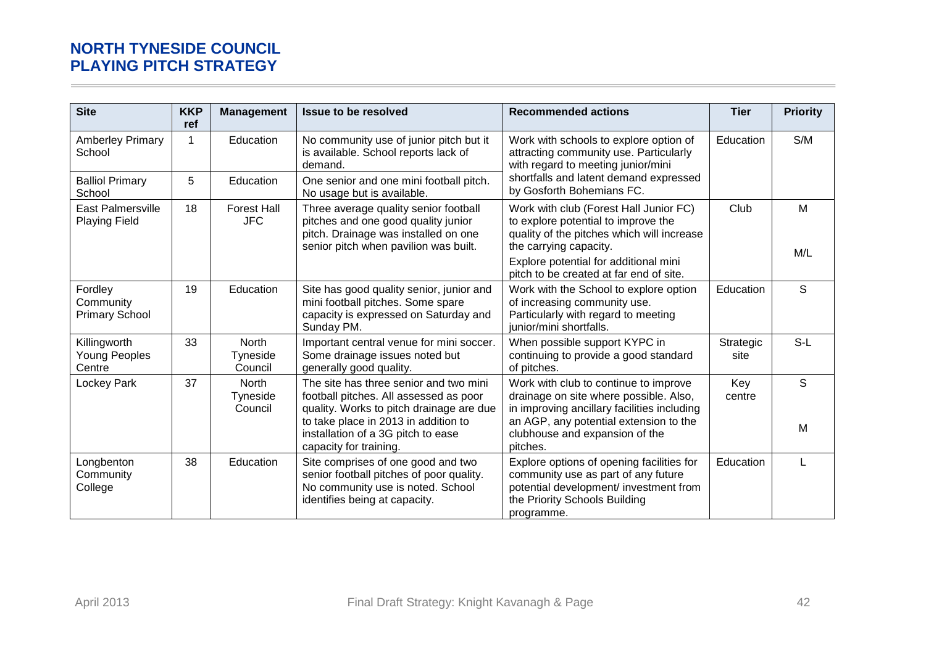| <b>Site</b>                                      | <b>KKP</b><br>ref | <b>Management</b>                   | <b>Issue to be resolved</b>                                                                                                                                                                                                          | <b>Recommended actions</b>                                                                                                                                                                                                                | <b>Tier</b>       | <b>Priority</b> |
|--------------------------------------------------|-------------------|-------------------------------------|--------------------------------------------------------------------------------------------------------------------------------------------------------------------------------------------------------------------------------------|-------------------------------------------------------------------------------------------------------------------------------------------------------------------------------------------------------------------------------------------|-------------------|-----------------|
| <b>Amberley Primary</b><br>School                |                   | Education                           | No community use of junior pitch but it<br>is available. School reports lack of<br>demand.                                                                                                                                           | Work with schools to explore option of<br>attracting community use. Particularly<br>with regard to meeting junior/mini                                                                                                                    | Education         | S/M             |
| <b>Balliol Primary</b><br>School                 | 5                 | Education                           | One senior and one mini football pitch.<br>No usage but is available.                                                                                                                                                                | shortfalls and latent demand expressed<br>by Gosforth Bohemians FC.                                                                                                                                                                       |                   |                 |
| <b>East Palmersville</b><br><b>Playing Field</b> | 18                | <b>Forest Hall</b><br><b>JFC</b>    | Three average quality senior football<br>pitches and one good quality junior<br>pitch. Drainage was installed on one<br>senior pitch when pavilion was built.                                                                        | Work with club (Forest Hall Junior FC)<br>to explore potential to improve the<br>quality of the pitches which will increase<br>the carrying capacity.<br>Explore potential for additional mini<br>pitch to be created at far end of site. | Club              | M<br>M/L        |
| Fordley<br>Community<br><b>Primary School</b>    | 19                | Education                           | Site has good quality senior, junior and<br>mini football pitches. Some spare<br>capacity is expressed on Saturday and<br>Sunday PM.                                                                                                 | Work with the School to explore option<br>of increasing community use.<br>Particularly with regard to meeting<br>junior/mini shortfalls.                                                                                                  | Education         | S               |
| Killingworth<br>Young Peoples<br>Centre          | 33                | <b>North</b><br>Tyneside<br>Council | Important central venue for mini soccer.<br>Some drainage issues noted but<br>generally good quality.                                                                                                                                | When possible support KYPC in<br>continuing to provide a good standard<br>of pitches.                                                                                                                                                     | Strategic<br>site | $S-L$           |
| Lockey Park                                      | 37                | <b>North</b><br>Tyneside<br>Council | The site has three senior and two mini<br>football pitches. All assessed as poor<br>quality. Works to pitch drainage are due<br>to take place in 2013 in addition to<br>installation of a 3G pitch to ease<br>capacity for training. | Work with club to continue to improve<br>drainage on site where possible. Also,<br>in improving ancillary facilities including<br>an AGP, any potential extension to the<br>clubhouse and expansion of the<br>pitches.                    | Key<br>centre     | S<br>M          |
| Longbenton<br>Community<br>College               | 38                | Education                           | Site comprises of one good and two<br>senior football pitches of poor quality.<br>No community use is noted. School<br>identifies being at capacity.                                                                                 | Explore options of opening facilities for<br>community use as part of any future<br>potential development/ investment from<br>the Priority Schools Building<br>programme.                                                                 | Education         | L               |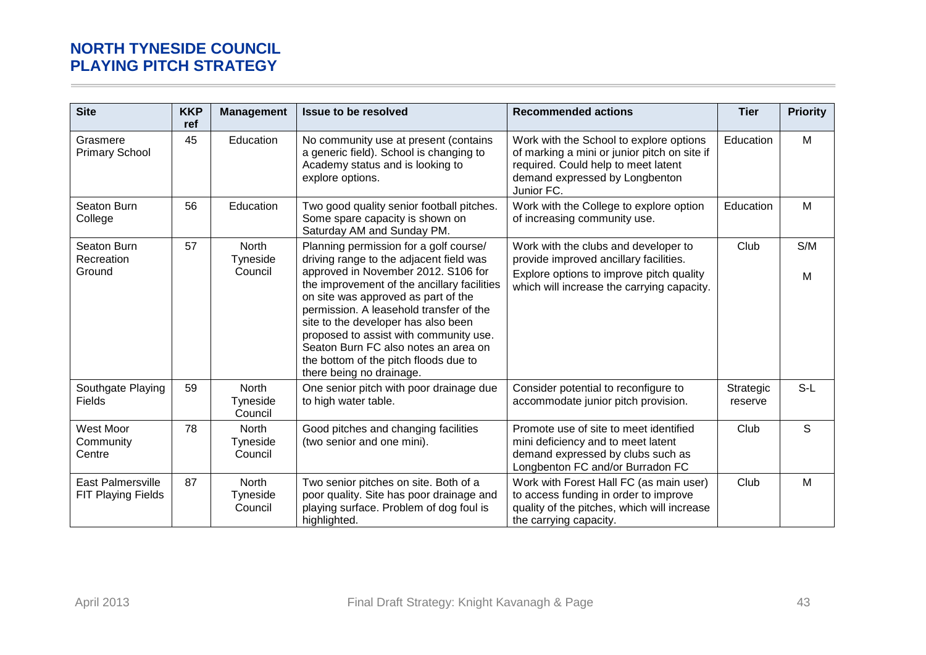| <b>Site</b>                                           | <b>KKP</b><br>ref | <b>Management</b>                   | Issue to be resolved                                                                                                                                                                                                                                                                                                                                                                                                                                    | <b>Recommended actions</b>                                                                                                                                                     | <b>Tier</b>          | <b>Priority</b> |
|-------------------------------------------------------|-------------------|-------------------------------------|---------------------------------------------------------------------------------------------------------------------------------------------------------------------------------------------------------------------------------------------------------------------------------------------------------------------------------------------------------------------------------------------------------------------------------------------------------|--------------------------------------------------------------------------------------------------------------------------------------------------------------------------------|----------------------|-----------------|
| Grasmere<br><b>Primary School</b>                     | 45                | Education                           | No community use at present (contains<br>a generic field). School is changing to<br>Academy status and is looking to<br>explore options.                                                                                                                                                                                                                                                                                                                | Work with the School to explore options<br>of marking a mini or junior pitch on site if<br>required. Could help to meet latent<br>demand expressed by Longbenton<br>Junior FC. | Education            | M               |
| Seaton Burn<br>College                                | 56                | Education                           | Two good quality senior football pitches.<br>Some spare capacity is shown on<br>Saturday AM and Sunday PM.                                                                                                                                                                                                                                                                                                                                              | Work with the College to explore option<br>of increasing community use.                                                                                                        | Education            | M               |
| Seaton Burn<br>Recreation<br>Ground                   | 57                | <b>North</b><br>Tyneside<br>Council | Planning permission for a golf course/<br>driving range to the adjacent field was<br>approved in November 2012. S106 for<br>the improvement of the ancillary facilities<br>on site was approved as part of the<br>permission. A leasehold transfer of the<br>site to the developer has also been<br>proposed to assist with community use.<br>Seaton Burn FC also notes an area on<br>the bottom of the pitch floods due to<br>there being no drainage. | Work with the clubs and developer to<br>provide improved ancillary facilities.<br>Explore options to improve pitch quality<br>which will increase the carrying capacity.       | Club                 | S/M<br>M        |
| Southgate Playing<br>Fields                           | 59                | North<br>Tyneside<br>Council        | One senior pitch with poor drainage due<br>to high water table.                                                                                                                                                                                                                                                                                                                                                                                         | Consider potential to reconfigure to<br>accommodate junior pitch provision.                                                                                                    | Strategic<br>reserve | $S-L$           |
| West Moor<br>Community<br>Centre                      | 78                | <b>North</b><br>Tyneside<br>Council | Good pitches and changing facilities<br>(two senior and one mini).                                                                                                                                                                                                                                                                                                                                                                                      | Promote use of site to meet identified<br>mini deficiency and to meet latent<br>demand expressed by clubs such as<br>Longbenton FC and/or Burradon FC                          | Club                 | S               |
| <b>East Palmersville</b><br><b>FIT Playing Fields</b> | 87                | North<br>Tyneside<br>Council        | Two senior pitches on site. Both of a<br>poor quality. Site has poor drainage and<br>playing surface. Problem of dog foul is<br>highlighted.                                                                                                                                                                                                                                                                                                            | Work with Forest Hall FC (as main user)<br>to access funding in order to improve<br>quality of the pitches, which will increase<br>the carrying capacity.                      | Club                 | M               |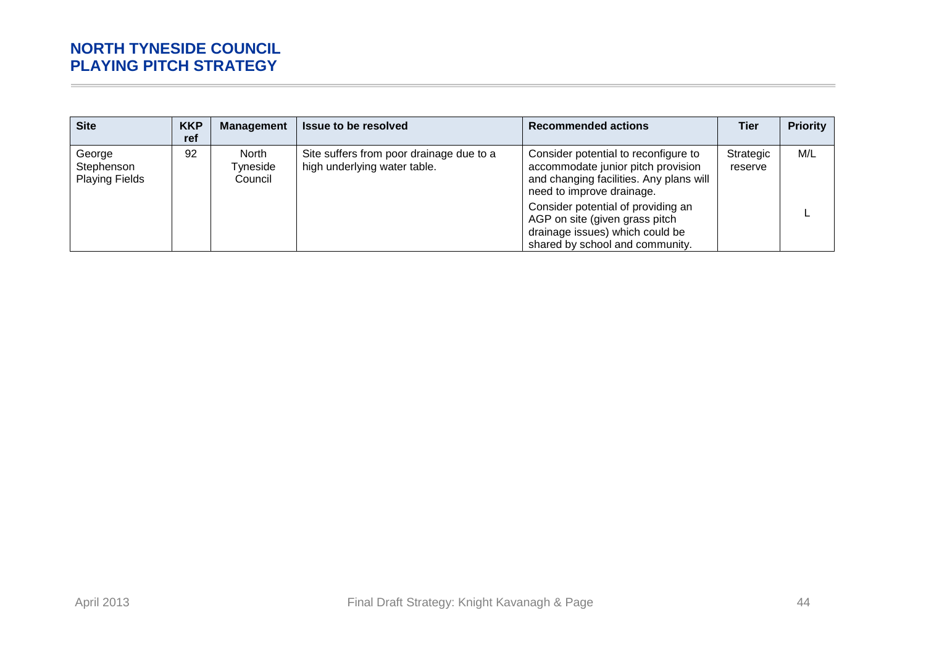| <b>Site</b>                                   | <b>KKP</b><br>ref | <b>Management</b>            | <b>Issue to be resolved</b>                                              | <b>Recommended actions</b>                                                                                                                                                                                                                                                                       | Tier                 | <b>Priority</b> |
|-----------------------------------------------|-------------------|------------------------------|--------------------------------------------------------------------------|--------------------------------------------------------------------------------------------------------------------------------------------------------------------------------------------------------------------------------------------------------------------------------------------------|----------------------|-----------------|
| George<br>Stephenson<br><b>Playing Fields</b> | 92                | North<br>Tyneside<br>Council | Site suffers from poor drainage due to a<br>high underlying water table. | Consider potential to reconfigure to<br>accommodate junior pitch provision<br>and changing facilities. Any plans will<br>need to improve drainage.<br>Consider potential of providing an<br>AGP on site (given grass pitch<br>drainage issues) which could be<br>shared by school and community. | Strategic<br>reserve | M/L             |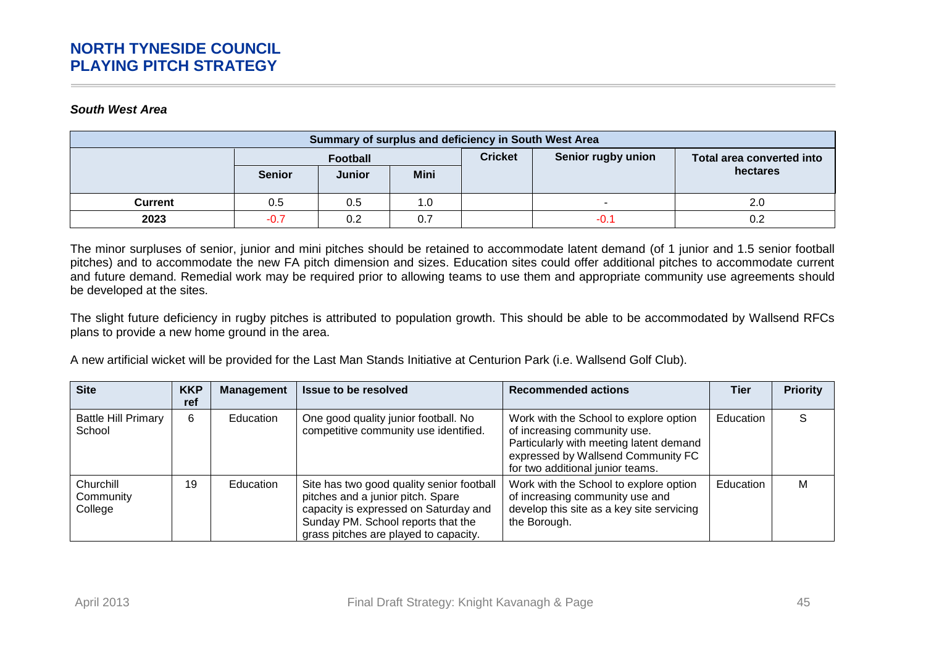#### *South West Area*

| Summary of surplus and deficiency in South West Area |               |               |             |                |                    |                           |  |  |  |
|------------------------------------------------------|---------------|---------------|-------------|----------------|--------------------|---------------------------|--|--|--|
|                                                      | Football      |               |             | <b>Cricket</b> | Senior rugby union | Total area converted into |  |  |  |
|                                                      | <b>Senior</b> | <b>Junior</b> | <b>Mini</b> |                |                    | hectares                  |  |  |  |
| Current                                              | 0.5           | 0.5           | 1.0         |                |                    | 2.0                       |  |  |  |
| 2023                                                 | $-0.7$        | 0.2           | 0.7         |                | -0.1               |                           |  |  |  |

The minor surpluses of senior, junior and mini pitches should be retained to accommodate latent demand (of 1 junior and 1.5 senior football pitches) and to accommodate the new FA pitch dimension and sizes. Education sites could offer additional pitches to accommodate current and future demand. Remedial work may be required prior to allowing teams to use them and appropriate community use agreements should be developed at the sites.

The slight future deficiency in rugby pitches is attributed to population growth. This should be able to be accommodated by Wallsend RFCs plans to provide a new home ground in the area.

A new artificial wicket will be provided for the Last Man Stands Initiative at Centurion Park (i.e. Wallsend Golf Club).

| <b>Site</b>                          | <b>KKP</b><br>ref | <b>Management</b> | <b>Issue to be resolved</b>                                                                                                                                                                            | <b>Recommended actions</b>                                                                                                                                                                  | Tier      | <b>Priority</b> |
|--------------------------------------|-------------------|-------------------|--------------------------------------------------------------------------------------------------------------------------------------------------------------------------------------------------------|---------------------------------------------------------------------------------------------------------------------------------------------------------------------------------------------|-----------|-----------------|
| <b>Battle Hill Primary</b><br>School | 6                 | Education         | One good quality junior football. No<br>competitive community use identified.                                                                                                                          | Work with the School to explore option<br>of increasing community use.<br>Particularly with meeting latent demand<br>expressed by Wallsend Community FC<br>for two additional junior teams. | Education | S               |
| Churchill<br>Community<br>College    | 19                | Education         | Site has two good quality senior football<br>pitches and a junior pitch. Spare<br>capacity is expressed on Saturday and<br>Sunday PM. School reports that the<br>grass pitches are played to capacity. | Work with the School to explore option<br>of increasing community use and<br>develop this site as a key site servicing<br>the Borough.                                                      | Education | М               |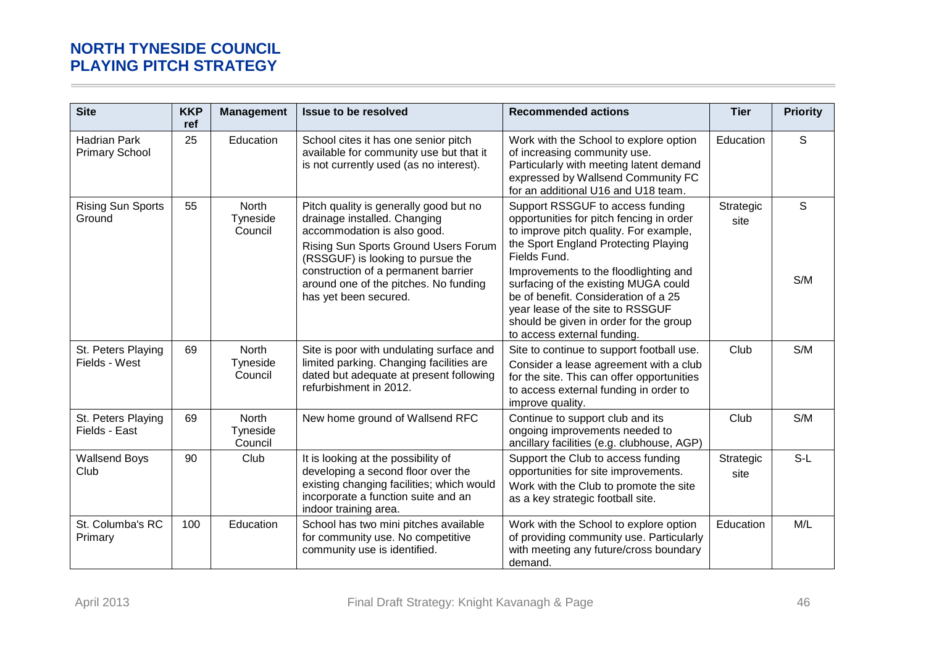| <b>Site</b>                                  | <b>KKP</b><br>ref | <b>Management</b>                   | <b>Issue to be resolved</b>                                                                                                                                                                                                                                                                 | <b>Recommended actions</b>                                                                                                                                                                                                                                                                                                                                                                                           | <b>Tier</b>       | <b>Priority</b> |
|----------------------------------------------|-------------------|-------------------------------------|---------------------------------------------------------------------------------------------------------------------------------------------------------------------------------------------------------------------------------------------------------------------------------------------|----------------------------------------------------------------------------------------------------------------------------------------------------------------------------------------------------------------------------------------------------------------------------------------------------------------------------------------------------------------------------------------------------------------------|-------------------|-----------------|
| <b>Hadrian Park</b><br><b>Primary School</b> | 25                | Education                           | School cites it has one senior pitch<br>available for community use but that it<br>is not currently used (as no interest).                                                                                                                                                                  | Work with the School to explore option<br>of increasing community use.<br>Particularly with meeting latent demand<br>expressed by Wallsend Community FC<br>for an additional U16 and U18 team.                                                                                                                                                                                                                       | Education         | S               |
| <b>Rising Sun Sports</b><br>Ground           | 55                | <b>North</b><br>Tyneside<br>Council | Pitch quality is generally good but no<br>drainage installed. Changing<br>accommodation is also good.<br>Rising Sun Sports Ground Users Forum<br>(RSSGUF) is looking to pursue the<br>construction of a permanent barrier<br>around one of the pitches. No funding<br>has yet been secured. | Support RSSGUF to access funding<br>opportunities for pitch fencing in order<br>to improve pitch quality. For example,<br>the Sport England Protecting Playing<br>Fields Fund.<br>Improvements to the floodlighting and<br>surfacing of the existing MUGA could<br>be of benefit. Consideration of a 25<br>year lease of the site to RSSGUF<br>should be given in order for the group<br>to access external funding. | Strategic<br>site | S<br>S/M        |
| St. Peters Playing<br>Fields - West          | 69                | North<br>Tyneside<br>Council        | Site is poor with undulating surface and<br>limited parking. Changing facilities are<br>dated but adequate at present following<br>refurbishment in 2012.                                                                                                                                   | Site to continue to support football use.<br>Consider a lease agreement with a club<br>for the site. This can offer opportunities<br>to access external funding in order to<br>improve quality.                                                                                                                                                                                                                      | Club              | S/M             |
| St. Peters Playing<br>Fields - East          | 69                | <b>North</b><br>Tyneside<br>Council | New home ground of Wallsend RFC                                                                                                                                                                                                                                                             | Continue to support club and its<br>ongoing improvements needed to<br>ancillary facilities (e.g. clubhouse, AGP)                                                                                                                                                                                                                                                                                                     | Club              | S/M             |
| <b>Wallsend Boys</b><br>Club                 | 90                | Club                                | It is looking at the possibility of<br>developing a second floor over the<br>existing changing facilities; which would<br>incorporate a function suite and an<br>indoor training area.                                                                                                      | Support the Club to access funding<br>opportunities for site improvements.<br>Work with the Club to promote the site<br>as a key strategic football site.                                                                                                                                                                                                                                                            | Strategic<br>site | $S-L$           |
| St. Columba's RC<br>Primary                  | 100               | Education                           | School has two mini pitches available<br>for community use. No competitive<br>community use is identified.                                                                                                                                                                                  | Work with the School to explore option<br>of providing community use. Particularly<br>with meeting any future/cross boundary<br>demand.                                                                                                                                                                                                                                                                              | Education         | M/L             |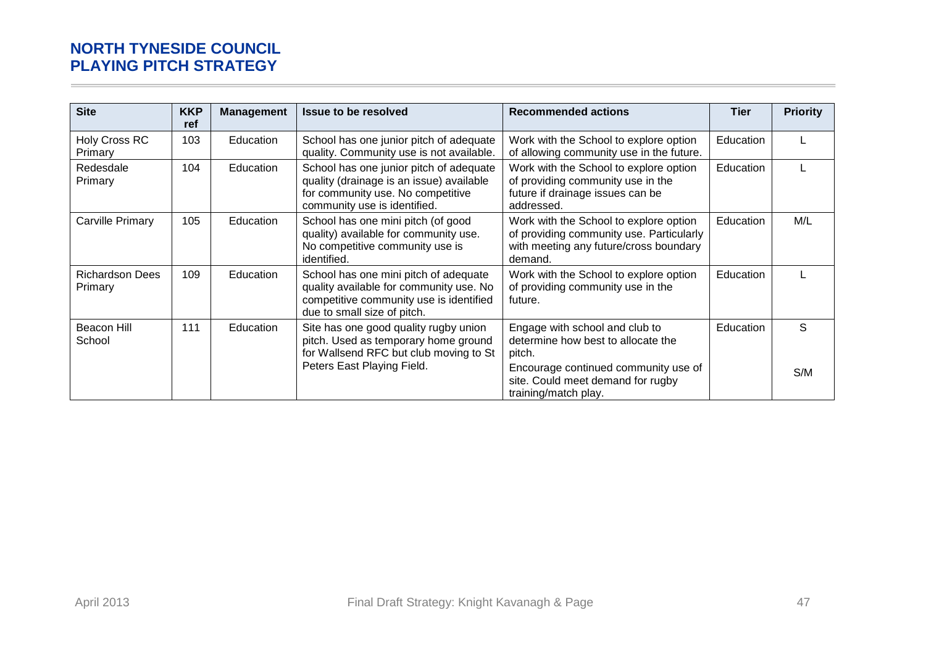| <b>Site</b>                       | <b>KKP</b><br>ref | <b>Management</b> | <b>Issue to be resolved</b>                                                                                                                                | <b>Recommended actions</b>                                                                                                                                                          | Tier      | <b>Priority</b> |
|-----------------------------------|-------------------|-------------------|------------------------------------------------------------------------------------------------------------------------------------------------------------|-------------------------------------------------------------------------------------------------------------------------------------------------------------------------------------|-----------|-----------------|
| <b>Holy Cross RC</b><br>Primary   | 103               | Education         | School has one junior pitch of adequate<br>quality. Community use is not available.                                                                        | Work with the School to explore option<br>of allowing community use in the future.                                                                                                  | Education |                 |
| Redesdale<br>Primary              | 104               | Education         | School has one junior pitch of adequate<br>quality (drainage is an issue) available<br>for community use. No competitive<br>community use is identified.   | Work with the School to explore option<br>of providing community use in the<br>future if drainage issues can be<br>addressed.                                                       | Education |                 |
| <b>Carville Primary</b>           | 105               | <b>Education</b>  | School has one mini pitch (of good<br>quality) available for community use.<br>No competitive community use is<br>identified.                              | Work with the School to explore option<br>of providing community use. Particularly<br>with meeting any future/cross boundary<br>demand.                                             | Education | M/L             |
| <b>Richardson Dees</b><br>Primary | 109               | Education         | School has one mini pitch of adequate<br>quality available for community use. No<br>competitive community use is identified<br>due to small size of pitch. | Work with the School to explore option<br>of providing community use in the<br>future.                                                                                              | Education |                 |
| Beacon Hill<br>School             | 111               | Education         | Site has one good quality rugby union<br>pitch. Used as temporary home ground<br>for Wallsend RFC but club moving to St<br>Peters East Playing Field.      | Engage with school and club to<br>determine how best to allocate the<br>pitch.<br>Encourage continued community use of<br>site. Could meet demand for rugby<br>training/match play. | Education | S<br>S/M        |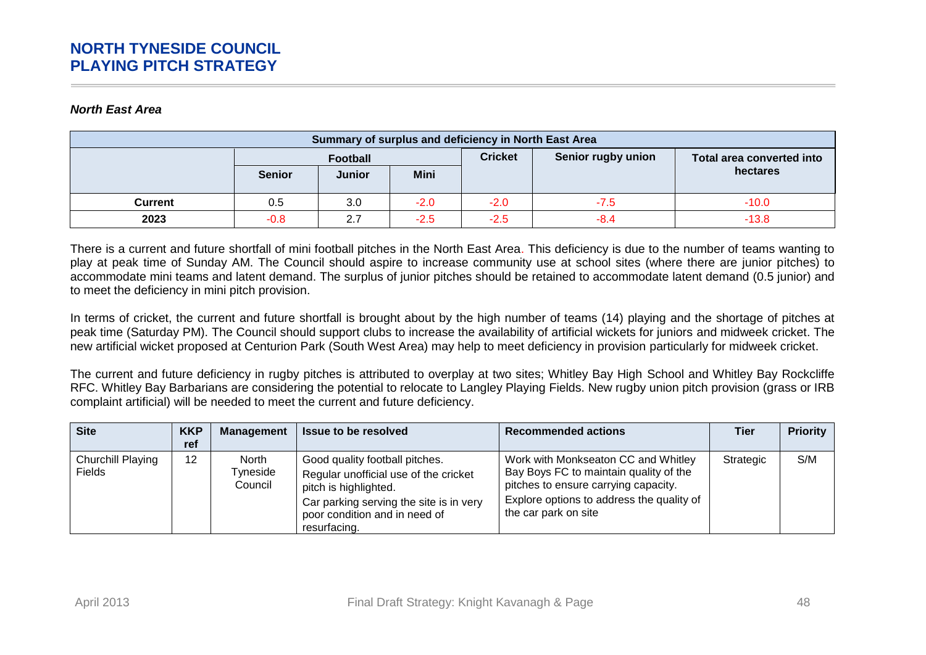#### *North East Area*

| Summary of surplus and deficiency in North East Area |               |               |                |                    |                           |          |
|------------------------------------------------------|---------------|---------------|----------------|--------------------|---------------------------|----------|
|                                                      | Football      |               | <b>Cricket</b> | Senior rugby union | Total area converted into |          |
|                                                      | <b>Senior</b> | <b>Junior</b> | <b>Mini</b>    |                    |                           | hectares |
| Current                                              | 0.5           | 3.0           | $-2.0$         | $-2.0$             | $-7.5$                    | $-10.0$  |
| 2023                                                 | $-0.8$        | 2.7           | $-2.5$         | $-2.5$             | $-8.4$                    | $-13.8$  |

There is a current and future shortfall of mini football pitches in the North East Area. This deficiency is due to the number of teams wanting to play at peak time of Sunday AM. The Council should aspire to increase community use at school sites (where there are junior pitches) to accommodate mini teams and latent demand. The surplus of junior pitches should be retained to accommodate latent demand (0.5 junior) and to meet the deficiency in mini pitch provision.

In terms of cricket, the current and future shortfall is brought about by the high number of teams (14) playing and the shortage of pitches at peak time (Saturday PM). The Council should support clubs to increase the availability of artificial wickets for juniors and midweek cricket. The new artificial wicket proposed at Centurion Park (South West Area) may help to meet deficiency in provision particularly for midweek cricket.

The current and future deficiency in rugby pitches is attributed to overplay at two sites; Whitley Bay High School and Whitley Bay Rockcliffe RFC. Whitley Bay Barbarians are considering the potential to relocate to Langley Playing Fields. New rugby union pitch provision (grass or IRB complaint artificial) will be needed to meet the current and future deficiency.

| <b>Site</b>                        | <b>KKP</b><br>ref | Management                   | <b>Issue to be resolved</b>                                                                                                                                                                  | <b>Recommended actions</b>                                                                                                                                                                 | Tier      | <b>Priority</b> |
|------------------------------------|-------------------|------------------------------|----------------------------------------------------------------------------------------------------------------------------------------------------------------------------------------------|--------------------------------------------------------------------------------------------------------------------------------------------------------------------------------------------|-----------|-----------------|
| Churchill Playing<br><b>Fields</b> | 12                | North<br>Tyneside<br>Council | Good quality football pitches.<br>Regular unofficial use of the cricket<br>pitch is highlighted.<br>Car parking serving the site is in very<br>poor condition and in need of<br>resurfacing. | Work with Monkseaton CC and Whitley<br>Bay Boys FC to maintain quality of the<br>pitches to ensure carrying capacity.<br>Explore options to address the quality of<br>the car park on site | Strategic | S/M             |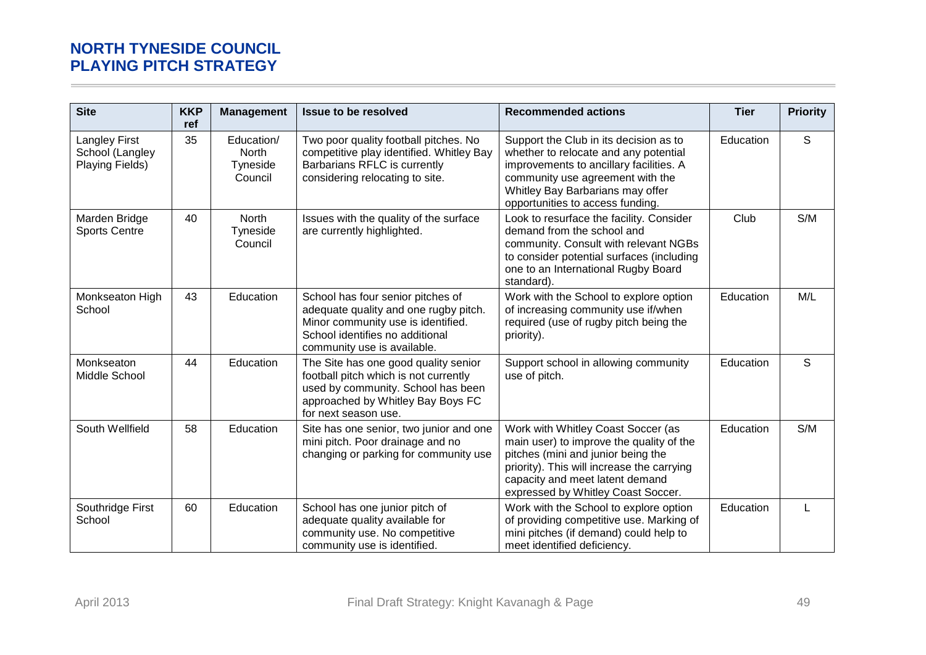| <b>Site</b>                                                | <b>KKP</b><br>ref | <b>Management</b>                          | <b>Issue to be resolved</b>                                                                                                                                                        | <b>Recommended actions</b>                                                                                                                                                                                                                  | <b>Tier</b> | <b>Priority</b> |
|------------------------------------------------------------|-------------------|--------------------------------------------|------------------------------------------------------------------------------------------------------------------------------------------------------------------------------------|---------------------------------------------------------------------------------------------------------------------------------------------------------------------------------------------------------------------------------------------|-------------|-----------------|
| <b>Langley First</b><br>School (Langley<br>Playing Fields) | 35                | Education/<br>North<br>Tyneside<br>Council | Two poor quality football pitches. No<br>competitive play identified. Whitley Bay<br>Barbarians RFLC is currently<br>considering relocating to site.                               | Support the Club in its decision as to<br>whether to relocate and any potential<br>improvements to ancillary facilities. A<br>community use agreement with the<br>Whitley Bay Barbarians may offer<br>opportunities to access funding.      | Education   | S               |
| Marden Bridge<br><b>Sports Centre</b>                      | 40                | North<br>Tyneside<br>Council               | Issues with the quality of the surface<br>are currently highlighted.                                                                                                               | Look to resurface the facility. Consider<br>demand from the school and<br>community. Consult with relevant NGBs<br>to consider potential surfaces (including<br>one to an International Rugby Board<br>standard).                           | Club        | S/M             |
| Monkseaton High<br>School                                  | 43                | Education                                  | School has four senior pitches of<br>adequate quality and one rugby pitch.<br>Minor community use is identified.<br>School identifies no additional<br>community use is available. | Work with the School to explore option<br>of increasing community use if/when<br>required (use of rugby pitch being the<br>priority).                                                                                                       | Education   | M/L             |
| Monkseaton<br>Middle School                                | 44                | Education                                  | The Site has one good quality senior<br>football pitch which is not currently<br>used by community. School has been<br>approached by Whitley Bay Boys FC<br>for next season use.   | Support school in allowing community<br>use of pitch.                                                                                                                                                                                       | Education   | S               |
| South Wellfield                                            | 58                | Education                                  | Site has one senior, two junior and one<br>mini pitch. Poor drainage and no<br>changing or parking for community use                                                               | Work with Whitley Coast Soccer (as<br>main user) to improve the quality of the<br>pitches (mini and junior being the<br>priority). This will increase the carrying<br>capacity and meet latent demand<br>expressed by Whitley Coast Soccer. | Education   | S/M             |
| Southridge First<br>School                                 | 60                | Education                                  | School has one junior pitch of<br>adequate quality available for<br>community use. No competitive<br>community use is identified.                                                  | Work with the School to explore option<br>of providing competitive use. Marking of<br>mini pitches (if demand) could help to<br>meet identified deficiency.                                                                                 | Education   | L               |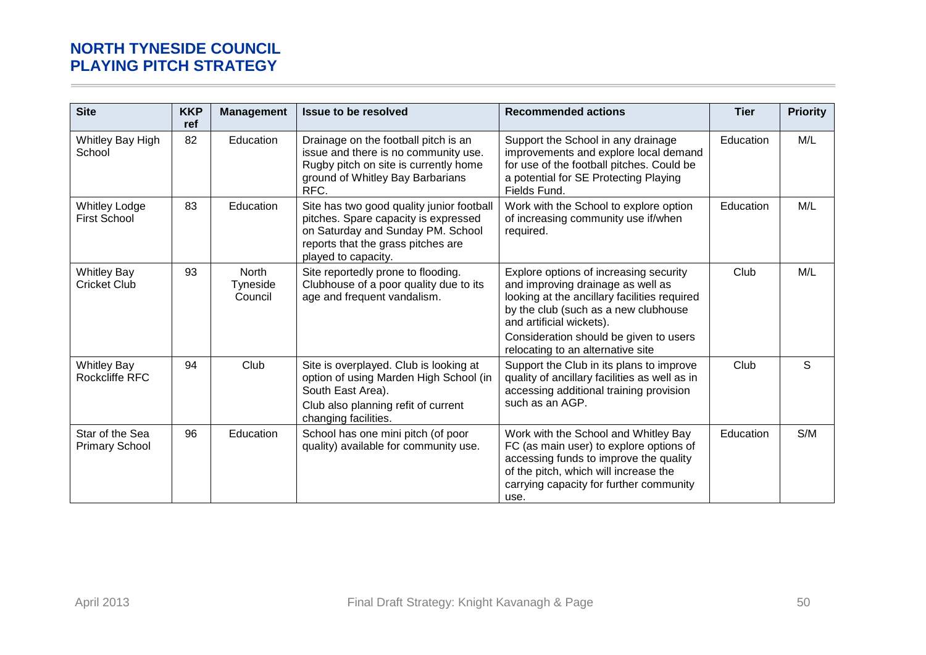| <b>Site</b>                                 | <b>KKP</b><br>ref | <b>Management</b>                   | <b>Issue to be resolved</b>                                                                                                                                                         | <b>Recommended actions</b>                                                                                                                                                                                                                                                     | <b>Tier</b> | <b>Priority</b> |
|---------------------------------------------|-------------------|-------------------------------------|-------------------------------------------------------------------------------------------------------------------------------------------------------------------------------------|--------------------------------------------------------------------------------------------------------------------------------------------------------------------------------------------------------------------------------------------------------------------------------|-------------|-----------------|
| Whitley Bay High<br>School                  | 82                | Education                           | Drainage on the football pitch is an<br>issue and there is no community use.<br>Rugby pitch on site is currently home<br>ground of Whitley Bay Barbarians<br>RFC.                   | Support the School in any drainage<br>improvements and explore local demand<br>for use of the football pitches. Could be<br>a potential for SE Protecting Playing<br>Fields Fund.                                                                                              | Education   | M/L             |
| <b>Whitley Lodge</b><br><b>First School</b> | 83                | Education                           | Site has two good quality junior football<br>pitches. Spare capacity is expressed<br>on Saturday and Sunday PM. School<br>reports that the grass pitches are<br>played to capacity. | Work with the School to explore option<br>of increasing community use if/when<br>required.                                                                                                                                                                                     | Education   | M/L             |
| <b>Whitley Bay</b><br><b>Cricket Club</b>   | 93                | <b>North</b><br>Tyneside<br>Council | Site reportedly prone to flooding.<br>Clubhouse of a poor quality due to its<br>age and frequent vandalism.                                                                         | Explore options of increasing security<br>and improving drainage as well as<br>looking at the ancillary facilities required<br>by the club (such as a new clubhouse<br>and artificial wickets).<br>Consideration should be given to users<br>relocating to an alternative site | Club        | M/L             |
| <b>Whitley Bay</b><br><b>Rockcliffe RFC</b> | 94                | Club                                | Site is overplayed. Club is looking at<br>option of using Marden High School (in<br>South East Area).<br>Club also planning refit of current<br>changing facilities.                | Support the Club in its plans to improve<br>quality of ancillary facilities as well as in<br>accessing additional training provision<br>such as an AGP.                                                                                                                        | Club        | S.              |
| Star of the Sea<br><b>Primary School</b>    | 96                | Education                           | School has one mini pitch (of poor<br>quality) available for community use.                                                                                                         | Work with the School and Whitley Bay<br>FC (as main user) to explore options of<br>accessing funds to improve the quality<br>of the pitch, which will increase the<br>carrying capacity for further community<br>use.                                                          | Education   | S/M             |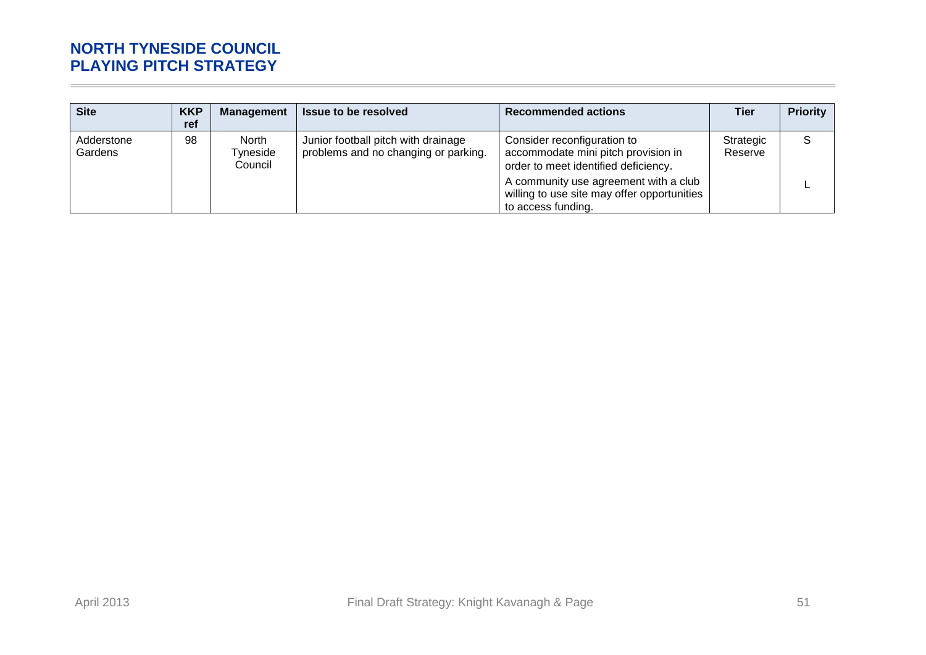| <b>Site</b>           | <b>KKP</b><br>ref | <b>Management</b>                   | <b>Issue to be resolved</b>                                                 | <b>Recommended actions</b>                                                                                 | <b>Tier</b>          | <b>Priority</b> |
|-----------------------|-------------------|-------------------------------------|-----------------------------------------------------------------------------|------------------------------------------------------------------------------------------------------------|----------------------|-----------------|
| Adderstone<br>Gardens | 98                | <b>North</b><br>Tyneside<br>Council | Junior football pitch with drainage<br>problems and no changing or parking. | Consider reconfiguration to<br>accommodate mini pitch provision in<br>order to meet identified deficiency. | Strategic<br>Reserve | <sub>S</sub>    |
|                       |                   |                                     |                                                                             | A community use agreement with a club<br>willing to use site may offer opportunities<br>to access funding. |                      |                 |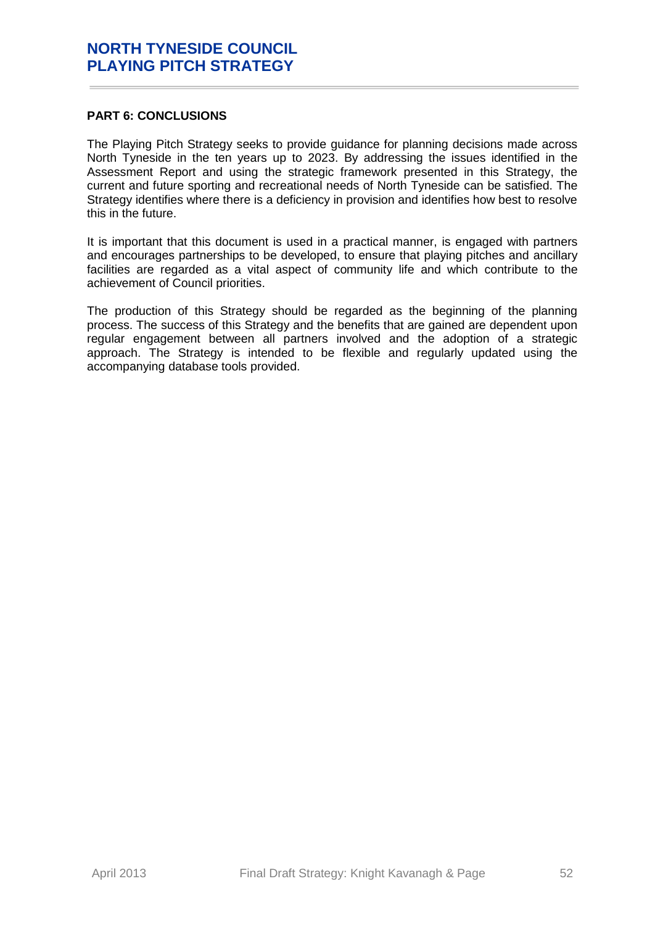### <span id="page-51-0"></span>**PART 6: CONCLUSIONS**

The Playing Pitch Strategy seeks to provide guidance for planning decisions made across North Tyneside in the ten years up to 2023. By addressing the issues identified in the Assessment Report and using the strategic framework presented in this Strategy, the current and future sporting and recreational needs of North Tyneside can be satisfied. The Strategy identifies where there is a deficiency in provision and identifies how best to resolve this in the future.

It is important that this document is used in a practical manner, is engaged with partners and encourages partnerships to be developed, to ensure that playing pitches and ancillary facilities are regarded as a vital aspect of community life and which contribute to the achievement of Council priorities.

The production of this Strategy should be regarded as the beginning of the planning process. The success of this Strategy and the benefits that are gained are dependent upon regular engagement between all partners involved and the adoption of a strategic approach. The Strategy is intended to be flexible and regularly updated using the accompanying database tools provided.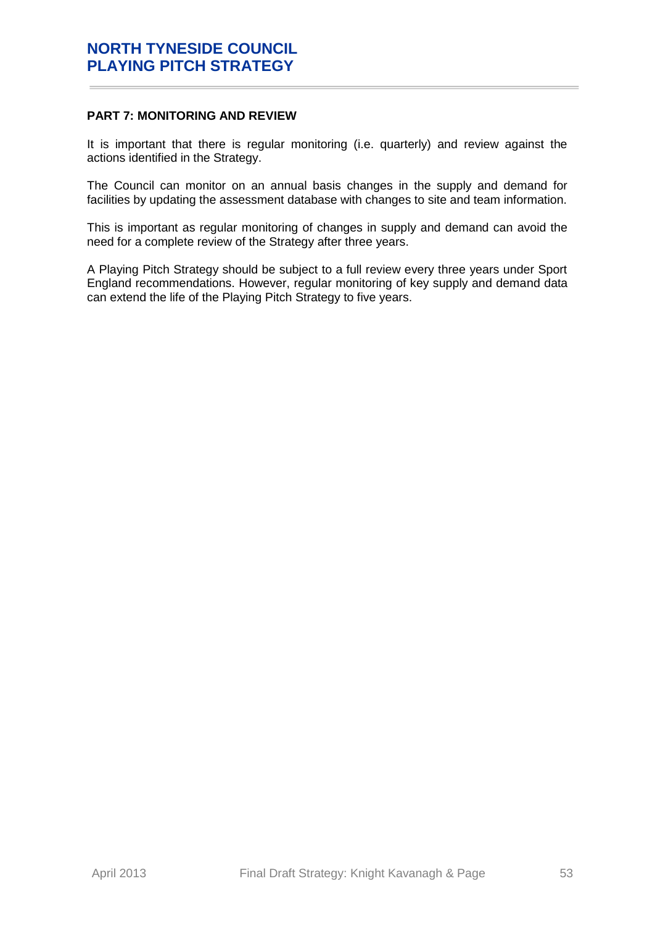# <span id="page-52-0"></span>**PART 7: MONITORING AND REVIEW**

It is important that there is regular monitoring (i.e. quarterly) and review against the actions identified in the Strategy.

The Council can monitor on an annual basis changes in the supply and demand for facilities by updating the assessment database with changes to site and team information.

This is important as regular monitoring of changes in supply and demand can avoid the need for a complete review of the Strategy after three years.

A Playing Pitch Strategy should be subject to a full review every three years under Sport England recommendations. However, regular monitoring of key supply and demand data can extend the life of the Playing Pitch Strategy to five years.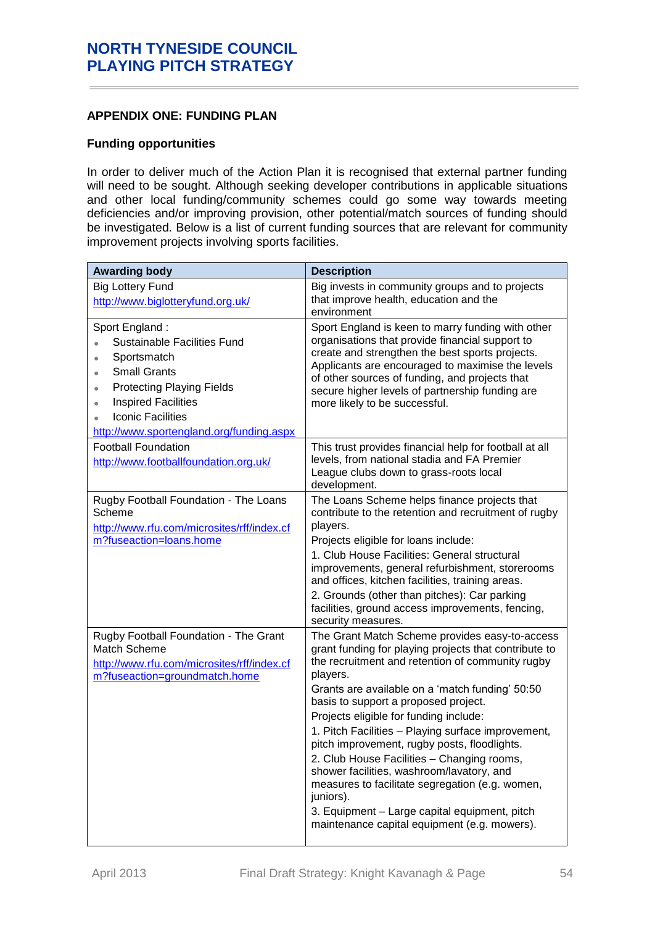# <span id="page-53-0"></span>**APPENDIX ONE: FUNDING PLAN**

#### **Funding opportunities**

In order to deliver much of the Action Plan it is recognised that external partner funding will need to be sought. Although seeking developer contributions in applicable situations and other local funding/community schemes could go some way towards meeting deficiencies and/or improving provision, other potential/match sources of funding should be investigated. Below is a list of current funding sources that are relevant for community improvement projects involving sports facilities.

| <b>Awarding body</b>                                                                                                                                                                                                                         | <b>Description</b>                                                                                                                                                                                                                                                                                                                                                                                                                                                                                                                                                                                                                                                             |
|----------------------------------------------------------------------------------------------------------------------------------------------------------------------------------------------------------------------------------------------|--------------------------------------------------------------------------------------------------------------------------------------------------------------------------------------------------------------------------------------------------------------------------------------------------------------------------------------------------------------------------------------------------------------------------------------------------------------------------------------------------------------------------------------------------------------------------------------------------------------------------------------------------------------------------------|
| <b>Big Lottery Fund</b><br>http://www.biglotteryfund.org.uk/                                                                                                                                                                                 | Big invests in community groups and to projects<br>that improve health, education and the<br>environment                                                                                                                                                                                                                                                                                                                                                                                                                                                                                                                                                                       |
| Sport England:<br>Sustainable Facilities Fund<br>Sportsmatch<br>٠<br><b>Small Grants</b><br>٠<br><b>Protecting Playing Fields</b><br>٠<br><b>Inspired Facilities</b><br><b>Iconic Facilities</b><br>http://www.sportengland.org/funding.aspx | Sport England is keen to marry funding with other<br>organisations that provide financial support to<br>create and strengthen the best sports projects.<br>Applicants are encouraged to maximise the levels<br>of other sources of funding, and projects that<br>secure higher levels of partnership funding are<br>more likely to be successful.                                                                                                                                                                                                                                                                                                                              |
| <b>Football Foundation</b><br>http://www.footballfoundation.org.uk/                                                                                                                                                                          | This trust provides financial help for football at all<br>levels, from national stadia and FA Premier<br>League clubs down to grass-roots local<br>development.                                                                                                                                                                                                                                                                                                                                                                                                                                                                                                                |
| Rugby Football Foundation - The Loans<br>Scheme<br>http://www.rfu.com/microsites/rff/index.cf<br>m?fuseaction=loans.home                                                                                                                     | The Loans Scheme helps finance projects that<br>contribute to the retention and recruitment of rugby<br>players.<br>Projects eligible for loans include:<br>1. Club House Facilities: General structural<br>improvements, general refurbishment, storerooms<br>and offices, kitchen facilities, training areas.<br>2. Grounds (other than pitches): Car parking<br>facilities, ground access improvements, fencing,<br>security measures.                                                                                                                                                                                                                                      |
| Rugby Football Foundation - The Grant<br>Match Scheme<br>http://www.rfu.com/microsites/rff/index.cf<br>m?fuseaction=groundmatch.home                                                                                                         | The Grant Match Scheme provides easy-to-access<br>grant funding for playing projects that contribute to<br>the recruitment and retention of community rugby<br>players.<br>Grants are available on a 'match funding' 50:50<br>basis to support a proposed project.<br>Projects eligible for funding include:<br>1. Pitch Facilities - Playing surface improvement,<br>pitch improvement, rugby posts, floodlights.<br>2. Club House Facilities - Changing rooms,<br>shower facilities, washroom/lavatory, and<br>measures to facilitate segregation (e.g. women,<br>juniors).<br>3. Equipment - Large capital equipment, pitch<br>maintenance capital equipment (e.g. mowers). |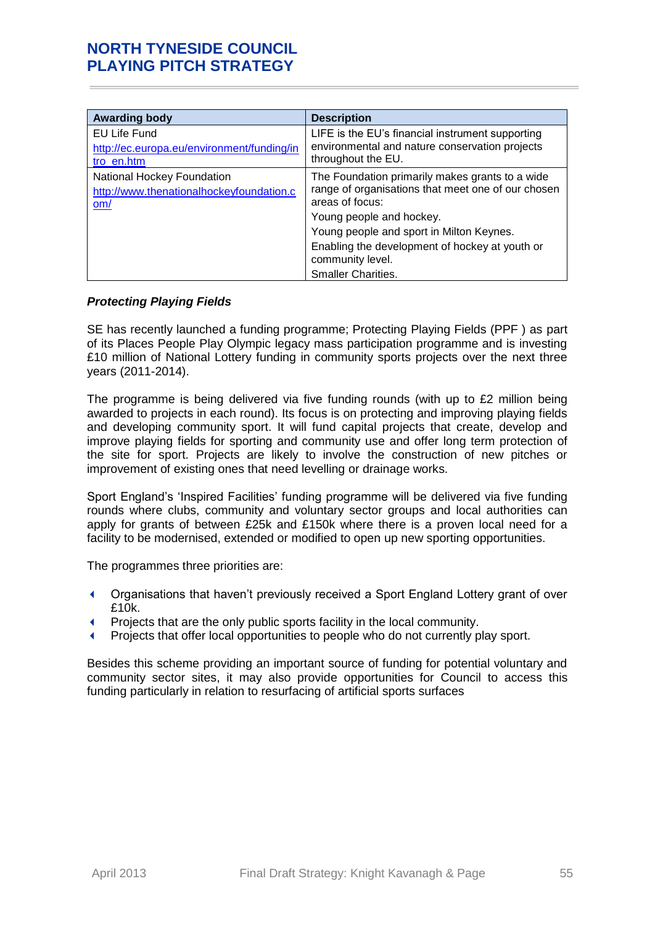| <b>Awarding body</b>                                                          | <b>Description</b>                                                                                                                                                                                                                                                                                  |
|-------------------------------------------------------------------------------|-----------------------------------------------------------------------------------------------------------------------------------------------------------------------------------------------------------------------------------------------------------------------------------------------------|
| EU Life Fund<br>http://ec.europa.eu/environment/funding/in<br>tro en.htm      | LIFE is the EU's financial instrument supporting<br>environmental and nature conservation projects<br>throughout the EU.                                                                                                                                                                            |
| National Hockey Foundation<br>http://www.thenationalhockeyfoundation.c<br>om/ | The Foundation primarily makes grants to a wide<br>range of organisations that meet one of our chosen<br>areas of focus:<br>Young people and hockey.<br>Young people and sport in Milton Keynes.<br>Enabling the development of hockey at youth or<br>community level.<br><b>Smaller Charities.</b> |

### *Protecting Playing Fields*

SE has recently launched a funding programme; Protecting Playing Fields (PPF ) as part of its Places People Play Olympic legacy mass participation programme and is investing £10 million of National Lottery funding in community sports projects over the next three years (2011-2014).

The programme is being delivered via five funding rounds (with up to £2 million being awarded to projects in each round). Its focus is on protecting and improving playing fields and developing community sport. It will fund capital projects that create, develop and improve playing fields for sporting and community use and offer long term protection of the site for sport. Projects are likely to involve the construction of new pitches or improvement of existing ones that need levelling or drainage works.

Sport England's 'Inspired Facilities' funding programme will be delivered via five funding rounds where clubs, community and voluntary sector groups and local authorities can apply for grants of between £25k and £150k where there is a proven local need for a facility to be modernised, extended or modified to open up new sporting opportunities.

The programmes three priorities are:

- Organisations that haven't previously received a Sport England Lottery grant of over £10k.
- Projects that are the only public sports facility in the local community.
- Projects that offer local opportunities to people who do not currently play sport.

Besides this scheme providing an important source of funding for potential voluntary and community sector sites, it may also provide opportunities for Council to access this funding particularly in relation to resurfacing of artificial sports surfaces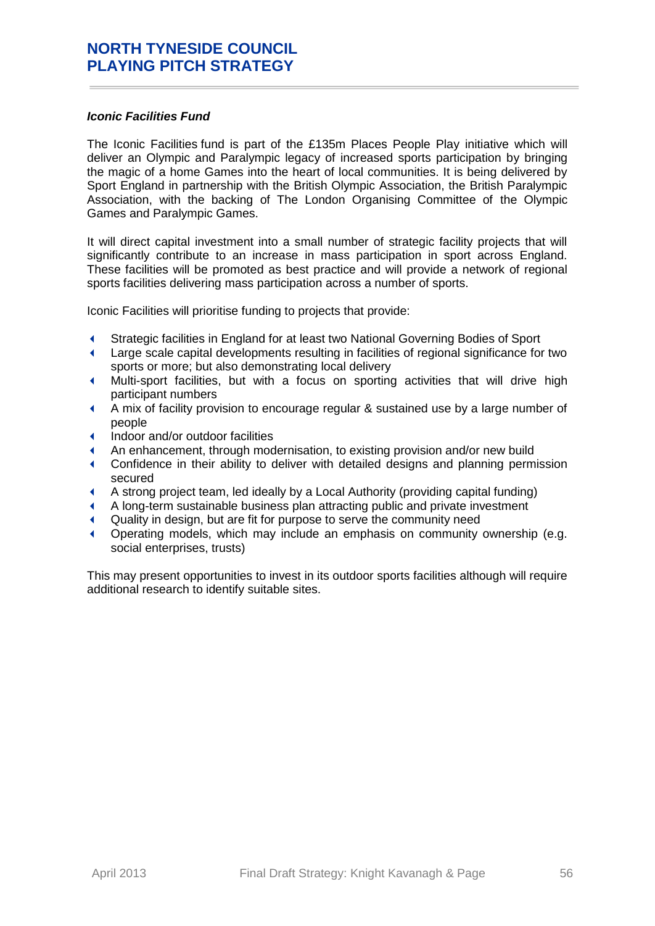### *Iconic Facilities Fund*

The Iconic Facilities fund is part of the £135m Places People Play initiative which will deliver an Olympic and Paralympic legacy of increased sports participation by bringing the magic of a home Games into the heart of local communities. It is being delivered by Sport England in partnership with the British Olympic Association, the British Paralympic Association, with the backing of The London Organising Committee of the Olympic Games and Paralympic Games.

It will direct capital investment into a small number of strategic facility projects that will significantly contribute to an increase in mass participation in sport across England. These facilities will be promoted as best practice and will provide a network of regional sports facilities delivering mass participation across a number of sports.

Iconic Facilities will prioritise funding to projects that provide:

- Strategic facilities in England for at least two National Governing Bodies of Sport
- Large scale capital developments resulting in facilities of regional significance for two sports or more; but also demonstrating local delivery
- Multi-sport facilities, but with a focus on sporting activities that will drive high participant numbers
- A mix of facility provision to encourage regular & sustained use by a large number of people
- Indoor and/or outdoor facilities
- An enhancement, through modernisation, to existing provision and/or new build
- Confidence in their ability to deliver with detailed designs and planning permission secured
- A strong project team, led ideally by a Local Authority (providing capital funding)
- A long-term sustainable business plan attracting public and private investment
- Quality in design, but are fit for purpose to serve the community need
- Operating models, which may include an emphasis on community ownership (e.g. social enterprises, trusts)

This may present opportunities to invest in its outdoor sports facilities although will require additional research to identify suitable sites.